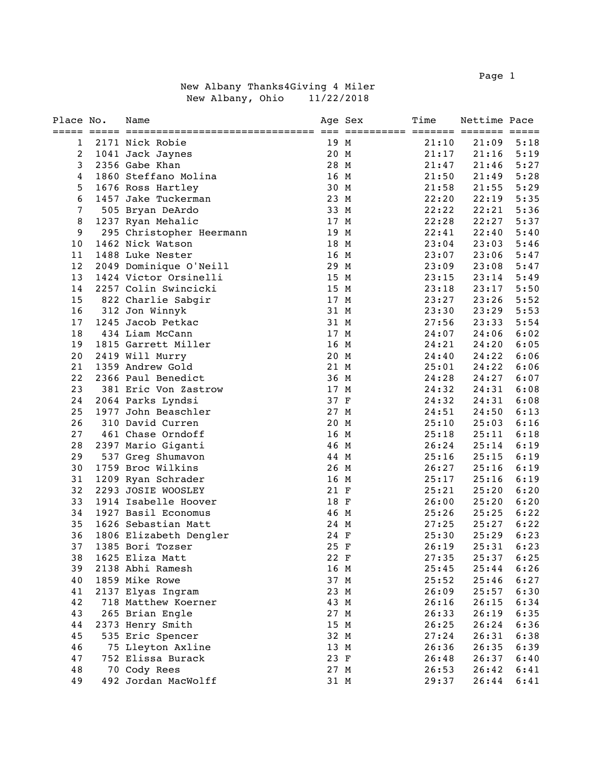Page 1 and 2012 12:30 and 2012 12:30 and 2012 12:30 and 2012 12:30 and 2012 12:30 and 2012 12:30 and 2013 12:30

|  |                  | New Albany Thanks4Giving 4 Miler |  |            |
|--|------------------|----------------------------------|--|------------|
|  | New Albany, Ohio |                                  |  | 11/22/2018 |

| Place No.   | Name                     |      | Age Sex | Time  | Nettime Pace |      |
|-------------|--------------------------|------|---------|-------|--------------|------|
| $\mathbf 1$ | 2171 Nick Robie          | 19 M |         | 21:10 | 21:09        | 5:18 |
| 2           | 1041 Jack Jaynes         | 20 M |         | 21:17 | 21:16        | 5:19 |
| 3           | 2356 Gabe Khan           | 28 M |         | 21:47 | 21:46        | 5:27 |
| 4           | 1860 Steffano Molina     | 16 M |         | 21:50 | 21:49        | 5:28 |
| 5           | 1676 Ross Hartley        | 30 M |         | 21:58 | 21:55        | 5:29 |
| 6           | 1457 Jake Tuckerman      | 23 M |         | 22:20 | 22:19        | 5:35 |
| 7           | 505 Bryan DeArdo         | 33 M |         | 22:22 | 22:21        | 5:36 |
| 8           | 1237 Ryan Mehalic        | 17 M |         | 22:28 | 22:27        | 5:37 |
| 9           | 295 Christopher Heermann | 19 M |         | 22:41 | 22:40        | 5:40 |
| 10          | 1462 Nick Watson         | 18 M |         | 23:04 | 23:03        | 5:46 |
| 11          | 1488 Luke Nester         | 16 M |         | 23:07 | 23:06        | 5:47 |
| 12          | 2049 Dominique O'Neill   | 29 M |         | 23:09 | 23:08        | 5:47 |
| 13          | 1424 Victor Orsinelli    | 15 M |         | 23:15 | 23:14        | 5:49 |
| 14          | 2257 Colin Swincicki     | 15 M |         | 23:18 | 23:17        | 5:50 |
| 15          | 822 Charlie Sabgir       | 17 M |         | 23:27 | 23:26        | 5:52 |
| 16          | 312 Jon Winnyk           | 31 M |         | 23:30 | 23:29        | 5:53 |
| 17          | 1245 Jacob Petkac        | 31 M |         | 27:56 | 23:33        | 5:54 |
| 18          | 434 Liam McCann          | 17 M |         | 24:07 | 24:06        | 6:02 |
| 19          | 1815 Garrett Miller      | 16 M |         | 24:21 | 24:20        | 6:05 |
| 20          | 2419 Will Murry          | 20 M |         | 24:40 | 24:22        | 6:06 |
| 21          | 1359 Andrew Gold         | 21 M |         | 25:01 | 24:22        | 6:06 |
| 22          | 2366 Paul Benedict       | 36 M |         | 24:28 | 24:27        | 6:07 |
| 23          | 381 Eric Von Zastrow     | 17 M |         | 24:32 | 24:31        | 6:08 |
| 24          | 2064 Parks Lyndsi        | 37 F |         | 24:32 | 24:31        | 6:08 |
| 25          | 1977 John Beaschler      | 27 M |         | 24:51 | 24:50        | 6:13 |
| 26          | 310 David Curren         | 20 M |         | 25:10 | 25:03        | 6:16 |
| 27          | 461 Chase Orndoff        | 16 M |         | 25:18 | 25:11        | 6:18 |
| 28          | 2397 Mario Giganti       | 46 M |         | 26:24 | 25:14        | 6:19 |
| 29          | 537 Greg Shumavon        | 44 M |         | 25:16 | 25:15        | 6:19 |
| 30          | 1759 Broc Wilkins        | 26 M |         | 26:27 | 25:16        | 6:19 |
| 31          | 1209 Ryan Schrader       | 16 M |         | 25:17 | 25:16        | 6:19 |
| 32          | 2293 JOSIE WOOSLEY       | 21 F |         | 25:21 | 25:20        | 6:20 |
| 33          | 1914 Isabelle Hoover     | 18 F |         | 26:00 | 25:20        | 6:20 |
| 34          | 1927 Basil Economus      | 46 M |         | 25:26 | 25:25        | 6:22 |
| 35          | 1626 Sebastian Matt      | 24 M |         | 27:25 | 25:27        | 6:22 |
| 36          | 1806 Elizabeth Dengler   | 24 F |         | 25:30 | 25:29        | 6:23 |
| 37          | 1385 Bori Tozser         | 25 F |         | 26:19 | 25:31        | 6:23 |
| 38          | 1625 Eliza Matt          | 22 F |         | 27:35 | 25:37        | 6:25 |
| 39          | 2138 Abhi Ramesh         | 16 M |         | 25:45 | 25:44        | 6:26 |
| 40          | 1859 Mike Rowe           | 37 M |         | 25:52 | 25:46        | 6:27 |
| 41          | 2137 Elyas Ingram        | 23 M |         | 26:09 | 25:57        | 6:30 |
| 42          | 718 Matthew Koerner      | 43 M |         | 26:16 | 26:15        | 6:34 |
| 43          | 265 Brian Engle          | 27 M |         | 26:33 | 26:19        | 6:35 |
| 44          | 2373 Henry Smith         | 15 M |         | 26:25 | 26:24        | 6:36 |
| 45          | 535 Eric Spencer         | 32 M |         | 27:24 | 26:31        | 6:38 |
| 46          | 75 Lleyton Axline        | 13 M |         | 26:36 | 26:35        | 6:39 |
| 47          | 752 Elissa Burack        | 23 F |         | 26:48 | 26:37        | 6:40 |
| 48          | 70 Cody Rees             | 27 M |         | 26:53 | 26:42        | 6:41 |
| 49          | 492 Jordan MacWolff      | 31 M |         | 29:37 | 26:44        | 6:41 |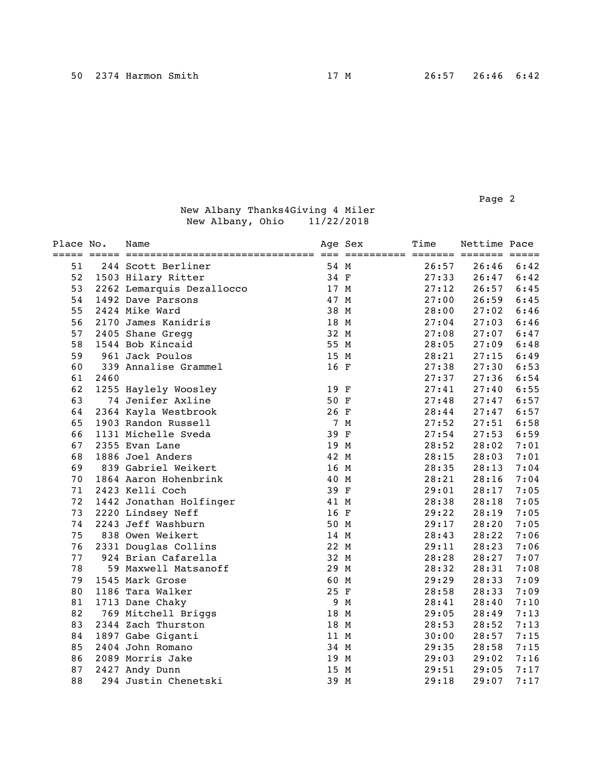Page 2 and 2 and 2 and 2 and 2 and 2 and 2 and 2 and 2 and 2 and 2 and 2 and 2 and 2 and 2 and 2 and 2 and 2

| Place No. |      | Name                      |      | Age Sex<br>=========== ======= ======= ===== | Time  | Nettime Pace |      |
|-----------|------|---------------------------|------|----------------------------------------------|-------|--------------|------|
| 51        |      | 244 Scott Berliner        | 54 M |                                              | 26:57 | 26:46        | 6:42 |
| 52        |      | 1503 Hilary Ritter        | 34 F |                                              | 27:33 | 26:47        | 6:42 |
| 53        |      | 2262 Lemarquis Dezallocco | 17 M |                                              | 27:12 | 26:57        | 6:45 |
| 54        |      | 1492 Dave Parsons         | 47 M |                                              | 27:00 | 26:59        | 6:45 |
| 55        |      | 2424 Mike Ward            | 38 M |                                              | 28:00 | 27:02        | 6:46 |
| 56        |      | 2170 James Kanidris       | 18 M |                                              | 27:04 | 27:03        | 6:46 |
| 57        |      | 2405 Shane Gregg          | 32 M |                                              | 27:08 | 27:07        | 6:47 |
| 58        |      | 1544 Bob Kincaid          | 55 M |                                              | 28:05 | 27:09        | 6:48 |
| 59        |      | 961 Jack Poulos           | 15 M |                                              | 28:21 | 27:15        | 6:49 |
| 60        |      | 339 Annalise Grammel      | 16 F |                                              | 27:38 | 27:30        | 6:53 |
| 61        | 2460 |                           |      |                                              | 27:37 | 27:36        | 6:54 |
| 62        |      | 1255 Haylely Woosley      | 19 F |                                              | 27:41 | 27:40        | 6:55 |
| 63        |      | 74 Jenifer Axline         | 50 F |                                              | 27:48 | 27:47        | 6:57 |
| 64        |      | 2364 Kayla Westbrook      | 26 F |                                              | 28:44 | 27:47        | 6:57 |
| 65        |      | 1903 Randon Russell       |      | 7 M                                          | 27:52 | 27:51        | 6:58 |
| 66        |      | 1131 Michelle Sveda       | 39 F |                                              | 27:54 | 27:53        | 6:59 |
| 67        |      | 2355 Evan Lane            | 19 M |                                              | 28:52 | 28:02        | 7:01 |
| 68        |      | 1886 Joel Anders          | 42 M |                                              | 28:15 | 28:03        | 7:01 |
| 69        |      | 839 Gabriel Weikert       | 16 M |                                              | 28:35 | 28:13        | 7:04 |
| 70        |      | 1864 Aaron Hohenbrink     | 40 M |                                              | 28:21 | 28:16        | 7:04 |
| 71        |      | 2423 Kelli Coch           | 39 F |                                              | 29:01 | 28:17        | 7:05 |
| 72        |      | 1442 Jonathan Holfinger   | 41 M |                                              | 28:38 | 28:18        | 7:05 |
| 73        |      | 2220 Lindsey Neff         | 16 F |                                              | 29:22 | 28:19        | 7:05 |
| 74        |      | 2243 Jeff Washburn        | 50 M |                                              | 29:17 | 28:20        | 7:05 |
| 75        |      | 838 Owen Weikert          | 14 M |                                              | 28:43 | 28:22        | 7:06 |
| 76        |      | 2331 Douglas Collins      | 22 M |                                              | 29:11 | 28:23        | 7:06 |
| 77        |      | 924 Brian Cafarella       | 32 M |                                              | 28:28 | 28:27        | 7:07 |
| 78        |      | 59 Maxwell Matsanoff      | 29 M |                                              | 28:32 | 28:31        | 7:08 |
| 79        |      | 1545 Mark Grose           | 60 M |                                              | 29:29 | 28:33        | 7:09 |
| 80        |      | 1186 Tara Walker          | 25 F |                                              | 28:58 | 28:33        | 7:09 |
| 81        |      | 1713 Dane Chaky           |      | 9 M                                          | 28:41 | 28:40        | 7:10 |
| 82        |      | 769 Mitchell Briggs       | 18 M |                                              | 29:05 | 28:49        | 7:13 |
| 83        |      | 2344 Zach Thurston        | 18 M |                                              | 28:53 | 28:52        | 7:13 |
| 84        |      | 1897 Gabe Giganti         | 11 M |                                              | 30:00 | 28:57        | 7:15 |
| 85        |      | 2404 John Romano          | 34 M |                                              | 29:35 | 28:58        | 7:15 |
| 86        |      | 2089 Morris Jake          | 19 M |                                              | 29:03 | 29:02        | 7:16 |
| 87        |      | 2427 Andy Dunn            | 15 M |                                              | 29:51 | 29:05        | 7:17 |
| 88        |      | 294 Justin Chenetski      | 39 M |                                              | 29:18 | 29:07        | 7:17 |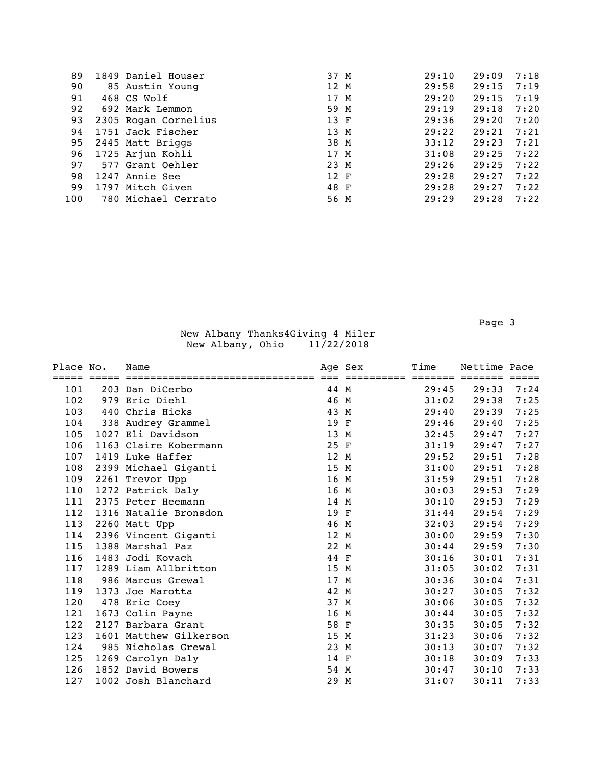| 89  | 1849 Daniel Houser   | 37 M | 29:10 | 29:09 | 7:18 |
|-----|----------------------|------|-------|-------|------|
| 90  | 85 Austin Young      | 12 M | 29:58 | 29:15 | 7:19 |
| 91  | 468 CS Wolf          | 17 M | 29:20 | 29:15 | 7:19 |
| 92  | 692 Mark Lemmon      | 59 M | 29:19 | 29:18 | 7:20 |
| 93  | 2305 Rogan Cornelius | 13 F | 29:36 | 29:20 | 7:20 |
| 94  | 1751 Jack Fischer    | 13 M | 29:22 | 29:21 | 7:21 |
| 95  | 2445 Matt Briggs     | 38 M | 33:12 | 29:23 | 7:21 |
| 96  | 1725 Arjun Kohli     | 17 M | 31:08 | 29:25 | 7:22 |
| 97  | 577 Grant Oehler     | 23 M | 29:26 | 29:25 | 7:22 |
| 98  | 1247 Annie See       | 12 F | 29:28 | 29:27 | 7:22 |
| 99  | 1797 Mitch Given     | 48 F | 29:28 | 29:27 | 7:22 |
| 100 | 780 Michael Cerrato  | 56 M | 29:29 | 29:28 | 7:22 |

Page 3 and the state of the state of the state of the state of the state of the state of the state of the state of the state of the state of the state of the state of the state of the state of the state of the state of the

| Place No. | Name                   |      | Age Sex | Time            | Nettime Pace |      |
|-----------|------------------------|------|---------|-----------------|--------------|------|
|           |                        |      |         | $=$ = = = = = = |              |      |
| 101       | 203 Dan DiCerbo        | 44 M |         | 29:45           | 29:33        | 7:24 |
| 102       | 979 Eric Diehl         | 46 M |         | 31:02           | 29:38        | 7:25 |
| 103       | 440 Chris Hicks        | 43 M |         | 29:40           | 29:39        | 7:25 |
| 104       | 338 Audrey Grammel     | 19 F |         | 29:46           | 29:40        | 7:25 |
| 105       | 1027 Eli Davidson      | 13 M |         | 32:45           | 29:47        | 7:27 |
| 106       | 1163 Claire Kobermann  | 25 F |         | 31:19           | 29:47        | 7:27 |
| 107       | 1419 Luke Haffer       | 12 M |         | 29:52           | 29:51        | 7:28 |
| 108       | 2399 Michael Giganti   | 15 M |         | 31:00           | 29:51        | 7:28 |
| 109       | 2261 Trevor Upp        | 16 M |         | 31:59           | 29:51        | 7:28 |
| 110       | 1272 Patrick Daly      | 16 M |         | 30:03           | 29:53        | 7:29 |
| 111       | 2375 Peter Heemann     | 14 M |         | 30:10           | 29:53        | 7:29 |
| 112       | 1316 Natalie Bronsdon  | 19 F |         | 31:44           | 29:54        | 7:29 |
| 113       | 2260 Matt Upp          | 46 M |         | 32:03           | 29:54        | 7:29 |
| 114       | 2396 Vincent Giganti   | 12 M |         | 30:00           | 29:59        | 7:30 |
| 115       | 1388 Marshal Paz       | 22 M |         | 30:44           | 29:59        | 7:30 |
| 116       | 1483 Jodi Kovach       | 44 F |         | 30:16           | 30:01        | 7:31 |
| 117       | 1289 Liam Allbritton   | 15 M |         | 31:05           | 30:02        | 7:31 |
| 118       | 986 Marcus Grewal      | 17 M |         | 30:36           | 30:04        | 7:31 |
| 119       | 1373 Joe Marotta       | 42 M |         | 30:27           | 30:05        | 7:32 |
| 120       | 478 Eric Coey          | 37 M |         | 30:06           | 30:05        | 7:32 |
| 121       | 1673 Colin Payne       | 16 M |         | 30:44           | 30:05        | 7:32 |
| 122       | 2127 Barbara Grant     | 58 F |         | 30:35           | 30:05        | 7:32 |
| 123       | 1601 Matthew Gilkerson | 15 M |         | 31:23           | 30:06        | 7:32 |
| 124       | 985 Nicholas Grewal    | 23 M |         | 30:13           | 30:07        | 7:32 |
| 125       | 1269 Carolyn Daly      | 14 F |         | 30:18           | 30:09        | 7:33 |
| 126       | 1852 David Bowers      | 54 M |         | 30:47           | 30:10        | 7:33 |
| 127       | 1002 Josh Blanchard    | 29 M |         | 31:07           | 30:11        | 7:33 |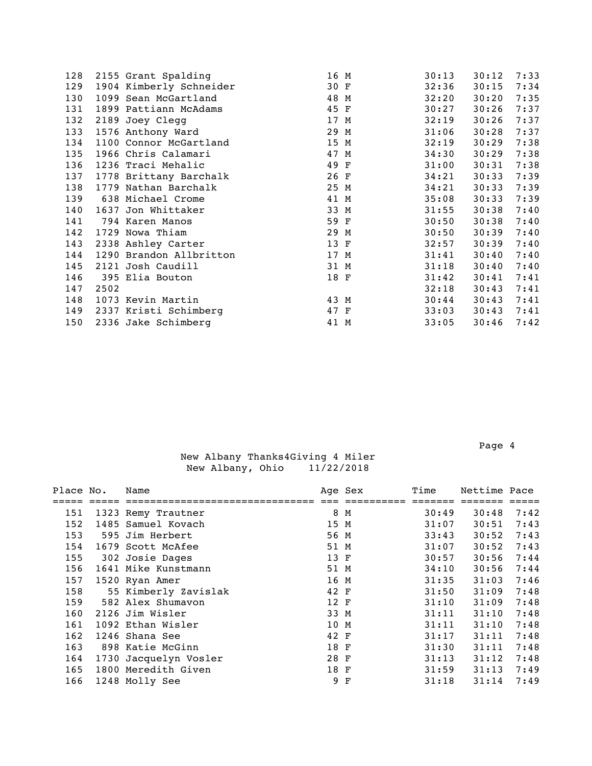| 128 |      | 2155 Grant Spalding     | 16 M | 30:13 | 30:12 | 7:33 |
|-----|------|-------------------------|------|-------|-------|------|
| 129 |      | 1904 Kimberly Schneider | 30 F | 32:36 | 30:15 | 7:34 |
| 130 |      | 1099 Sean McGartland    | 48 M | 32:20 | 30:20 | 7:35 |
| 131 |      | 1899 Pattiann McAdams   | 45 F | 30:27 | 30:26 | 7:37 |
| 132 |      | 2189 Joey Clegg         | 17 M | 32:19 | 30:26 | 7:37 |
| 133 |      | 1576 Anthony Ward       | 29 M | 31:06 | 30:28 | 7:37 |
| 134 |      | 1100 Connor McGartland  | 15 M | 32:19 | 30:29 | 7:38 |
| 135 |      | 1966 Chris Calamari     | 47 M | 34:30 | 30:29 | 7:38 |
| 136 |      | 1236 Traci Mehalic      | 49 F | 31:00 | 30:31 | 7:38 |
| 137 |      | 1778 Brittany Barchalk  | 26 F | 34:21 | 30:33 | 7:39 |
| 138 |      | 1779 Nathan Barchalk    | 25 M | 34:21 | 30:33 | 7:39 |
| 139 |      | 638 Michael Crome       | 41 M | 35:08 | 30:33 | 7:39 |
| 140 |      | 1637 Jon Whittaker      | 33 M | 31:55 | 30:38 | 7:40 |
| 141 |      | 794 Karen Manos         | 59 F | 30:50 | 30:38 | 7:40 |
| 142 |      | 1729 Nowa Thiam         | 29 M | 30:50 | 30:39 | 7:40 |
| 143 |      | 2338 Ashley Carter      | 13 F | 32:57 | 30:39 | 7:40 |
| 144 |      | 1290 Brandon Allbritton | 17 M | 31:41 | 30:40 | 7:40 |
| 145 |      | 2121 Josh Caudill       | 31 M | 31:18 | 30:40 | 7:40 |
| 146 |      | 395 Elia Bouton         | 18 F | 31:42 | 30:41 | 7:41 |
| 147 | 2502 |                         |      | 32:18 | 30:43 | 7:41 |
| 148 |      | 1073 Kevin Martin       | 43 M | 30:44 | 30:43 | 7:41 |
| 149 |      | 2337 Kristi Schimberg   | 47 F | 33:03 | 30:43 | 7:41 |
| 150 |      | 2336 Jake Schimberg     | 41 M | 33:05 | 30:46 | 7:42 |
|     |      |                         |      |       |       |      |

| Place No. | Name                  |      | Age Sex | Time  | Nettime Pace |      |
|-----------|-----------------------|------|---------|-------|--------------|------|
|           |                       |      |         |       |              |      |
| 151       | 1323 Remy Trautner    |      | 8 M     | 30:49 | 30:48        | 7:42 |
| 152       | 1485 Samuel Kovach    | 15 M |         | 31:07 | 30:51        | 7:43 |
| 153       | 595 Jim Herbert       | 56 M |         | 33:43 | 30:52        | 7:43 |
| 154       | 1679 Scott McAfee     | 51 M |         | 31:07 | 30:52        | 7:43 |
| 155       | 302 Josie Dages       | 13 F |         | 30:57 | 30:56        | 7:44 |
| 156       | 1641 Mike Kunstmann   | 51 M |         | 34:10 | 30:56        | 7:44 |
| 157       | 1520 Ryan Amer        | 16 M |         | 31:35 | 31:03        | 7:46 |
| 158       | 55 Kimberly Zavislak  | 42 F |         | 31:50 | 31:09        | 7:48 |
| 159       | 582 Alex Shumavon     | 12 F |         | 31:10 | 31:09        | 7:48 |
| 160       | 2126 Jim Wisler       | 33 M |         | 31:11 | 31:10        | 7:48 |
| 161       | 1092 Ethan Wisler     | 10 M |         | 31:11 | 31:10        | 7:48 |
| 162       | 1246 Shana See        | 42 F |         | 31:17 | 31:11        | 7:48 |
| 163       | 898 Katie McGinn      | 18 F |         | 31:30 | 31:11        | 7:48 |
| 164       | 1730 Jacquelyn Vosler | 28 F |         | 31:13 | 31:12        | 7:48 |
| 165       | 1800 Meredith Given   | 18 F |         | 31:59 | 31:13        | 7:49 |
| 166       | 1248 Molly See        |      | 9 F     | 31:18 | 31:14        | 7:49 |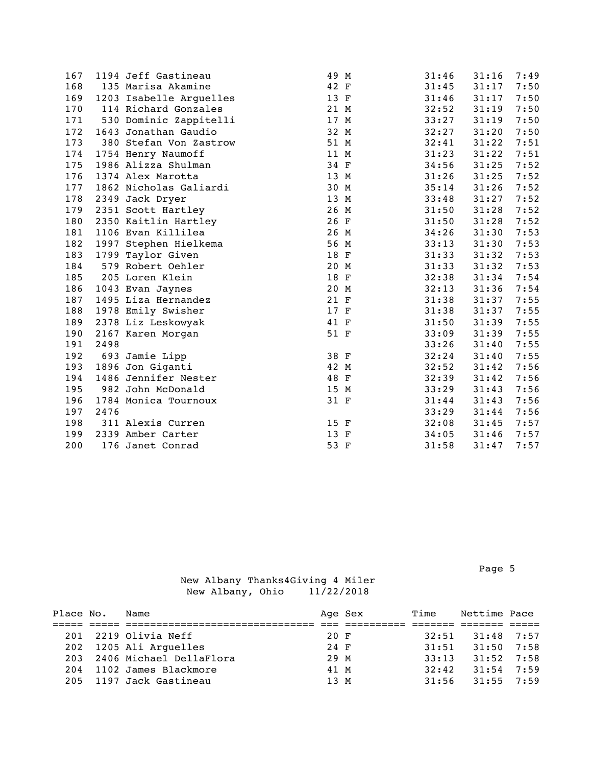| 167 |      | 1194 Jeff Gastineau     | 49 M | 31:46 | 31:16 | 7:49 |
|-----|------|-------------------------|------|-------|-------|------|
| 168 |      | 135 Marisa Akamine      | 42 F | 31:45 | 31:17 | 7:50 |
| 169 |      | 1203 Isabelle Arguelles | 13 F | 31:46 | 31:17 | 7:50 |
| 170 |      | 114 Richard Gonzales    | 21 M | 32:52 | 31:19 | 7:50 |
| 171 |      | 530 Dominic Zappitelli  | 17 M | 33:27 | 31:19 | 7:50 |
| 172 |      | 1643 Jonathan Gaudio    | 32 M | 32:27 | 31:20 | 7:50 |
| 173 |      | 380 Stefan Von Zastrow  | 51 M | 32:41 | 31:22 | 7:51 |
| 174 |      | 1754 Henry Naumoff      | 11 M | 31:23 | 31:22 | 7:51 |
| 175 |      | 1986 Alizza Shulman     | 34 F | 34:56 | 31:25 | 7:52 |
| 176 |      | 1374 Alex Marotta       | 13 M | 31:26 | 31:25 | 7:52 |
| 177 |      | 1862 Nicholas Galiardi  | 30 M | 35:14 | 31:26 | 7:52 |
| 178 |      | 2349 Jack Dryer         | 13 M | 33:48 | 31:27 | 7:52 |
| 179 |      | 2351 Scott Hartley      | 26 M | 31:50 | 31:28 | 7:52 |
| 180 |      | 2350 Kaitlin Hartley    | 26 F | 31:50 | 31:28 | 7:52 |
| 181 |      | 1106 Evan Killilea      | 26 M | 34:26 | 31:30 | 7:53 |
| 182 |      | 1997 Stephen Hielkema   | 56 M | 33:13 | 31:30 | 7:53 |
| 183 |      | 1799 Taylor Given       | 18 F | 31:33 | 31:32 | 7:53 |
| 184 |      | 579 Robert Oehler       | 20 M | 31:33 | 31:32 | 7:53 |
| 185 |      | 205 Loren Klein         | 18 F | 32:38 | 31:34 | 7:54 |
| 186 |      | 1043 Evan Jaynes        | 20 M | 32:13 | 31:36 | 7:54 |
| 187 |      | 1495 Liza Hernandez     | 21 F | 31:38 | 31:37 | 7:55 |
| 188 |      | 1978 Emily Swisher      | 17 F | 31:38 | 31:37 | 7:55 |
| 189 |      | 2378 Liz Leskowyak      | 41 F | 31:50 | 31:39 | 7:55 |
| 190 |      | 2167 Karen Morgan       | 51 F | 33:09 | 31:39 | 7:55 |
| 191 | 2498 |                         |      | 33:26 | 31:40 | 7:55 |
| 192 |      | 693 Jamie Lipp          | 38 F | 32:24 | 31:40 | 7:55 |
| 193 |      | 1896 Jon Giganti        | 42 M | 32:52 | 31:42 | 7:56 |
| 194 |      | 1486 Jennifer Nester    | 48 F | 32:39 | 31:42 | 7:56 |
| 195 |      | 982 John McDonald       | 15 M | 33:29 | 31:43 | 7:56 |
| 196 |      | 1784 Monica Tournoux    | 31 F | 31:44 | 31:43 | 7:56 |
| 197 | 2476 |                         |      | 33:29 | 31:44 | 7:56 |
| 198 |      | 311 Alexis Curren       | 15 F | 32:08 | 31:45 | 7:57 |
| 199 |      | 2339 Amber Carter       | 13 F | 34:05 | 31:46 | 7:57 |
| 200 |      | 176 Janet Conrad        | 53 F | 31:58 | 31:47 | 7:57 |

Page 5 and the state of the state of the state of the state of the state of the state of the state of the state of the state of the state of the state of the state of the state of the state of the state of the state of the

| Place No. | Name                    |      | Age Sex | Time  | Nettime Pace |  |
|-----------|-------------------------|------|---------|-------|--------------|--|
|           |                         |      |         |       |              |  |
|           | 201 2219 Olivia Neff    | 20 F |         | 32:51 | $31:48$ 7:57 |  |
|           | 202 1205 Ali Arquelles  | 24 F |         | 31:51 | $31:50$ 7:58 |  |
| 203       | 2406 Michael DellaFlora | 29 M |         | 33:13 | $31:52$ 7:58 |  |
| 204       | 1102 James Blackmore    | 41 M |         | 32:42 | $31:54$ 7:59 |  |
|           | 205 1197 Jack Gastineau | 13 M |         | 31:56 | $31:55$ 7:59 |  |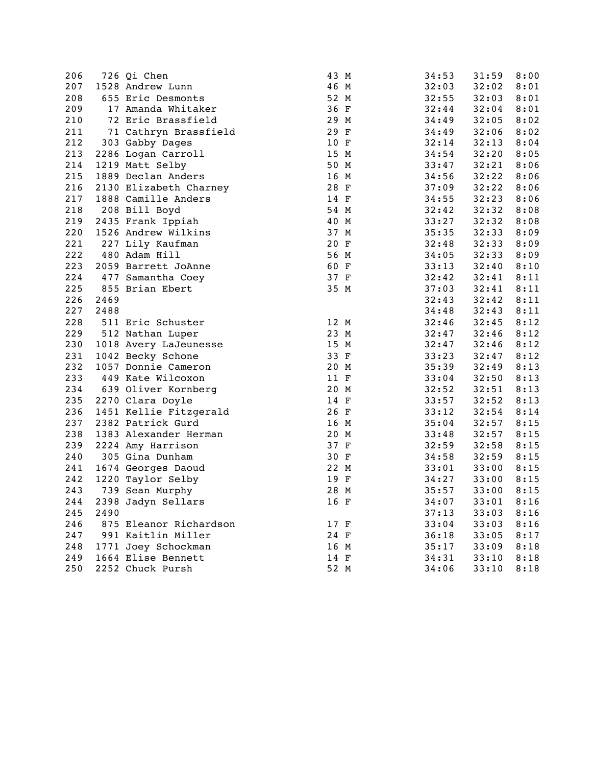| 206 |      | 726 Qi Chen            | 43 M | 34:53 | 31:59 | 8:00 |
|-----|------|------------------------|------|-------|-------|------|
| 207 |      | 1528 Andrew Lunn       | 46 M | 32:03 | 32:02 | 8:01 |
| 208 |      | 655 Eric Desmonts      | 52 M | 32:55 | 32:03 | 8:01 |
| 209 |      | 17 Amanda Whitaker     | 36 F | 32:44 | 32:04 | 8:01 |
| 210 |      | 72 Eric Brassfield     | 29 M | 34:49 | 32:05 | 8:02 |
| 211 |      | 71 Cathryn Brassfield  | 29 F | 34:49 | 32:06 | 8:02 |
| 212 |      | 303 Gabby Dages        | 10 F | 32:14 | 32:13 | 8:04 |
| 213 |      | 2286 Logan Carroll     | 15 M | 34:54 | 32:20 | 8:05 |
| 214 |      | 1219 Matt Selby        | 50 M | 33:47 | 32:21 | 8:06 |
| 215 |      | 1889 Declan Anders     | 16 M | 34:56 | 32:22 | 8:06 |
| 216 |      | 2130 Elizabeth Charney | 28 F | 37:09 | 32:22 | 8:06 |
| 217 |      | 1888 Camille Anders    | 14 F | 34:55 | 32:23 | 8:06 |
| 218 |      | 208 Bill Boyd          | 54 M | 32:42 | 32:32 | 8:08 |
| 219 |      | 2435 Frank Ippiah      | 40 M | 33:27 | 32:32 | 8:08 |
| 220 |      | 1526 Andrew Wilkins    | 37 M | 35:35 | 32:33 | 8:09 |
| 221 |      | 227 Lily Kaufman       | 20 F | 32:48 | 32:33 | 8:09 |
| 222 |      | 480 Adam Hill          | 56 M | 34:05 | 32:33 | 8:09 |
| 223 |      | 2059 Barrett JoAnne    | 60 F | 33:13 | 32:40 | 8:10 |
| 224 |      | 477 Samantha Coey      | 37 F | 32:42 | 32:41 | 8:11 |
| 225 |      | 855 Brian Ebert        | 35 M | 37:03 | 32:41 | 8:11 |
| 226 | 2469 |                        |      | 32:43 | 32:42 | 8:11 |
| 227 | 2488 |                        |      | 34:48 | 32:43 | 8:11 |
| 228 |      | 511 Eric Schuster      | 12 M | 32:46 | 32:45 | 8:12 |
| 229 |      | 512 Nathan Luper       | 23 M | 32:47 | 32:46 | 8:12 |
| 230 |      | 1018 Avery LaJeunesse  | 15 M | 32:47 | 32:46 | 8:12 |
| 231 |      | 1042 Becky Schone      | 33 F | 33:23 | 32:47 | 8:12 |
| 232 |      | 1057 Donnie Cameron    | 20 M | 35:39 | 32:49 | 8:13 |
| 233 |      | 449 Kate Wilcoxon      | 11 F | 33:04 | 32:50 | 8:13 |
| 234 |      | 639 Oliver Kornberg    | 20 M | 32:52 | 32:51 | 8:13 |
| 235 |      | 2270 Clara Doyle       | 14 F | 33:57 | 32:52 | 8:13 |
| 236 |      | 1451 Kellie Fitzgerald | 26 F | 33:12 | 32:54 | 8:14 |
| 237 |      | 2382 Patrick Gurd      | 16 M | 35:04 | 32:57 | 8:15 |
| 238 |      | 1383 Alexander Herman  | 20 M | 33:48 | 32:57 | 8:15 |
| 239 |      | 2224 Amy Harrison      | 37 F | 32:59 | 32:58 | 8:15 |
| 240 |      | 305 Gina Dunham        | 30 F | 34:58 | 32:59 | 8:15 |
| 241 |      | 1674 Georges Daoud     | 22 M | 33:01 | 33:00 | 8:15 |
| 242 |      | 1220 Taylor Selby      | 19 F | 34:27 | 33:00 | 8:15 |
| 243 |      | 739 Sean Murphy        | 28 M | 35:57 | 33:00 | 8:15 |
| 244 |      | 2398 Jadyn Sellars     | 16 F | 34:07 | 33:01 | 8:16 |
| 245 | 2490 |                        |      | 37:13 | 33:03 | 8:16 |
| 246 |      | 875 Eleanor Richardson | 17 F | 33:04 | 33:03 | 8:16 |
| 247 |      | 991 Kaitlin Miller     | 24 F | 36:18 | 33:05 | 8:17 |
| 248 |      | 1771 Joey Schockman    | 16 M | 35:17 | 33:09 | 8:18 |
| 249 |      | 1664 Elise Bennett     | 14 F | 34:31 | 33:10 | 8:18 |
| 250 |      | 2252 Chuck Pursh       | 52 M | 34:06 | 33:10 | 8:18 |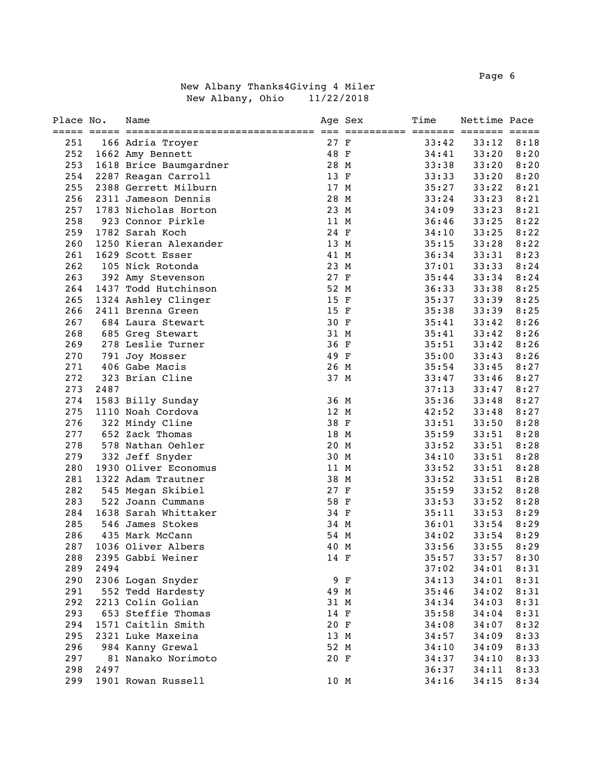Page 6 and the contract of the contract of the contract of the contract of the contract of the contract of the contract of the contract of the contract of the contract of the contract of the contract of the contract of the

|  |                  | New Albany Thanks4Giving 4 Miler |  |            |
|--|------------------|----------------------------------|--|------------|
|  | New Albany, Ohio |                                  |  | 11/22/2018 |

| Place No.  |      | Name                   |              | Age Sex | Time  | Nettime Pace |      |
|------------|------|------------------------|--------------|---------|-------|--------------|------|
|            |      |                        |              |         |       |              |      |
| 251        |      | 166 Adria Troyer       | 27 F         |         | 33:42 | 33:12        | 8:18 |
| 252        |      | 1662 Amy Bennett       | 48 F         |         | 34:41 | 33:20        | 8:20 |
| 253        |      | 1618 Brice Baumgardner | 28 M         |         | 33:38 | 33:20        | 8:20 |
| 254        |      | 2287 Reagan Carroll    | 13 F         |         | 33:33 | 33:20        | 8:20 |
| 255        |      | 2388 Gerrett Milburn   | 17 M         |         | 35:27 | 33:22        | 8:21 |
| 256        |      | 2311 Jameson Dennis    | 28 M         |         | 33:24 | 33:23        | 8:21 |
| 257        |      | 1783 Nicholas Horton   | 23 M         |         | 34:09 | 33:23        | 8:21 |
| 258        |      | 923 Connor Pirkle      | 11 M         |         | 36:46 | 33:25        | 8:22 |
| 259        |      | 1782 Sarah Koch        | 24 F         |         | 34:10 | 33:25        | 8:22 |
| 260        |      | 1250 Kieran Alexander  | 13 M         |         | 35:15 | 33:28        | 8:22 |
| 261<br>262 |      | 1629 Scott Esser       | 41 M         |         | 36:34 | 33:31        | 8:23 |
|            |      | 105 Nick Rotonda       | 23 M         |         | 37:01 | 33:33        | 8:24 |
| 263        |      | 392 Amy Stevenson      | 27 F<br>52 M |         | 35:44 | 33:34        | 8:24 |
| 264        |      | 1437 Todd Hutchinson   |              |         | 36:33 | 33:38        | 8:25 |
| 265        |      | 1324 Ashley Clinger    | 15 F         |         | 35:37 | 33:39        | 8:25 |
| 266        |      | 2411 Brenna Green      | 15 F         |         | 35:38 | 33:39        | 8:25 |
| 267        |      | 684 Laura Stewart      | 30 F         |         | 35:41 | 33:42        | 8:26 |
| 268        |      | 685 Greg Stewart       | 31 M         |         | 35:41 | 33:42        | 8:26 |
| 269        |      | 278 Leslie Turner      | 36 F         |         | 35:51 | 33:42        | 8:26 |
| 270        |      | 791 Joy Mosser         | 49 F         |         | 35:00 | 33:43        | 8:26 |
| 271        |      | 406 Gabe Macis         | 26 M         |         | 35:54 | 33:45        | 8:27 |
| 272        |      | 323 Brian Cline        | 37 M         |         | 33:47 | 33:46        | 8:27 |
| 273        | 2487 |                        |              |         | 37:13 | 33:47        | 8:27 |
| 274        |      | 1583 Billy Sunday      | 36 M         |         | 35:36 | 33:48        | 8:27 |
| 275        |      | 1110 Noah Cordova      | 12 M         |         | 42:52 | 33:48        | 8:27 |
| 276        |      | 322 Mindy Cline        | 38 F         |         | 33:51 | 33:50        | 8:28 |
| 277        |      | 652 Zack Thomas        | 18 M         |         | 35:59 | 33:51        | 8:28 |
| 278        |      | 578 Nathan Oehler      | 20 M         |         | 33:52 | 33:51        | 8:28 |
| 279        |      | 332 Jeff Snyder        | 30 M         |         | 34:10 | 33:51        | 8:28 |
| 280        |      | 1930 Oliver Economus   | 11 M         |         | 33:52 | 33:51        | 8:28 |
| 281        |      | 1322 Adam Trautner     | 38 M         |         | 33:52 | 33:51        | 8:28 |
| 282        |      | 545 Megan Skibiel      | 27 F         |         | 35:59 | 33:52        | 8:28 |
| 283        |      | 522 Joann Cummans      | 58 F         |         | 33:53 | 33:52        | 8:28 |
| 284        |      | 1638 Sarah Whittaker   | 34 F         |         | 35:11 | 33:53        | 8:29 |
| 285        |      | 546 James Stokes       | 34 M         |         | 36:01 | 33:54        | 8:29 |
| 286        |      | 435 Mark McCann        | 54 M         |         | 34:02 | 33:54        | 8:29 |
| 287        |      | 1036 Oliver Albers     | 40 M         |         | 33:56 | 33:55        | 8:29 |
| 288        |      | 2395 Gabbi Weiner      | 14 F         |         | 35:57 | 33:57        | 8:30 |
| 289        | 2494 |                        |              |         | 37:02 | 34:01        | 8:31 |
| 290        |      | 2306 Logan Snyder      |              | 9 F     | 34:13 | 34:01        | 8:31 |
| 291        |      | 552 Tedd Hardesty      | 49 M         |         | 35:46 | 34:02        | 8:31 |
| 292        |      | 2213 Colin Golian      | 31 M         |         | 34:34 | 34:03        | 8:31 |
| 293        |      | 653 Steffie Thomas     | 14 F         |         | 35:58 | 34:04        | 8:31 |
| 294        |      | 1571 Caitlin Smith     | 20 F         |         | 34:08 | 34:07        | 8:32 |
| 295        |      | 2321 Luke Maxeina      | 13 M         |         | 34:57 | 34:09        | 8:33 |
| 296        |      | 984 Kanny Grewal       | 52 M         |         | 34:10 | 34:09        | 8:33 |
| 297        |      | 81 Nanako Norimoto     | 20 F         |         | 34:37 | 34:10        | 8:33 |
| 298        | 2497 |                        |              |         | 36:37 | 34:11        | 8:33 |
| 299        |      | 1901 Rowan Russell     | 10 M         |         | 34:16 | 34:15        | 8:34 |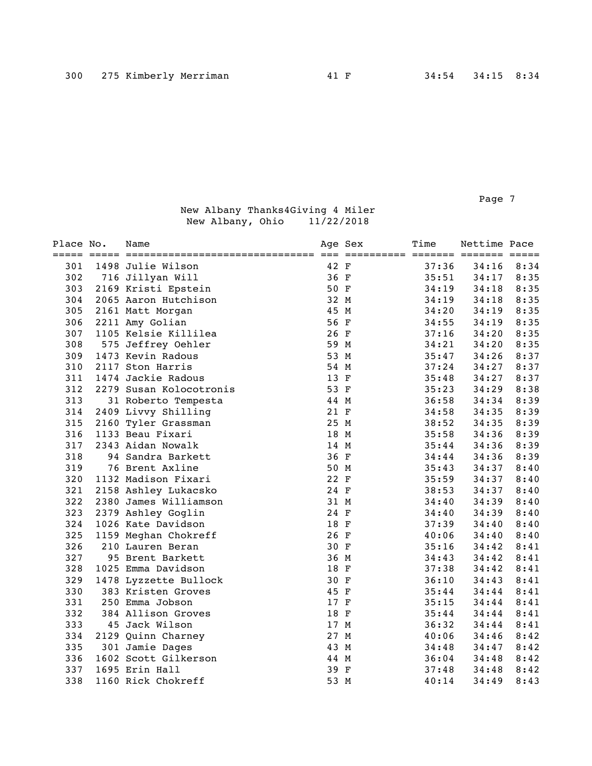Page 7 and 2012 to 2014 and 2012 to 2014 and 2012 to 2014 and 2014 and 2014 and 2014 and 2014 and 2014 and 201

| Place No. | Name                    |      | Age Sex<br>=========== ======= ======= ===== | Time  | Nettime Pace |      |
|-----------|-------------------------|------|----------------------------------------------|-------|--------------|------|
| 301       | 1498 Julie Wilson       | 42 F |                                              | 37:36 | 34:16        | 8:34 |
| 302       | 716 Jillyan Will        | 36 F |                                              | 35:51 | 34:17        | 8:35 |
| 303       | 2169 Kristi Epstein     | 50 F |                                              | 34:19 | 34:18        | 8:35 |
| 304       | 2065 Aaron Hutchison    | 32 M |                                              | 34:19 | 34:18        | 8:35 |
| 305       | 2161 Matt Morgan        | 45 M |                                              | 34:20 | 34:19        | 8:35 |
| 306       | 2211 Amy Golian         | 56 F |                                              | 34:55 | 34:19        | 8:35 |
| 307       | 1105 Kelsie Killilea    | 26 F |                                              | 37:16 | 34:20        | 8:35 |
| 308       | 575 Jeffrey Oehler      | 59 M |                                              | 34:21 | 34:20        | 8:35 |
| 309       | 1473 Kevin Radous       | 53 M |                                              | 35:47 | 34:26        | 8:37 |
| 310       | 2117 Ston Harris        | 54 M |                                              | 37:24 | 34:27        | 8:37 |
| 311       | 1474 Jackie Radous      | 13 F |                                              | 35:48 | 34:27        | 8:37 |
| 312       | 2279 Susan Kolocotronis | 53 F |                                              | 35:23 | 34:29        | 8:38 |
| 313       | 31 Roberto Tempesta     | 44 M |                                              | 36:58 | 34:34        | 8:39 |
| 314       | 2409 Livvy Shilling     | 21 F |                                              | 34:58 | 34:35        | 8:39 |
| 315       | 2160 Tyler Grassman     | 25 M |                                              | 38:52 | 34:35        | 8:39 |
| 316       | 1133 Beau Fixari        | 18 M |                                              | 35:58 | 34:36        | 8:39 |
| 317       | 2343 Aidan Nowalk       | 14 M |                                              | 35:44 | 34:36        | 8:39 |
| 318       | 94 Sandra Barkett       | 36 F |                                              | 34:44 | 34:36        | 8:39 |
| 319       | 76 Brent Axline         | 50 M |                                              | 35:43 | 34:37        | 8:40 |
| 320       | 1132 Madison Fixari     | 22 F |                                              | 35:59 | 34:37        | 8:40 |
| 321       | 2158 Ashley Lukacsko    | 24 F |                                              | 38:53 | 34:37        | 8:40 |
| 322       | 2380 James Williamson   | 31 M |                                              | 34:40 | 34:39        | 8:40 |
| 323       | 2379 Ashley Goglin      | 24 F |                                              | 34:40 | 34:39        | 8:40 |
| 324       | 1026 Kate Davidson      | 18 F |                                              | 37:39 | 34:40        | 8:40 |
| 325       | 1159 Meghan Chokreff    | 26 F |                                              | 40:06 | 34:40        | 8:40 |
| 326       | 210 Lauren Beran        | 30 F |                                              | 35:16 | 34:42        | 8:41 |
| 327       | 95 Brent Barkett        | 36 M |                                              | 34:43 | 34:42        | 8:41 |
| 328       | 1025 Emma Davidson      | 18 F |                                              | 37:38 | 34:42        | 8:41 |
| 329       | 1478 Lyzzette Bullock   | 30 F |                                              | 36:10 | 34:43        | 8:41 |
| 330       | 383 Kristen Groves      | 45 F |                                              | 35:44 | 34:44        | 8:41 |
| 331       | 250 Emma Jobson         | 17 F |                                              | 35:15 | 34:44        | 8:41 |
| 332       | 384 Allison Groves      | 18 F |                                              | 35:44 | 34:44        | 8:41 |
| 333       | 45 Jack Wilson          | 17 M |                                              | 36:32 | 34:44        | 8:41 |
| 334       | 2129 Quinn Charney      | 27 M |                                              | 40:06 | 34:46        | 8:42 |
| 335       | 301 Jamie Dages         | 43 M |                                              | 34:48 | 34:47        | 8:42 |
| 336       | 1602 Scott Gilkerson    | 44 M |                                              | 36:04 | 34:48        | 8:42 |
| 337       | 1695 Erin Hall          | 39 F |                                              | 37:48 | 34:48        | 8:42 |
| 338       | 1160 Rick Chokreff      | 53 M |                                              | 40:14 | 34:49        | 8:43 |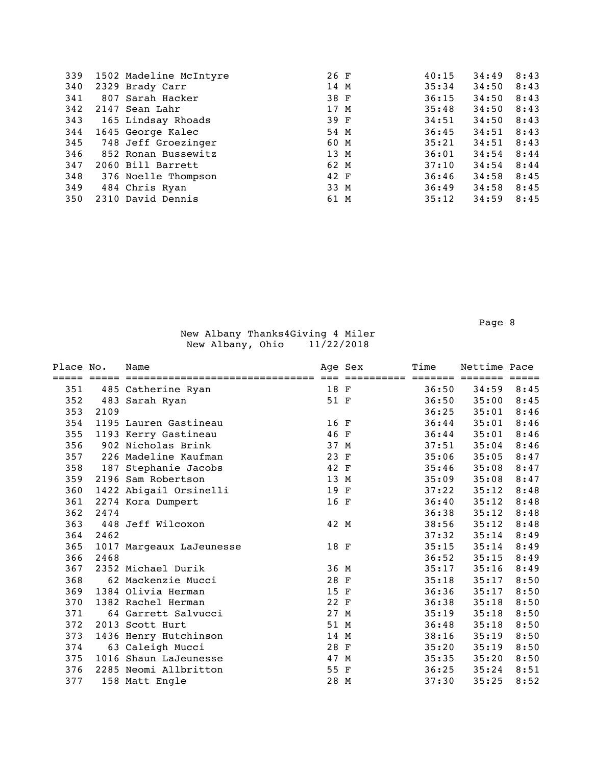| 339 | 1502 Madeline McIntyre  | 26 F | 40:15 | 34:49 | 8:43 |
|-----|-------------------------|------|-------|-------|------|
| 340 | 2329 Brady Carr         | 14 M | 35:34 | 34:50 | 8:43 |
| 341 | 807 Sarah Hacker        | 38 F | 36:15 | 34:50 | 8:43 |
| 342 | 2147 Sean Lahr          | 17 M | 35:48 | 34:50 | 8:43 |
| 343 | 165 Lindsay Rhoads      | 39 F | 34:51 | 34:50 | 8:43 |
| 344 | 1645 George Kalec       | 54 M | 36:45 | 34:51 | 8:43 |
|     | 345 748 Jeff Groezinger | 60 M | 35:21 | 34:51 | 8:43 |
| 346 | 852 Ronan Bussewitz     | 13 M | 36:01 | 34:54 | 8:44 |
| 347 | 2060 Bill Barrett       | 62 M | 37:10 | 34:54 | 8:44 |
| 348 | 376 Noelle Thompson     | 42 F | 36:46 | 34:58 | 8:45 |
| 349 | 484 Chris Ryan          | 33 M | 36:49 | 34:58 | 8:45 |
| 350 | 2310 David Dennis       | 61 M | 35:12 | 34:59 | 8:45 |
|     |                         |      |       |       |      |

Page 8 and 2012 and 2012 and 2012 and 2012 and 2012 and 2012 and 2012 and 2012 and 2012 and 2012 and 2012 and

| Place No. |      | Name                     |      | Age Sex    | Time  | Nettime Pace    |      |
|-----------|------|--------------------------|------|------------|-------|-----------------|------|
|           |      |                          |      | ========== |       | ======= ======= |      |
| 351       |      | 485 Catherine Ryan       | 18 F |            | 36:50 | 34:59           | 8:45 |
| 352       |      | 483 Sarah Ryan           | 51 F |            | 36:50 | 35:00           | 8:45 |
| 353       | 2109 |                          |      |            | 36:25 | 35:01           | 8:46 |
| 354       |      | 1195 Lauren Gastineau    | 16 F |            | 36:44 | 35:01           | 8:46 |
| 355       |      | 1193 Kerry Gastineau     | 46 F |            | 36:44 | 35:01           | 8:46 |
| 356       |      | 902 Nicholas Brink       | 37 M |            | 37:51 | 35:04           | 8:46 |
| 357       |      | 226 Madeline Kaufman     | 23 F |            | 35:06 | 35:05           | 8:47 |
| 358       |      | 187 Stephanie Jacobs     | 42 F |            | 35:46 | 35:08           | 8:47 |
| 359       |      | 2196 Sam Robertson       | 13 M |            | 35:09 | 35:08           | 8:47 |
| 360       |      | 1422 Abigail Orsinelli   | 19 F |            | 37:22 | 35:12           | 8:48 |
| 361       |      | 2274 Kora Dumpert        | 16 F |            | 36:40 | 35:12           | 8:48 |
| 362       | 2474 |                          |      |            | 36:38 | 35:12           | 8:48 |
| 363       |      | 448 Jeff Wilcoxon        | 42 M |            | 38:56 | 35:12           | 8:48 |
| 364       | 2462 |                          |      |            | 37:32 | 35:14           | 8:49 |
| 365       |      | 1017 Margeaux LaJeunesse | 18 F |            | 35:15 | 35:14           | 8:49 |
| 366       | 2468 |                          |      |            | 36:52 | 35:15           | 8:49 |
| 367       |      | 2352 Michael Durik       | 36 M |            | 35:17 | 35:16           | 8:49 |
| 368       |      | 62 Mackenzie Mucci       | 28 F |            | 35:18 | 35:17           | 8:50 |
| 369       |      | 1384 Olivia Herman       | 15 F |            | 36:36 | 35:17           | 8:50 |
| 370       |      | 1382 Rachel Herman       | 22 F |            | 36:38 | 35:18           | 8:50 |
| 371       |      | 64 Garrett Salvucci      | 27 M |            | 35:19 | 35:18           | 8:50 |
| 372       |      | 2013 Scott Hurt          | 51 M |            | 36:48 | 35:18           | 8:50 |
| 373       |      | 1436 Henry Hutchinson    | 14 M |            | 38:16 | 35:19           | 8:50 |
| 374       |      | 63 Caleigh Mucci         | 28 F |            | 35:20 | 35:19           | 8:50 |
| 375       |      | 1016 Shaun LaJeunesse    | 47 M |            | 35:35 | 35:20           | 8:50 |
| 376       |      | 2285 Neomi Allbritton    | 55 F |            | 36:25 | 35:24           | 8:51 |
| 377       |      | 158 Matt Engle           | 28 M |            | 37:30 | 35:25           | 8:52 |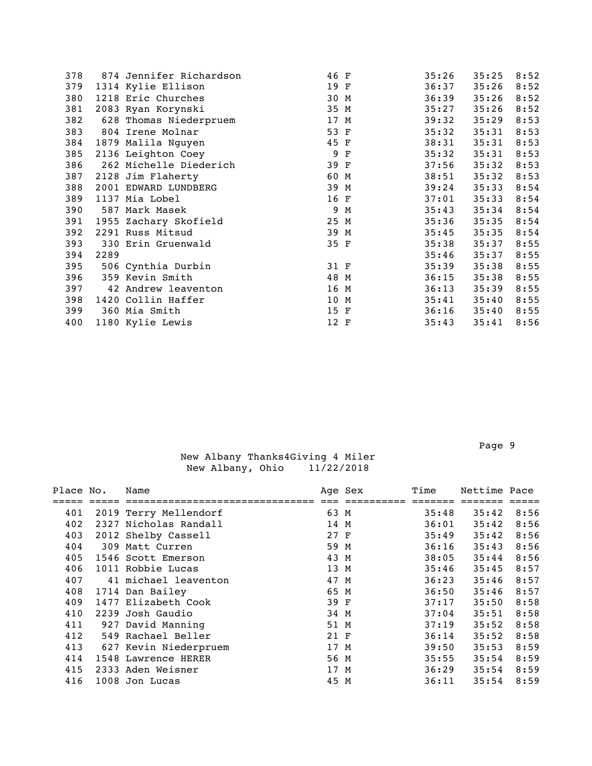| 378 |      | 874 Jennifer Richardson | 46 F |     | 35:26 | 35:25 | 8:52 |
|-----|------|-------------------------|------|-----|-------|-------|------|
| 379 |      | 1314 Kylie Ellison      | 19 F |     | 36:37 | 35:26 | 8:52 |
| 380 |      | 1218 Eric Churches      | 30 M |     | 36:39 | 35:26 | 8:52 |
| 381 |      | 2083 Ryan Korynski      | 35 M |     | 35:27 | 35:26 | 8:52 |
| 382 |      | 628 Thomas Niederpruem  | 17 M |     | 39:32 | 35:29 | 8:53 |
| 383 |      | 804 Irene Molnar        | 53 F |     | 35:32 | 35:31 | 8:53 |
| 384 |      | 1879 Malila Nguyen      | 45 F |     | 38:31 | 35:31 | 8:53 |
| 385 |      | 2136 Leighton Coey      |      | 9 F | 35:32 | 35:31 | 8:53 |
| 386 |      | 262 Michelle Diederich  | 39 F |     | 37:56 | 35:32 | 8:53 |
| 387 |      | 2128 Jim Flaherty       | 60 M |     | 38:51 | 35:32 | 8:53 |
| 388 |      | 2001 EDWARD LUNDBERG    | 39 M |     | 39:24 | 35:33 | 8:54 |
| 389 |      | 1137 Mia Lobel          | 16 F |     | 37:01 | 35:33 | 8:54 |
| 390 |      | 587 Mark Masek          |      | 9 M | 35:43 | 35:34 | 8:54 |
| 391 |      | 1955 Zachary Skofield   | 25 M |     | 35:36 | 35:35 | 8:54 |
| 392 |      | 2291 Russ Mitsud        | 39 M |     | 35:45 | 35:35 | 8:54 |
| 393 |      | 330 Erin Gruenwald      | 35 F |     | 35:38 | 35:37 | 8:55 |
| 394 | 2289 |                         |      |     | 35:46 | 35:37 | 8:55 |
| 395 |      | 506 Cynthia Durbin      | 31 F |     | 35:39 | 35:38 | 8:55 |
| 396 |      | 359 Kevin Smith         | 48 M |     | 36:15 | 35:38 | 8:55 |
| 397 |      | 42 Andrew leaventon     | 16 M |     | 36:13 | 35:39 | 8:55 |
| 398 |      | 1420 Collin Haffer      | 10 M |     | 35:41 | 35:40 | 8:55 |
| 399 |      | 360 Mia Smith           | 15 F |     | 36:16 | 35:40 | 8:55 |
| 400 |      | 1180 Kylie Lewis        | 12 F |     | 35:43 | 35:41 | 8:56 |
|     |      |                         |      |     |       |       |      |

Page 9 and the state of the state of the state of the state of the state of the state of the state of the state of the state of the state of the state of the state of the state of the state of the state of the state of the

| Place No. | Name                  |      | Age Sex | Time  | Nettime Pace |      |
|-----------|-----------------------|------|---------|-------|--------------|------|
|           |                       |      |         |       |              |      |
| 401       | 2019 Terry Mellendorf | 63 M |         | 35:48 | 35:42        | 8:56 |
| 402       | 2327 Nicholas Randall | 14 M |         | 36:01 | 35:42        | 8:56 |
| 403       | 2012 Shelby Cassell   | 27 F |         | 35:49 | 35:42        | 8:56 |
| 404       | 309 Matt Curren       | 59 M |         | 36:16 | 35:43        | 8:56 |
| 405       | 1546 Scott Emerson    | 43 M |         | 38:05 | 35:44        | 8:56 |
| 406       | 1011 Robbie Lucas     | 13 M |         | 35:46 | 35:45        | 8:57 |
| 407       | 41 michael leaventon  | 47 M |         | 36:23 | 35:46        | 8:57 |
| 408       | 1714 Dan Bailey       | 65 M |         | 36:50 | 35:46        | 8:57 |
| 409       | 1477 Elizabeth Cook   | 39 F |         | 37:17 | 35:50        | 8:58 |
| 410       | 2239 Josh Gaudio      | 34 M |         | 37:04 | 35:51        | 8:58 |
| 411       | 927 David Manning     | 51 M |         | 37:19 | 35:52        | 8:58 |
| 412       | 549 Rachael Beller    | 21 F |         | 36:14 | 35:52        | 8:58 |
| 413       | 627 Kevin Niederpruem | 17 M |         | 39:50 | 35:53        | 8:59 |
| 414       | 1548 Lawrence HERER   | 56 M |         | 35:55 | 35:54        | 8:59 |
| 415       | 2333 Aden Weisner     | 17 M |         | 36:29 | 35:54        | 8:59 |
| 416       | 1008 Jon Lucas        | 45 M |         | 36:11 | 35:54        | 8:59 |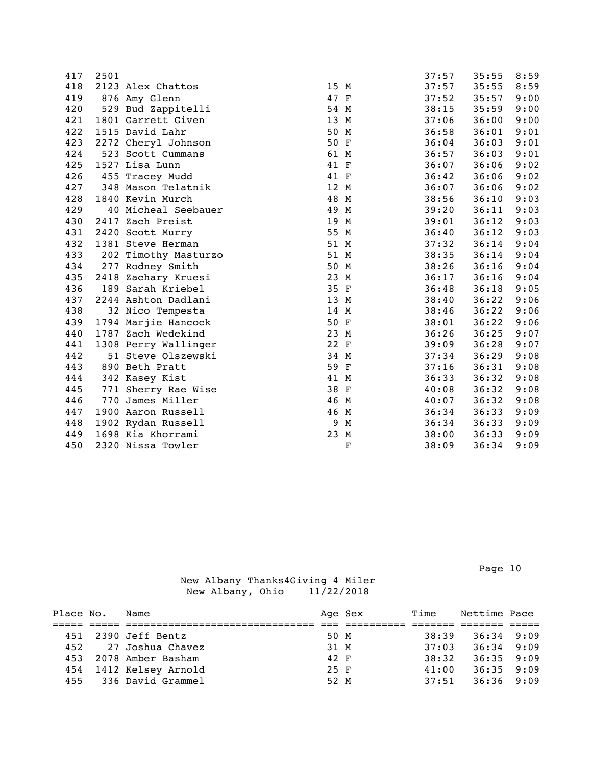| 417 | 2501 |                      |      |             | 37:57 | 35:55 | 8:59 |
|-----|------|----------------------|------|-------------|-------|-------|------|
| 418 |      | 2123 Alex Chattos    | 15 M |             | 37:57 | 35:55 | 8:59 |
| 419 |      | 876 Amy Glenn        | 47 F |             | 37:52 | 35:57 | 9:00 |
| 420 |      | 529 Bud Zappitelli   | 54 M |             | 38:15 | 35:59 | 9:00 |
| 421 |      | 1801 Garrett Given   | 13 M |             | 37:06 | 36:00 | 9:00 |
| 422 |      | 1515 David Lahr      | 50 M |             | 36:58 | 36:01 | 9:01 |
| 423 |      | 2272 Cheryl Johnson  | 50 F |             | 36:04 | 36:03 | 9:01 |
| 424 |      | 523 Scott Cummans    | 61 M |             | 36:57 | 36:03 | 9:01 |
| 425 |      | 1527 Lisa Lunn       | 41 F |             | 36:07 | 36:06 | 9:02 |
| 426 |      | 455 Tracey Mudd      | 41 F |             | 36:42 | 36:06 | 9:02 |
| 427 |      | 348 Mason Telatnik   | 12 M |             | 36:07 | 36:06 | 9:02 |
| 428 |      | 1840 Kevin Murch     | 48 M |             | 38:56 | 36:10 | 9:03 |
| 429 |      | 40 Micheal Seebauer  | 49 M |             | 39:20 | 36:11 | 9:03 |
| 430 |      | 2417 Zach Preist     | 19 M |             | 39:01 | 36:12 | 9:03 |
| 431 |      | 2420 Scott Murry     | 55 M |             | 36:40 | 36:12 | 9:03 |
| 432 |      | 1381 Steve Herman    | 51 M |             | 37:32 | 36:14 | 9:04 |
| 433 |      | 202 Timothy Masturzo | 51 M |             | 38:35 | 36:14 | 9:04 |
| 434 |      | 277 Rodney Smith     | 50 M |             | 38:26 | 36:16 | 9:04 |
| 435 |      | 2418 Zachary Kruesi  | 23 M |             | 36:17 | 36:16 | 9:04 |
| 436 |      | 189 Sarah Kriebel    | 35 F |             | 36:48 | 36:18 | 9:05 |
| 437 |      | 2244 Ashton Dadlani  | 13 M |             | 38:40 | 36:22 | 9:06 |
| 438 |      | 32 Nico Tempesta     | 14 M |             | 38:46 | 36:22 | 9:06 |
| 439 |      | 1794 Marjie Hancock  | 50 F |             | 38:01 | 36:22 | 9:06 |
| 440 |      | 1787 Zach Wedekind   | 23 M |             | 36:26 | 36:25 | 9:07 |
| 441 |      | 1308 Perry Wallinger | 22 F |             | 39:09 | 36:28 | 9:07 |
| 442 |      | 51 Steve Olszewski   | 34 M |             | 37:34 | 36:29 | 9:08 |
| 443 |      | 890 Beth Pratt       | 59 F |             | 37:16 | 36:31 | 9:08 |
| 444 |      | 342 Kasey Kist       | 41 M |             | 36:33 | 36:32 | 9:08 |
| 445 |      | 771 Sherry Rae Wise  | 38 F |             | 40:08 | 36:32 | 9:08 |
| 446 |      | 770 James Miller     | 46 M |             | 40:07 | 36:32 | 9:08 |
| 447 |      | 1900 Aaron Russell   | 46 M |             | 36:34 | 36:33 | 9:09 |
| 448 |      | 1902 Rydan Russell   |      | 9 M         | 36:34 | 36:33 | 9:09 |
| 449 |      | 1698 Kia Khorrami    | 23 M |             | 38:00 | 36:33 | 9:09 |
| 450 |      | 2320 Nissa Towler    |      | $\mathbf F$ | 38:09 | 36:34 | 9:09 |

Page 10

| Place No. | Name                  |        | Age Sex | Time  | Nettime Pace |  |
|-----------|-----------------------|--------|---------|-------|--------------|--|
|           |                       |        |         |       |              |  |
|           | 451 2390 Jeff Bentz   | 50 M   |         | 38:39 | $36:34$ 9:09 |  |
| 452       | 27 Joshua Chavez      | 31 M   |         | 37:03 | $36:34$ 9:09 |  |
| 453       | 2078 Amber Basham     | 42 F   |         | 38:32 | $36:35$ 9:09 |  |
| 454       | 1412 Kelsey Arnold    | $25$ F |         | 41:00 | $36:35$ 9:09 |  |
|           | 455 336 David Grammel | 52 M   |         | 37:51 | $36:36$ 9:09 |  |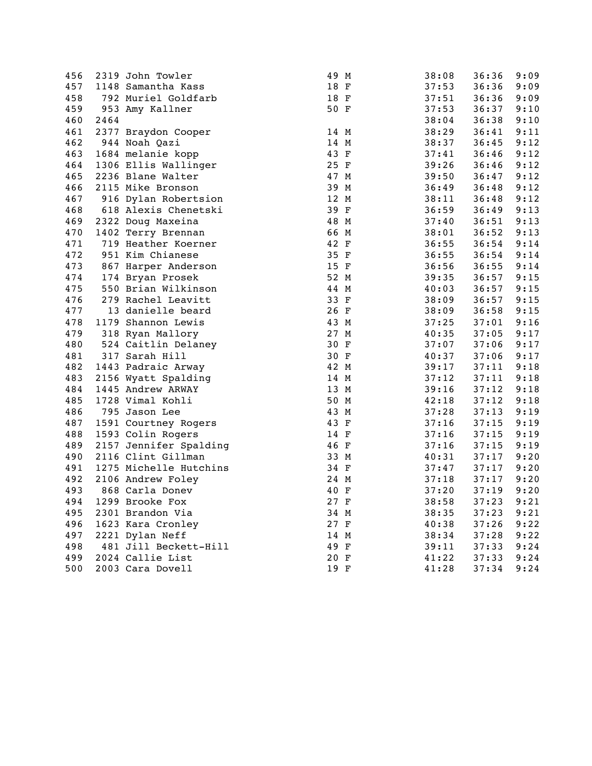| 456 |      | 2319 John Towler       | 49 M | 38:08 | 36:36 | 9:09 |
|-----|------|------------------------|------|-------|-------|------|
| 457 |      | 1148 Samantha Kass     | 18 F | 37:53 | 36:36 | 9:09 |
| 458 |      | 792 Muriel Goldfarb    | 18 F | 37:51 | 36:36 | 9:09 |
| 459 |      | 953 Amy Kallner        | 50 F | 37:53 | 36:37 | 9:10 |
| 460 | 2464 |                        |      | 38:04 | 36:38 | 9:10 |
| 461 |      | 2377 Braydon Cooper    | 14 M | 38:29 | 36:41 | 9:11 |
| 462 |      | 944 Noah Qazi          | 14 M | 38:37 | 36:45 | 9:12 |
| 463 |      | 1684 melanie kopp      | 43 F | 37:41 | 36:46 | 9:12 |
| 464 |      | 1306 Ellis Wallinger   | 25 F | 39:26 | 36:46 | 9:12 |
| 465 |      | 2236 Blane Walter      | 47 M | 39:50 | 36:47 | 9:12 |
| 466 |      | 2115 Mike Bronson      | 39 M | 36:49 | 36:48 | 9:12 |
| 467 |      | 916 Dylan Robertsion   | 12 M | 38:11 | 36:48 | 9:12 |
| 468 |      | 618 Alexis Chenetski   | 39 F | 36:59 | 36:49 | 9:13 |
| 469 |      | 2322 Doug Maxeina      | 48 M | 37:40 | 36:51 | 9:13 |
| 470 |      | 1402 Terry Brennan     | 66 M | 38:01 | 36:52 | 9:13 |
| 471 |      | 719 Heather Koerner    | 42 F | 36:55 | 36:54 | 9:14 |
| 472 |      | 951 Kim Chianese       | 35 F | 36:55 | 36:54 | 9:14 |
| 473 |      | 867 Harper Anderson    | 15 F | 36:56 | 36:55 | 9:14 |
| 474 |      | 174 Bryan Prosek       | 52 M | 39:35 | 36:57 | 9:15 |
| 475 |      | 550 Brian Wilkinson    | 44 M | 40:03 | 36:57 | 9:15 |
| 476 |      | 279 Rachel Leavitt     | 33 F | 38:09 | 36:57 | 9:15 |
| 477 |      | 13 danielle beard      | 26 F | 38:09 | 36:58 | 9:15 |
| 478 |      | 1179 Shannon Lewis     | 43 M | 37:25 | 37:01 | 9:16 |
| 479 |      | 318 Ryan Mallory       | 27 M | 40:35 | 37:05 | 9:17 |
| 480 |      | 524 Caitlin Delaney    | 30 F | 37:07 | 37:06 | 9:17 |
| 481 |      | 317 Sarah Hill         | 30 F | 40:37 | 37:06 | 9:17 |
| 482 |      | 1443 Padraic Arway     | 42 M | 39:17 | 37:11 | 9:18 |
| 483 |      | 2156 Wyatt Spalding    | 14 M | 37:12 | 37:11 | 9:18 |
| 484 |      | 1445 Andrew ARWAY      | 13 M | 39:16 | 37:12 | 9:18 |
| 485 |      | 1728 Vimal Kohli       | 50 M | 42:18 | 37:12 | 9:18 |
| 486 |      | 795 Jason Lee          | 43 M | 37:28 | 37:13 | 9:19 |
| 487 |      | 1591 Courtney Rogers   | 43 F | 37:16 | 37:15 | 9:19 |
| 488 |      | 1593 Colin Rogers      | 14 F | 37:16 | 37:15 | 9:19 |
| 489 |      | 2157 Jennifer Spalding | 46 F | 37:16 | 37:15 | 9:19 |
| 490 |      | 2116 Clint Gillman     | 33 M | 40:31 | 37:17 | 9:20 |
| 491 |      | 1275 Michelle Hutchins | 34 F | 37:47 | 37:17 | 9:20 |
| 492 |      | 2106 Andrew Foley      | 24 M | 37:18 | 37:17 | 9:20 |
| 493 |      | 868 Carla Donev        | 40 F | 37:20 | 37:19 | 9:20 |
| 494 |      | 1299 Brooke Fox        | 27 F | 38:58 | 37:23 | 9:21 |
| 495 |      | 2301 Brandon Via       | 34 M | 38:35 | 37:23 | 9:21 |
| 496 |      | 1623 Kara Cronley      | 27 F | 40:38 | 37:26 | 9:22 |
| 497 |      | 2221 Dylan Neff        | 14 M | 38:34 | 37:28 | 9:22 |
| 498 |      | 481 Jill Beckett-Hill  | 49 F | 39:11 | 37:33 | 9:24 |
| 499 |      | 2024 Callie List       | 20 F | 41:22 | 37:33 | 9:24 |
| 500 |      | 2003 Cara Dovell       | 19 F | 41:28 | 37:34 | 9:24 |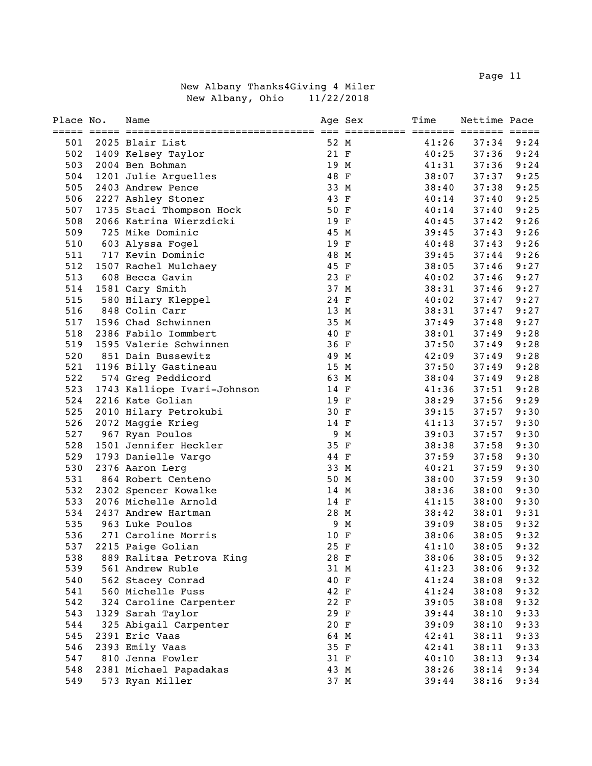Page 11 and the state of the state of the state of the state of the state of the state of the state of the state of the state of the state of the state of the state of the state of the state of the state of the state of th

| Place No.  | Name                                         |              | Age Sex | Time           | Nettime Pace   |              |
|------------|----------------------------------------------|--------------|---------|----------------|----------------|--------------|
|            |                                              | 52 M         |         |                | 37:34          |              |
| 501<br>502 | 2025 Blair List                              | 21 F         |         | 41:26<br>40:25 | 37:36          | 9:24<br>9:24 |
| 503        | 1409 Kelsey Taylor                           | 19 M         |         | 41:31          | 37:36          | 9:24         |
| 504        | 2004 Ben Bohman                              | 48 F         |         |                | 37:37          | 9:25         |
| 505        | 1201 Julie Arguelles                         |              |         | 38:07          |                | 9:25         |
|            | 2403 Andrew Pence                            | 33 M         |         | 38:40          | 37:38          |              |
| 506        | 2227 Ashley Stoner                           | 43 F         |         | 40:14          | 37:40          | 9:25<br>9:25 |
| 507<br>508 | 1735 Staci Thompson Hock                     | 50 F         |         | 40:14          | 37:40<br>37:42 |              |
| 509        | 2066 Katrina Wierzdicki                      | 19 F         |         | 40:45          |                | 9:26         |
|            | 725 Mike Dominic                             | 45 M         |         | 39:45          | 37:43          | 9:26         |
| 510        | 603 Alyssa Fogel                             | 19 F         |         | 40:48          | 37:43          | 9:26         |
| 511<br>512 | 717 Kevin Dominic                            | 48 M<br>45 F |         | 39:45          | 37:44          | 9:26<br>9:27 |
| 513        | 1507 Rachel Mulchaey<br>608 Becca Gavin      | 23 F         |         | 38:05          | 37:46<br>37:46 | 9:27         |
| 514        |                                              | 37 M         |         | 40:02          | 37:46          | 9:27         |
| 515        | 1581 Cary Smith                              | 24 F         |         | 38:31<br>40:02 |                | 9:27         |
|            | 580 Hilary Kleppel<br>848 Colin Carr         |              |         |                | 37:47          |              |
| 516        | 1596 Chad Schwinnen                          | 13 M         |         | 38:31          | 37:47          | 9:27         |
| 517        |                                              | 35 M         |         | 37:49          | 37:48          | 9:27         |
| 518        | 2386 Fabilo Iommbert                         | 40 F         |         | 38:01          | 37:49          | 9:28         |
| 519        | 1595 Valerie Schwinnen                       | 36 F         |         | 37:50          | 37:49          | 9:28         |
| 520        | 851 Dain Bussewitz                           | 49 M         |         | 42:09          | 37:49          | 9:28         |
| 521<br>522 | 1196 Billy Gastineau                         | 15 M         |         | 37:50          | 37:49          | 9:28         |
| 523        | 574 Greg Peddicord                           | 63 M         |         | 38:04          | 37:49          | 9:28         |
|            | 1743 Kalliope Ivari-Johnson                  | 14 F         |         | 41:36          | 37:51          | 9:28         |
| 524<br>525 | 2216 Kate Golian                             | 19 F<br>30 F |         | 38:29          | 37:56          | 9:29<br>9:30 |
| 526        | 2010 Hilary Petrokubi                        | 14 F         |         | 39:15          | 37:57          | 9:30         |
| 527        | 2072 Maggie Krieg                            |              | 9 M     | 41:13<br>39:03 | 37:57<br>37:57 | 9:30         |
| 528        | 967 Ryan Poulos                              | 35 F         |         | 38:38          | 37:58          | 9:30         |
| 529        | 1501 Jennifer Heckler                        | 44 F         |         | 37:59          | 37:58          | 9:30         |
| 530        | 1793 Danielle Vargo                          | 33 M         |         |                | 37:59          | 9:30         |
| 531        | 2376 Aaron Lerg                              | 50 M         |         | 40:21<br>38:00 | 37:59          | 9:30         |
| 532        | 864 Robert Centeno                           |              |         | 38:36          | 38:00          | 9:30         |
| 533        | 2302 Spencer Kowalke<br>2076 Michelle Arnold | 14 M<br>14 F |         | 41:15          | 38:00          | 9:30         |
| 534        | 2437 Andrew Hartman                          | 28 M         |         | 38:42          | 38:01          | 9:31         |
| 535        | 963 Luke Poulos                              |              | 9 M     | 39:09          | 38:05          | 9:32         |
| 536        | 271 Caroline Morris                          | 10 F         |         |                | 38:05          | 9:32         |
| 537        | 2215 Paige Golian                            | 25 F         |         | 38:06<br>41:10 | 38:05          | 9:32         |
| 538        | 889 Ralitsa Petrova King                     | 28 F         |         | 38:06          | 38:05          | 9:32         |
| 539        | 561 Andrew Ruble                             | 31 M         |         | 41:23          | 38:06          | 9:32         |
| 540        |                                              | 40 F         |         |                |                | 9:32         |
| 541        | 562 Stacey Conrad<br>560 Michelle Fuss       | 42 F         |         | 41:24          | 38:08          | 9:32         |
| 542        |                                              | 22 F         |         | 41:24<br>39:05 | 38:08<br>38:08 |              |
| 543        | 324 Caroline Carpenter                       | 29 F         |         | 39:44          | 38:10          | 9:32<br>9:33 |
| 544        | 1329 Sarah Taylor                            | 20 F         |         | 39:09          | 38:10          |              |
|            | 325 Abigail Carpenter                        |              |         |                | 38:11          | 9:33         |
| 545<br>546 | 2391 Eric Vaas<br>2393 Emily Vaas            | 64 M<br>35 F |         | 42:41          |                | 9:33<br>9:33 |
|            | 810 Jenna Fowler                             |              |         | 42:41          | 38:11          |              |
| 547<br>548 |                                              | 31 F<br>43 M |         | 40:10          | 38:13          | 9:34<br>9:34 |
|            | 2381 Michael Papadakas                       |              |         | 38:26          | 38:14          |              |
| 549        | 573 Ryan Miller                              | 37 M         |         | 39:44          | 38:16          | 9:34         |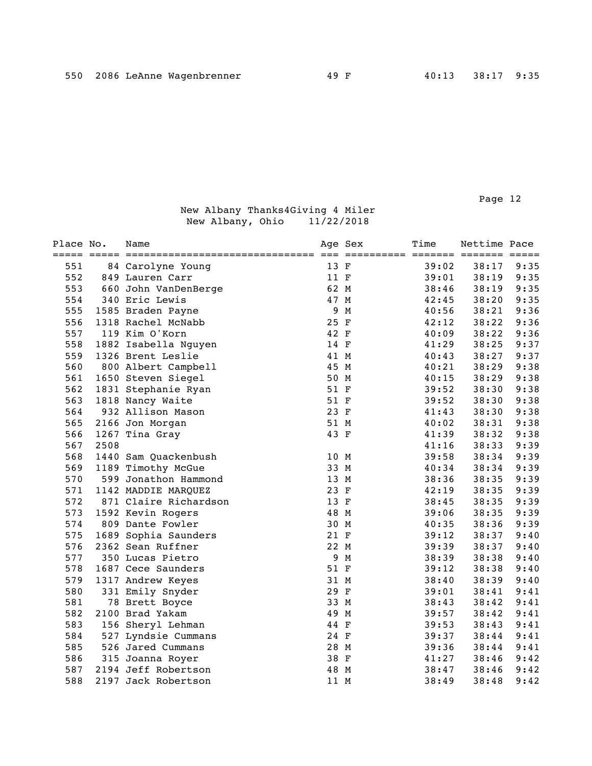| Place No. |      | Name                  |      | Age Sex<br>========== ======= ======= ===== | Time  | Nettime Pace |      |
|-----------|------|-----------------------|------|---------------------------------------------|-------|--------------|------|
| 551       |      | 84 Carolyne Young     | 13 F |                                             | 39:02 | 38:17        | 9:35 |
| 552       |      | 849 Lauren Carr       | 11 F |                                             | 39:01 | 38:19        | 9:35 |
| 553       |      | 660 John VanDenBerge  | 62 M |                                             | 38:46 | 38:19        | 9:35 |
| 554       |      | 340 Eric Lewis        | 47 M |                                             | 42:45 | 38:20        | 9:35 |
| 555       |      | 1585 Braden Payne     | 9    | М                                           | 40:56 | 38:21        | 9:36 |
| 556       |      | 1318 Rachel McNabb    | 25 F |                                             | 42:12 | 38:22        | 9:36 |
| 557       |      | 119 Kim O'Korn        | 42 F |                                             | 40:09 | 38:22        | 9:36 |
| 558       |      | 1882 Isabella Nguyen  | 14 F |                                             | 41:29 | 38:25        | 9:37 |
| 559       |      | 1326 Brent Leslie     | 41 M |                                             | 40:43 | 38:27        | 9:37 |
| 560       |      | 800 Albert Campbell   | 45 M |                                             | 40:21 | 38:29        | 9:38 |
| 561       |      | 1650 Steven Siegel    | 50 M |                                             | 40:15 | 38:29        | 9:38 |
| 562       |      | 1831 Stephanie Ryan   | 51 F |                                             | 39:52 | 38:30        | 9:38 |
| 563       |      | 1818 Nancy Waite      | 51 F |                                             | 39:52 | 38:30        | 9:38 |
| 564       |      | 932 Allison Mason     | 23 F |                                             | 41:43 | 38:30        | 9:38 |
| 565       |      | 2166 Jon Morgan       | 51 M |                                             | 40:02 | 38:31        | 9:38 |
| 566       |      | 1267 Tina Gray        | 43 F |                                             | 41:39 | 38:32        | 9:38 |
| 567       | 2508 |                       |      |                                             | 41:16 | 38:33        | 9:39 |
| 568       |      | 1440 Sam Quackenbush  | 10 M |                                             | 39:58 | 38:34        | 9:39 |
| 569       |      | 1189 Timothy McGue    | 33 M |                                             | 40:34 | 38:34        | 9:39 |
| 570       |      | 599 Jonathon Hammond  | 13 M |                                             | 38:36 | 38:35        | 9:39 |
| 571       |      | 1142 MADDIE MARQUEZ   | 23 F |                                             | 42:19 | 38:35        | 9:39 |
| 572       |      | 871 Claire Richardson | 13 F |                                             | 38:45 | 38:35        | 9:39 |
| 573       |      | 1592 Kevin Rogers     | 48 M |                                             | 39:06 | 38:35        | 9:39 |
| 574       |      | 809 Dante Fowler      | 30 M |                                             | 40:35 | 38:36        | 9:39 |
| 575       |      | 1689 Sophia Saunders  | 21 F |                                             | 39:12 | 38:37        | 9:40 |
| 576       |      | 2362 Sean Ruffner     | 22 M |                                             | 39:39 | 38:37        | 9:40 |
| 577       |      | 350 Lucas Pietro      |      | 9 M                                         | 38:39 | 38:38        | 9:40 |
| 578       |      | 1687 Cece Saunders    | 51 F |                                             | 39:12 | 38:38        | 9:40 |
| 579       |      | 1317 Andrew Keyes     | 31 M |                                             | 38:40 | 38:39        | 9:40 |
| 580       |      | 331 Emily Snyder      | 29 F |                                             | 39:01 | 38:41        | 9:41 |
| 581       |      | 78 Brett Boyce        | 33 M |                                             | 38:43 | 38:42        | 9:41 |
| 582       |      | 2100 Brad Yakam       | 49 M |                                             | 39:57 | 38:42        | 9:41 |
| 583       |      | 156 Sheryl Lehman     | 44 F |                                             | 39:53 | 38:43        | 9:41 |
| 584       |      | 527 Lyndsie Cummans   | 24 F |                                             | 39:37 | 38:44        | 9:41 |
| 585       |      | 526 Jared Cummans     | 28 M |                                             | 39:36 | 38:44        | 9:41 |
| 586       |      | 315 Joanna Royer      | 38 F |                                             | 41:27 | 38:46        | 9:42 |
| 587       |      | 2194 Jeff Robertson   | 48 M |                                             | 38:47 | 38:46        | 9:42 |
| 588       |      | 2197 Jack Robertson   | 11 M |                                             | 38:49 | 38:48        | 9:42 |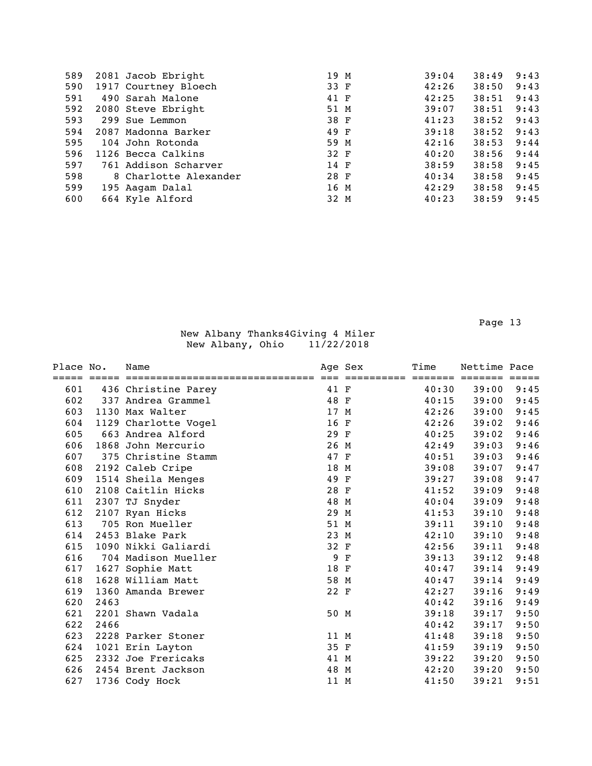| 589 | 2081 Jacob Ebright    | 19 M | 39:04 | 38:49 | 9:43 |
|-----|-----------------------|------|-------|-------|------|
| 590 | 1917 Courtney Bloech  | 33 F | 42:26 | 38:50 | 9:43 |
| 591 | 490 Sarah Malone      | 41 F | 42:25 | 38:51 | 9:43 |
| 592 | 2080 Steve Ebright    | 51 M | 39:07 | 38:51 | 9:43 |
| 593 | 299 Sue Lemmon        | 38 F | 41:23 | 38:52 | 9:43 |
| 594 | 2087 Madonna Barker   | 49 F | 39:18 | 38:52 | 9:43 |
| 595 | 104 John Rotonda      | 59 M | 42:16 | 38:53 | 9:44 |
| 596 | 1126 Becca Calkins    | 32 F | 40:20 | 38:56 | 9:44 |
| 597 | 761 Addison Scharver  | 14 F | 38:59 | 38:58 | 9:45 |
| 598 | 8 Charlotte Alexander | 28 F | 40:34 | 38:58 | 9:45 |
| 599 | 195 Aagam Dalal       | 16 M | 42:29 | 38:58 | 9:45 |
| 600 | 664 Kyle Alford       | 32 M | 40:23 | 38:59 | 9:45 |
|     |                       |      |       |       |      |

| Place No. |      | Name                 |      | Age Sex | Time  | Nettime Pace          |      |
|-----------|------|----------------------|------|---------|-------|-----------------------|------|
|           |      |                      |      |         |       | ======= ======= ===== |      |
| 601       |      | 436 Christine Parey  | 41 F |         | 40:30 | 39:00                 | 9:45 |
| 602       |      | 337 Andrea Grammel   | 48 F |         | 40:15 | 39:00                 | 9:45 |
| 603       |      | 1130 Max Walter      | 17 M |         | 42:26 | 39:00                 | 9:45 |
| 604       |      | 1129 Charlotte Vogel | 16 F |         | 42:26 | 39:02                 | 9:46 |
| 605       |      | 663 Andrea Alford    | 29 F |         | 40:25 | 39:02                 | 9:46 |
| 606       |      | 1868 John Mercurio   | 26 M |         | 42:49 | 39:03                 | 9:46 |
| 607       |      | 375 Christine Stamm  | 47 F |         | 40:51 | 39:03                 | 9:46 |
| 608       |      | 2192 Caleb Cripe     | 18 M |         | 39:08 | 39:07                 | 9:47 |
| 609       |      | 1514 Sheila Menges   | 49 F |         | 39:27 | 39:08                 | 9:47 |
| 610       |      | 2108 Caitlin Hicks   | 28 F |         | 41:52 | 39:09                 | 9:48 |
| 611       |      | 2307 TJ Snyder       | 48 M |         | 40:04 | 39:09                 | 9:48 |
| 612       |      | 2107 Ryan Hicks      | 29 M |         | 41:53 | 39:10                 | 9:48 |
| 613       |      | 705 Ron Mueller      | 51 M |         | 39:11 | 39:10                 | 9:48 |
| 614       |      | 2453 Blake Park      | 23 M |         | 42:10 | 39:10                 | 9:48 |
| 615       |      | 1090 Nikki Galiardi  | 32 F |         | 42:56 | 39:11                 | 9:48 |
| 616       |      | 704 Madison Mueller  |      | 9 F     | 39:13 | 39:12                 | 9:48 |
| 617       |      | 1627 Sophie Matt     | 18 F |         | 40:47 | 39:14                 | 9:49 |
| 618       |      | 1628 William Matt    | 58 M |         | 40:47 | 39:14                 | 9:49 |
| 619       |      | 1360 Amanda Brewer   | 22 F |         | 42:27 | 39:16                 | 9:49 |
| 620       | 2463 |                      |      |         | 40:42 | 39:16                 | 9:49 |
| 621       |      | 2201 Shawn Vadala    | 50 M |         | 39:18 | 39:17                 | 9:50 |
| 622       | 2466 |                      |      |         | 40:42 | 39:17                 | 9:50 |
| 623       |      | 2228 Parker Stoner   | 11 M |         | 41:48 | 39:18                 | 9:50 |
| 624       |      | 1021 Erin Layton     | 35 F |         | 41:59 | 39:19                 | 9:50 |
| 625       |      | 2332 Joe Frericaks   | 41 M |         | 39:22 | 39:20                 | 9:50 |
| 626       |      | 2454 Brent Jackson   | 48 M |         | 42:20 | 39:20                 | 9:50 |
| 627       |      | 1736 Cody Hock       | 11 M |         | 41:50 | 39:21                 | 9:51 |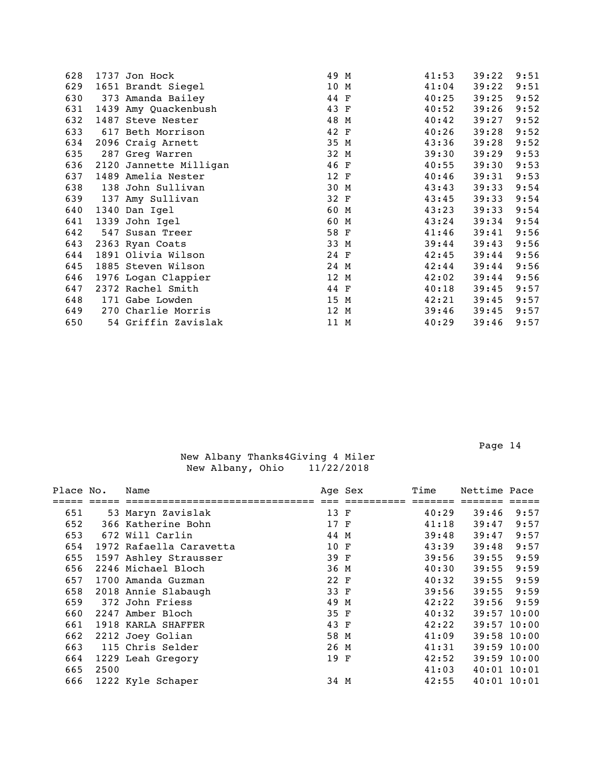| 628 | 1737 Jon Hock          | 49 M | 41:53 | 39:22 | 9:51 |
|-----|------------------------|------|-------|-------|------|
| 629 | 1651 Brandt Siegel     | 10 M | 41:04 | 39:22 | 9:51 |
| 630 | 373 Amanda Bailey      | 44 F | 40:25 | 39:25 | 9:52 |
| 631 | 1439 Amy Quackenbush   | 43 F | 40:52 | 39:26 | 9:52 |
| 632 | 1487 Steve Nester      | 48 M | 40:42 | 39:27 | 9:52 |
| 633 | 617 Beth Morrison      | 42 F | 40:26 | 39:28 | 9:52 |
| 634 | 2096 Craig Arnett      | 35 M | 43:36 | 39:28 | 9:52 |
| 635 | 287 Greg Warren        | 32 M | 39:30 | 39:29 | 9:53 |
| 636 | 2120 Jannette Milligan | 46 F | 40:55 | 39:30 | 9:53 |
| 637 | 1489 Amelia Nester     | 12 F | 40:46 | 39:31 | 9:53 |
| 638 | 138 John Sullivan      | 30 M | 43:43 | 39:33 | 9:54 |
| 639 | 137 Amy Sullivan       | 32 F | 43:45 | 39:33 | 9:54 |
| 640 | 1340 Dan Igel          | 60 M | 43:23 | 39:33 | 9:54 |
| 641 | 1339 John Igel         | 60 M | 43:24 | 39:34 | 9:54 |
| 642 | 547 Susan Treer        | 58 F | 41:46 | 39:41 | 9:56 |
| 643 | 2363 Ryan Coats        | 33 M | 39:44 | 39:43 | 9:56 |
| 644 | 1891 Olivia Wilson     | 24 F | 42:45 | 39:44 | 9:56 |
| 645 | 1885 Steven Wilson     | 24 M | 42:44 | 39:44 | 9:56 |
| 646 | 1976 Logan Clappier    | 12 M | 42:02 | 39:44 | 9:56 |
| 647 | 2372 Rachel Smith      | 44 F | 40:18 | 39:45 | 9:57 |
| 648 | 171 Gabe Lowden        | 15 M | 42:21 | 39:45 | 9:57 |
| 649 | 270 Charlie Morris     | 12 M | 39:46 | 39:45 | 9:57 |
| 650 | 54 Griffin Zavislak    | 11 M | 40:29 | 39:46 | 9:57 |
|     |                        |      |       |       |      |

| Place No. |      | Name                    |      | Age Sex | Time  | Nettime Pace  |      |
|-----------|------|-------------------------|------|---------|-------|---------------|------|
|           |      |                         |      |         |       |               |      |
| 651       |      | 53 Maryn Zavislak       | 13 F |         | 40:29 | 39:46         | 9:57 |
| 652       |      | 366 Katherine Bohn      | 17 F |         | 41:18 | 39:47         | 9:57 |
| 653       |      | 672 Will Carlin         | 44 M |         | 39:48 | 39:47         | 9:57 |
| 654       |      | 1972 Rafaella Caravetta | 10 F |         | 43:39 | 39:48         | 9:57 |
| 655       |      | 1597 Ashley Strausser   | 39 F |         | 39:56 | 39:55         | 9:59 |
| 656       |      | 2246 Michael Bloch      | 36 M |         | 40:30 | 39:55         | 9:59 |
| 657       |      | 1700 Amanda Guzman      | 22 F |         | 40:32 | 39:55         | 9:59 |
| 658       |      | 2018 Annie Slabaugh     | 33 F |         | 39:56 | 39:55         | 9:59 |
| 659       |      | 372 John Friess         | 49 M |         | 42:22 | 39:56         | 9:59 |
| 660       |      | 2247 Amber Bloch        | 35 F |         | 40:32 | 39:57 10:00   |      |
| 661       |      | 1918 KARLA SHAFFER      | 43 F |         | 42:22 | 39:57 10:00   |      |
| 662       |      | 2212 Joey Golian        | 58 M |         | 41:09 | 39:58 10:00   |      |
| 663       |      | 115 Chris Selder        | 26 M |         | 41:31 | $39:59$ 10:00 |      |
| 664       |      | 1229 Leah Gregory       | 19 F |         | 42:52 | 39:59 10:00   |      |
| 665       | 2500 |                         |      |         | 41:03 | 40:01 10:01   |      |
| 666       |      | 1222 Kyle Schaper       | 34 M |         | 42:55 | $40:01$ 10:01 |      |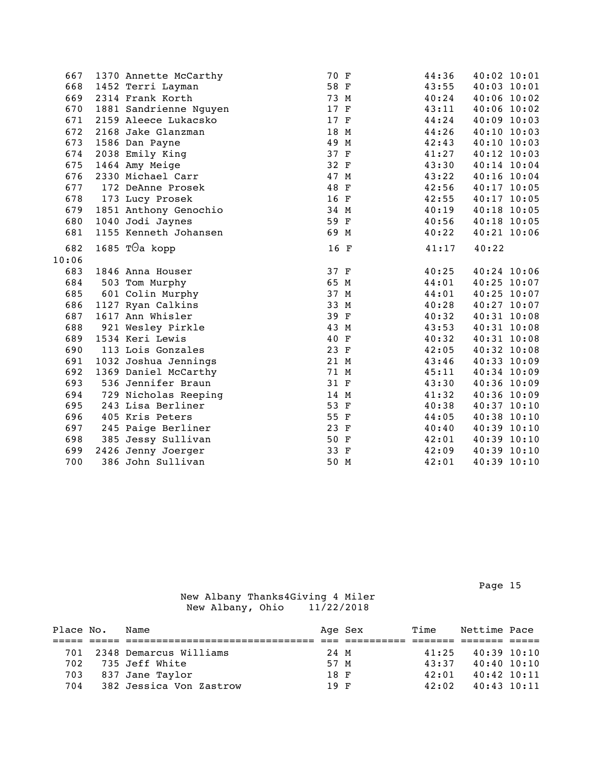| 667   | 1370 Annette McCarthy  | 70 F | 44:36 | 40:02 10:01     |
|-------|------------------------|------|-------|-----------------|
| 668   | 1452 Terri Layman      | 58 F | 43:55 | $40:03$ $10:01$ |
| 669   | 2314 Frank Korth       | 73 M | 40:24 | $40:06$ 10:02   |
| 670   | 1881 Sandrienne Nguyen | 17 F | 43:11 | $40:06$ 10:02   |
| 671   | 2159 Aleece Lukacsko   | 17 F | 44:24 | $40:09$ 10:03   |
| 672   | 2168 Jake Glanzman     | 18 M | 44:26 | 40:10 10:03     |
| 673   | 1586 Dan Payne         | 49 M | 42:43 | 40:10 10:03     |
| 674   | 2038 Emily King        | 37 F | 41:27 | 40:12 10:03     |
| 675   | 1464 Amy Meige         | 32 F | 43:30 | 40:14 10:04     |
| 676   | 2330 Michael Carr      | 47 M | 43:22 | $40:16$ $10:04$ |
| 677   | 172 DeAnne Prosek      | 48 F | 42:56 | 40:17 10:05     |
| 678   | 173 Lucy Prosek        | 16 F | 42:55 | 40:17 10:05     |
| 679   | 1851 Anthony Genochio  | 34 M | 40:19 | 40:18 10:05     |
| 680   | 1040 Jodi Jaynes       | 59 F | 40:56 | 40:18 10:05     |
| 681   | 1155 Kenneth Johansen  | 69 M | 40:22 | 40:21 10:06     |
| 682   | 1685 T $\Theta$ a kopp | 16 F | 41:17 | 40:22           |
| 10:06 |                        |      |       |                 |
| 683   | 1846 Anna Houser       | 37 F | 40:25 | 40:24 10:06     |
| 684   | 503 Tom Murphy         | 65 M | 44:01 | $40:25$ 10:07   |
| 685   | 601 Colin Murphy       | 37 M | 44:01 | 40:25 10:07     |
| 686   | 1127 Ryan Calkins      | 33 M | 40:28 | 40:27 10:07     |
| 687   | 1617 Ann Whisler       | 39 F | 40:32 | 40:31 10:08     |
| 688   | 921 Wesley Pirkle      | 43 M | 43:53 | 40:31 10:08     |
| 689   | 1534 Keri Lewis        | 40 F | 40:32 | 40:31 10:08     |
| 690   | 113 Lois Gonzales      | 23 F | 42:05 | 40:32 10:08     |
| 691   | 1032 Joshua Jennings   | 21 M | 43:46 | 40:33 10:09     |
| 692   | 1369 Daniel McCarthy   | 71 M | 45:11 | 40:34 10:09     |
| 693   | 536 Jennifer Braun     | 31 F | 43:30 | 40:36 10:09     |
| 694   | 729 Nicholas Reeping   | 14 M | 41:32 | 40:36 10:09     |
| 695   | 243 Lisa Berliner      | 53 F | 40:38 | 40:37 10:10     |
| 696   | 405 Kris Peters        | 55 F | 44:05 | 40:38 10:10     |
| 697   | 245 Paige Berliner     | 23 F | 40:40 | 40:39 10:10     |
| 698   | 385 Jessy Sullivan     | 50 F | 42:01 | 40:39 10:10     |
| 699   | 2426 Jenny Joerger     | 33 F | 42:09 | 40:39 10:10     |
| 700   | 386 John Sullivan      | 50 M | 42:01 | 40:39 10:10     |

Page 15

| Place No. | Name                    |      | Age Sex | Time  | Nettime Pace    |  |
|-----------|-------------------------|------|---------|-------|-----------------|--|
|           |                         |      |         |       |                 |  |
| 701       | 2348 Demarcus Williams  | 24 M |         | 41:25 | $40:39$ $10:10$ |  |
| 702       | 735 Jeff White          | 57 M |         | 43:37 | $40:40$ $10:10$ |  |
| 703       | 837 Jane Taylor         | 18 F |         | 42:01 | $40:42$ $10:11$ |  |
| 704       | 382 Jessica Von Zastrow | 19 F |         | 42:02 | $40:43$ 10:11   |  |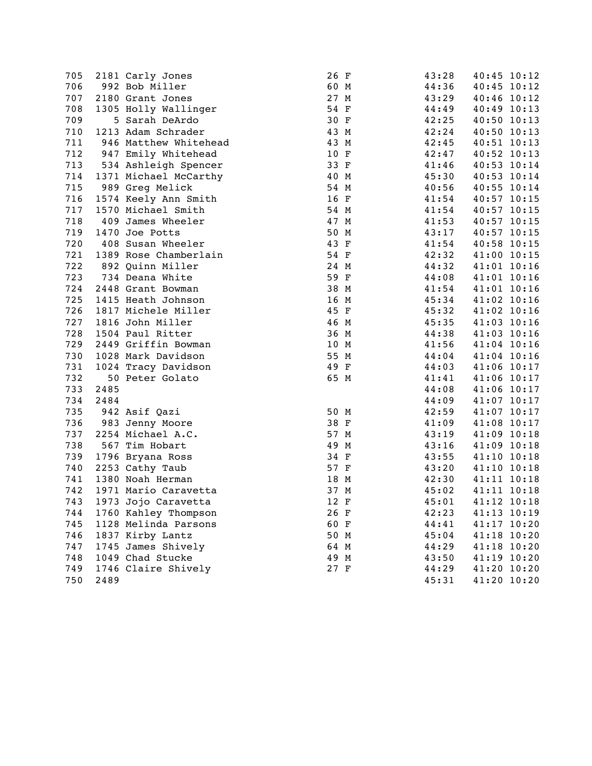| 705 |      | 2181 Carly Jones      | 26 F | 43:28 | 40:45 10:12 |
|-----|------|-----------------------|------|-------|-------------|
| 706 |      | 992 Bob Miller        | 60 M | 44:36 | 40:45 10:12 |
| 707 |      | 2180 Grant Jones      | 27 M | 43:29 | 40:46 10:12 |
| 708 |      | 1305 Holly Wallinger  | 54 F | 44:49 | 40:49 10:13 |
| 709 |      | 5 Sarah DeArdo        | 30 F | 42:25 | 40:50 10:13 |
| 710 |      | 1213 Adam Schrader    | 43 M | 42:24 | 40:50 10:13 |
| 711 |      | 946 Matthew Whitehead | 43 M | 42:45 | 40:51 10:13 |
| 712 |      | 947 Emily Whitehead   | 10 F | 42:47 | 40:52 10:13 |
| 713 |      | 534 Ashleigh Spencer  | 33 F | 41:46 | 40:53 10:14 |
| 714 |      | 1371 Michael McCarthy | 40 M | 45:30 | 40:53 10:14 |
| 715 |      | 989 Greg Melick       | 54 M | 40:56 | 40:55 10:14 |
| 716 |      | 1574 Keely Ann Smith  | 16 F | 41:54 | 40:57 10:15 |
| 717 |      | 1570 Michael Smith    | 54 M | 41:54 | 40:57 10:15 |
| 718 |      | 409 James Wheeler     | 47 M | 41:53 | 40:57 10:15 |
| 719 |      | 1470 Joe Potts        | 50 M | 43:17 | 40:57 10:15 |
| 720 |      | 408 Susan Wheeler     | 43 F | 41:54 | 40:58 10:15 |
| 721 |      | 1389 Rose Chamberlain | 54 F | 42:32 | 41:00 10:15 |
| 722 |      | 892 Quinn Miller      | 24 M | 44:32 | 41:01 10:16 |
| 723 |      | 734 Deana White       | 59 F | 44:08 | 41:01 10:16 |
| 724 |      | 2448 Grant Bowman     | 38 M | 41:54 | 41:01 10:16 |
| 725 |      | 1415 Heath Johnson    | 16 M | 45:34 | 41:02 10:16 |
| 726 |      | 1817 Michele Miller   | 45 F | 45:32 | 41:02 10:16 |
| 727 |      | 1816 John Miller      | 46 M | 45:35 | 41:03 10:16 |
| 728 |      | 1504 Paul Ritter      | 36 M | 44:38 | 41:03 10:16 |
| 729 |      | 2449 Griffin Bowman   | 10 M | 41:56 | 41:04 10:16 |
| 730 |      | 1028 Mark Davidson    | 55 M | 44:04 | 41:04 10:16 |
| 731 |      | 1024 Tracy Davidson   | 49 F | 44:03 | 41:06 10:17 |
| 732 |      | 50 Peter Golato       | 65 M | 41:41 | 41:06 10:17 |
| 733 | 2485 |                       |      | 44:08 | 41:06 10:17 |
| 734 | 2484 |                       |      | 44:09 | 41:07 10:17 |
| 735 |      | 942 Asif Qazi         | 50 M | 42:59 | 41:07 10:17 |
| 736 |      | 983 Jenny Moore       | 38 F | 41:09 | 41:08 10:17 |
| 737 |      | 2254 Michael A.C.     | 57 M | 43:19 | 41:09 10:18 |
| 738 |      | 567 Tim Hobart        | 49 M | 43:16 | 41:09 10:18 |
| 739 |      | 1796 Bryana Ross      | 34 F | 43:55 | 41:10 10:18 |
| 740 |      | 2253 Cathy Taub       | 57 F | 43:20 | 41:10 10:18 |
| 741 |      | 1380 Noah Herman      | 18 M | 42:30 | 41:11 10:18 |
| 742 |      | 1971 Mario Caravetta  | 37 M | 45:02 | 41:11 10:18 |
| 743 |      | 1973 Jojo Caravetta   | 12 F | 45:01 | 41:12 10:18 |
| 744 |      | 1760 Kahley Thompson  | 26 F | 42:23 | 41:13 10:19 |
| 745 |      | 1128 Melinda Parsons  | 60 F | 44:41 | 41:17 10:20 |
| 746 |      | 1837 Kirby Lantz      | 50 M | 45:04 | 41:18 10:20 |
| 747 |      | 1745 James Shively    | 64 M | 44:29 | 41:18 10:20 |
| 748 |      | 1049 Chad Stucke      | 49 M | 43:50 | 41:19 10:20 |
| 749 |      | 1746 Claire Shively   | 27 F | 44:29 | 41:20 10:20 |
| 750 | 2489 |                       |      | 45:31 | 41:20 10:20 |
|     |      |                       |      |       |             |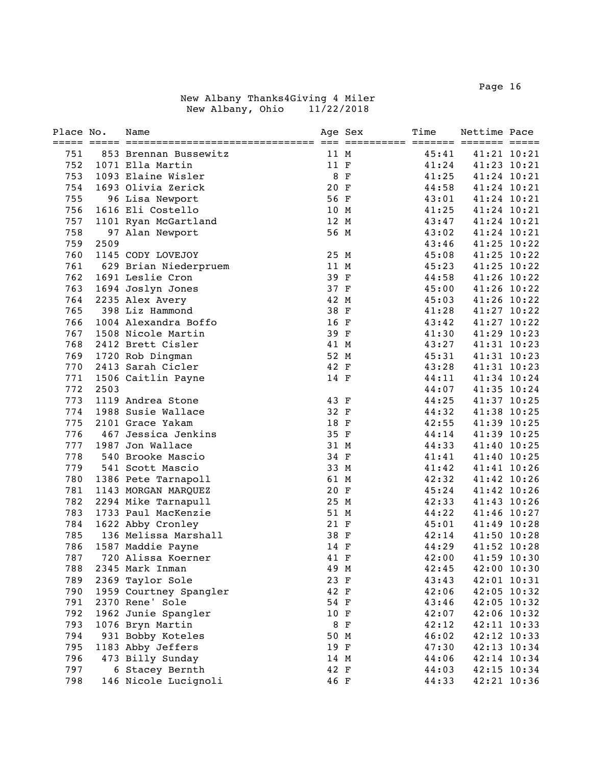| Place No. |      | Name                   |      | Age Sex | Time  | Nettime Pace |             |
|-----------|------|------------------------|------|---------|-------|--------------|-------------|
| 751       |      | 853 Brennan Bussewitz  | 11 M |         | 45:41 |              | 41:21 10:21 |
| 752       |      | 1071 Ella Martin       | 11 F |         | 41:24 |              | 41:23 10:21 |
| 753       |      | 1093 Elaine Wisler     | 8 F  |         | 41:25 |              | 41:24 10:21 |
| 754       |      | 1693 Olivia Zerick     | 20 F |         | 44:58 |              | 41:24 10:21 |
| 755       |      | 96 Lisa Newport        | 56 F |         | 43:01 |              | 41:24 10:21 |
| 756       |      | 1616 Eli Costello      | 10 M |         | 41:25 |              | 41:24 10:21 |
| 757       |      | 1101 Ryan McGartland   | 12 M |         | 43:47 | 41:24 10:21  |             |
| 758       |      | 97 Alan Newport        | 56 M |         | 43:02 |              | 41:24 10:21 |
| 759       | 2509 |                        |      |         | 43:46 | 41:25 10:22  |             |
| 760       |      | 1145 CODY LOVEJOY      | 25 M |         | 45:08 |              | 41:25 10:22 |
| 761       |      | 629 Brian Niederpruem  | 11 M |         | 45:23 |              | 41:25 10:22 |
| 762       |      | 1691 Leslie Cron       | 39 F |         | 44:58 | 41:26 10:22  |             |
| 763       |      | 1694 Joslyn Jones      | 37 F |         | 45:00 |              | 41:26 10:22 |
| 764       |      | 2235 Alex Avery        | 42 M |         | 45:03 |              | 41:26 10:22 |
| 765       |      | 398 Liz Hammond        | 38 F |         | 41:28 |              | 41:27 10:22 |
| 766       |      | 1004 Alexandra Boffo   | 16 F |         | 43:42 |              | 41:27 10:22 |
| 767       |      | 1508 Nicole Martin     | 39 F |         | 41:30 |              | 41:29 10:23 |
| 768       |      | 2412 Brett Cisler      | 41 M |         | 43:27 |              | 41:31 10:23 |
| 769       |      | 1720 Rob Dingman       | 52 M |         | 45:31 |              | 41:31 10:23 |
| 770       |      | 2413 Sarah Cicler      | 42 F |         | 43:28 | 41:31 10:23  |             |
| 771       |      | 1506 Caitlin Payne     | 14 F |         | 44:11 | 41:34 10:24  |             |
| 772       | 2503 |                        |      |         | 44:07 | 41:35 10:24  |             |
| 773       |      | 1119 Andrea Stone      | 43 F |         | 44:25 | 41:37 10:25  |             |
| 774       |      | 1988 Susie Wallace     | 32 F |         | 44:32 | 41:38 10:25  |             |
| 775       |      | 2101 Grace Yakam       | 18 F |         | 42:55 | 41:39 10:25  |             |
| 776       |      | 467 Jessica Jenkins    | 35 F |         | 44:14 |              | 41:39 10:25 |
| 777       |      | 1987 Jon Wallace       | 31 M |         | 44:33 |              | 41:40 10:25 |
| 778       |      | 540 Brooke Mascio      | 34 F |         | 41:41 |              | 41:40 10:25 |
| 779       |      | 541 Scott Mascio       | 33 M |         | 41:42 |              | 41:41 10:26 |
| 780       |      | 1386 Pete Tarnapoll    | 61 M |         | 42:32 |              | 41:42 10:26 |
| 781       |      | 1143 MORGAN MARQUEZ    | 20 F |         | 45:24 |              | 41:42 10:26 |
| 782       |      | 2294 Mike Tarnapull    | 25 M |         | 42:33 |              | 41:43 10:26 |
| 783       |      | 1733 Paul MacKenzie    | 51 M |         | 44:22 |              | 41:46 10:27 |
| 784       |      | 1622 Abby Cronley      | 21 F |         | 45:01 |              | 41:49 10:28 |
| 785       |      | 136 Melissa Marshall   | 38 F |         | 42:14 |              | 41:50 10:28 |
| 786       |      | 1587 Maddie Payne      | 14 F |         | 44:29 |              | 41:52 10:28 |
| 787       |      | 720 Alissa Koerner     | 41 F |         | 42:00 |              | 41:59 10:30 |
| 788       |      | 2345 Mark Inman        | 49 M |         | 42:45 |              | 42:00 10:30 |
| 789       |      | 2369 Taylor Sole       | 23 F |         | 43:43 |              | 42:01 10:31 |
| 790       |      | 1959 Courtney Spangler | 42 F |         | 42:06 |              | 42:05 10:32 |
| 791       |      | 2370 Rene' Sole        | 54 F |         | 43:46 |              | 42:05 10:32 |
| 792       |      | 1962 Junie Spangler    | 10 F |         | 42:07 |              | 42:06 10:32 |
| 793       |      | 1076 Bryn Martin       |      | 8 F     | 42:12 |              | 42:11 10:33 |
| 794       |      | 931 Bobby Koteles      | 50 M |         | 46:02 |              | 42:12 10:33 |
| 795       |      | 1183 Abby Jeffers      | 19 F |         | 47:30 |              | 42:13 10:34 |
| 796       |      | 473 Billy Sunday       | 14 M |         | 44:06 |              | 42:14 10:34 |
| 797       |      | 6 Stacey Bernth        | 42 F |         | 44:03 |              | 42:15 10:34 |
| 798       |      | 146 Nicole Lucignoli   | 46 F |         | 44:33 |              | 42:21 10:36 |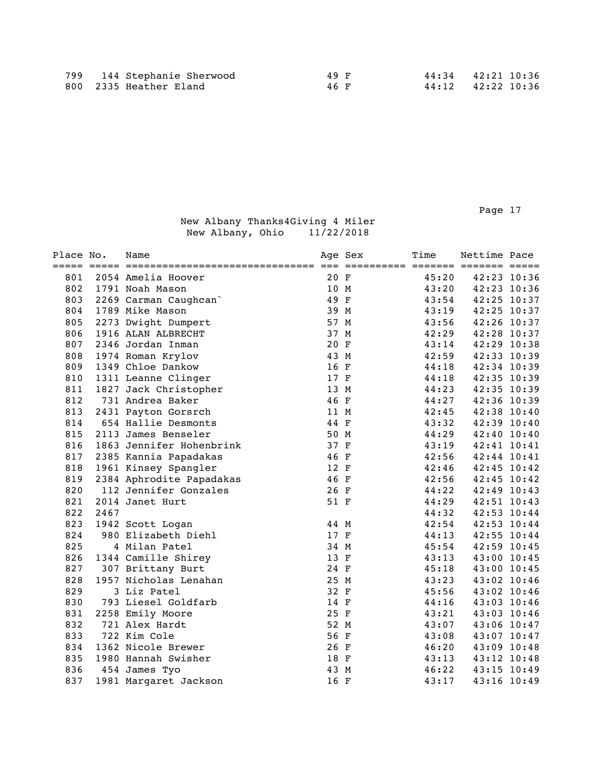| Place No. |      | Name                     |      | Age Sex | Time  | Nettime Pace |             |
|-----------|------|--------------------------|------|---------|-------|--------------|-------------|
| 801       |      | 2054 Amelia Hoover       | 20 F |         | 45:20 | 42:23 10:36  |             |
| 802       |      | 1791 Noah Mason          | 10 M |         | 43:20 | 42:23 10:36  |             |
| 803       |      | 2269 Carman Caughcan     | 49 F |         | 43:54 | 42:25 10:37  |             |
| 804       |      | 1789 Mike Mason          | 39 M |         | 43:19 | 42:25 10:37  |             |
| 805       |      | 2273 Dwight Dumpert      | 57 M |         | 43:56 | 42:26 10:37  |             |
| 806       |      | 1916 ALAN ALBRECHT       | 37 M |         | 42:29 | 42:28 10:37  |             |
| 807       |      | 2346 Jordan Inman        | 20 F |         | 43:14 | 42:29 10:38  |             |
| 808       |      | 1974 Roman Krylov        | 43 M |         | 42:59 | 42:33 10:39  |             |
| 809       |      | 1349 Chloe Dankow        | 16 F |         | 44:18 | 42:34 10:39  |             |
| 810       |      | 1311 Leanne Clinger      | 17 F |         | 44:18 | 42:35 10:39  |             |
| 811       |      | 1827 Jack Christopher    | 13 M |         | 44:23 | 42:35 10:39  |             |
| 812       |      | 731 Andrea Baker         | 46 F |         | 44:27 | 42:36 10:39  |             |
| 813       |      | 2431 Payton Gorsrch      | 11 M |         | 42:45 | 42:38 10:40  |             |
| 814       |      | 654 Hallie Desmonts      | 44 F |         | 43:32 | 42:39 10:40  |             |
| 815       |      | 2113 James Benseler      | 50 M |         | 44:29 | 42:40 10:40  |             |
| 816       |      | 1863 Jennifer Hohenbrink | 37 F |         | 43:19 | 42:41 10:41  |             |
| 817       |      | 2385 Kannia Papadakas    | 46 F |         | 42:56 | 42:44 10:41  |             |
| 818       |      | 1961 Kinsey Spangler     | 12 F |         | 42:46 | 42:45 10:42  |             |
| 819       |      | 2384 Aphrodite Papadakas | 46 F |         | 42:56 | 42:45 10:42  |             |
| 820       |      | 112 Jennifer Gonzales    | 26 F |         | 44:22 | 42:49 10:43  |             |
| 821       |      | 2014 Janet Hurt          | 51 F |         | 44:29 | 42:51 10:43  |             |
| 822       | 2467 |                          |      |         | 44:32 | 42:53 10:44  |             |
| 823       |      | 1942 Scott Logan         | 44 M |         | 42:54 | 42:53 10:44  |             |
| 824       |      | 980 Elizabeth Diehl      | 17 F |         | 44:13 | 42:55 10:44  |             |
| 825       |      | 4 Milan Patel            | 34 M |         | 45:54 | 42:59 10:45  |             |
| 826       |      | 1344 Camille Shirey      | 13 F |         | 43:13 | 43:00 10:45  |             |
| 827       |      | 307 Brittany Burt        | 24 F |         | 45:18 | 43:00 10:45  |             |
| 828       |      | 1957 Nicholas Lenahan    | 25 M |         | 43:23 | 43:02 10:46  |             |
| 829       |      | 3 Liz Patel              | 32 F |         | 45:56 |              | 43:02 10:46 |
| 830       |      | 793 Liesel Goldfarb      | 14 F |         | 44:16 |              | 43:03 10:46 |
| 831       |      | 2258 Emily Moore         | 25 F |         | 43:21 |              | 43:03 10:46 |
| 832       |      | 721 Alex Hardt           | 52 M |         | 43:07 |              | 43:06 10:47 |
| 833       |      | 722 Kim Cole             | 56 F |         | 43:08 | 43:07 10:47  |             |
| 834       |      | 1362 Nicole Brewer       | 26 F |         | 46:20 | 43:09 10:48  |             |
| 835       |      | 1980 Hannah Swisher      | 18 F |         | 43:13 | 43:12 10:48  |             |
| 836       |      | 454 James Tyo            | 43 M |         | 46:22 | 43:15 10:49  |             |
| 837       |      | 1981 Margaret Jackson    | 16 F |         | 43:17 | 43:16 10:49  |             |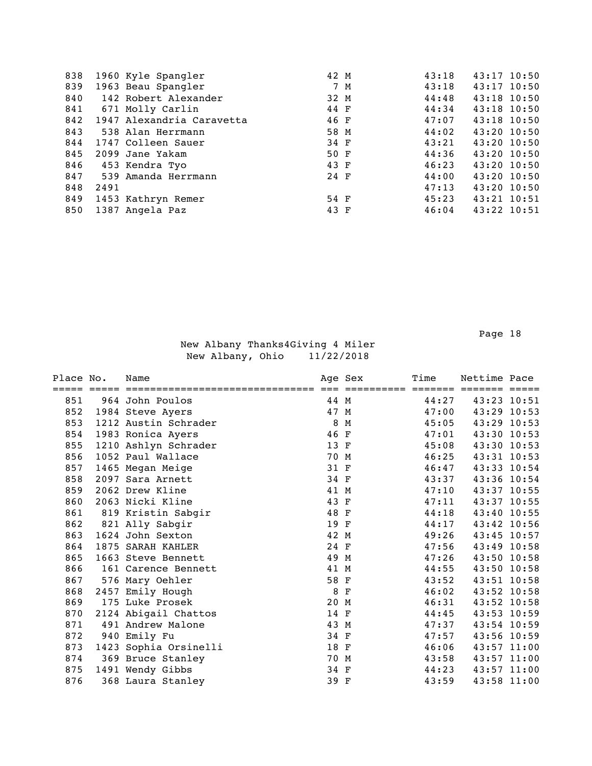| 838 |      | 1960 Kyle Spangler        | 42 M |     | 43:18 | $43:17$ 10:50 |  |
|-----|------|---------------------------|------|-----|-------|---------------|--|
| 839 |      | 1963 Beau Spangler        |      | 7 M | 43:18 | $43:17$ 10:50 |  |
| 840 |      | 142 Robert Alexander      | 32 M |     | 44:48 | 43:18 10:50   |  |
| 841 |      | 671 Molly Carlin          | 44 F |     | 44:34 | 43:18 10:50   |  |
| 842 |      | 1947 Alexandria Caravetta | 46 F |     | 47:07 | 43:18 10:50   |  |
| 843 |      | 538 Alan Herrmann         | 58 M |     | 44:02 | $43:20$ 10:50 |  |
| 844 |      | 1747 Colleen Sauer        | 34 F |     | 43:21 | 43:20 10:50   |  |
| 845 |      | 2099 Jane Yakam           | 50 F |     | 44:36 | 43:20 10:50   |  |
| 846 |      | 453 Kendra Tyo            | 43 F |     | 46:23 | $43:20$ 10:50 |  |
| 847 |      | 539 Amanda Herrmann       | 24 F |     | 44:00 | 43:20 10:50   |  |
| 848 | 2491 |                           |      |     | 47:13 | $43:20$ 10:50 |  |
| 849 |      | 1453 Kathryn Remer        | 54 F |     | 45:23 | 43:21 10:51   |  |
| 850 |      | 1387 Angela Paz           | 43 F |     | 46:04 | 43:22 10:51   |  |
|     |      |                           |      |     |       |               |  |

| Place No. | Name                  |      | Age Sex     | Time    | Nettime Pace  |  |
|-----------|-----------------------|------|-------------|---------|---------------|--|
|           |                       |      |             | $=====$ |               |  |
| 851       | 964 John Poulos       | 44 M |             | 44:27   | 43:23 10:51   |  |
| 852       | 1984 Steve Ayers      | 47 M |             | 47:00   | 43:29 10:53   |  |
| 853       | 1212 Austin Schrader  | 8    | M           | 45:05   | $43:29$ 10:53 |  |
| 854       | 1983 Ronica Ayers     | 46 F |             | 47:01   | 43:30 10:53   |  |
| 855       | 1210 Ashlyn Schrader  | 13 F |             | 45:08   | 43:30 10:53   |  |
| 856       | 1052 Paul Wallace     | 70 M |             | 46:25   | 43:31 10:53   |  |
| 857       | 1465 Megan Meige      | 31 F |             | 46:47   | 43:33 10:54   |  |
| 858       | 2097 Sara Arnett      | 34 F |             | 43:37   | 43:36 10:54   |  |
| 859       | 2062 Drew Kline       | 41 M |             | 47:10   | 43:37 10:55   |  |
| 860       | 2063 Nicki Kline      | 43 F |             | 47:11   | 43:37 10:55   |  |
| 861       | 819 Kristin Sabgir    | 48 F |             | 44:18   | 43:40 10:55   |  |
| 862       | 821 Ally Sabgir       | 19 F |             | 44:17   | 43:42 10:56   |  |
| 863       | 1624 John Sexton      | 42 M |             | 49:26   | 43:45 10:57   |  |
| 864       | 1875 SARAH KAHLER     | 24 F |             | 47:56   | 43:49 10:58   |  |
| 865       | 1663 Steve Bennett    | 49 M |             | 47:26   | 43:50 10:58   |  |
| 866       | 161 Carence Bennett   | 41 M |             | 44:55   | 43:50 10:58   |  |
| 867       | 576 Mary Oehler       | 58 F |             | 43:52   | 43:51 10:58   |  |
| 868       | 2457 Emily Hough      | 8    | $\mathbf F$ | 46:02   | 43:52 10:58   |  |
| 869       | 175 Luke Prosek       | 20 M |             | 46:31   | 43:52 10:58   |  |
| 870       | 2124 Abigail Chattos  | 14 F |             | 44:45   | 43:53 10:59   |  |
| 871       | 491 Andrew Malone     | 43 M |             | 47:37   | 43:54 10:59   |  |
| 872       | 940 Emily Fu          | 34 F |             | 47:57   | 43:56 10:59   |  |
| 873       | 1423 Sophia Orsinelli | 18 F |             | 46:06   | 43:57 11:00   |  |
| 874       | 369 Bruce Stanley     | 70 M |             | 43:58   | 43:57 11:00   |  |
| 875       | 1491 Wendy Gibbs      | 34 F |             | 44:23   | 43:57 11:00   |  |
| 876       | 368 Laura Stanley     | 39 F |             | 43:59   | 43:58 11:00   |  |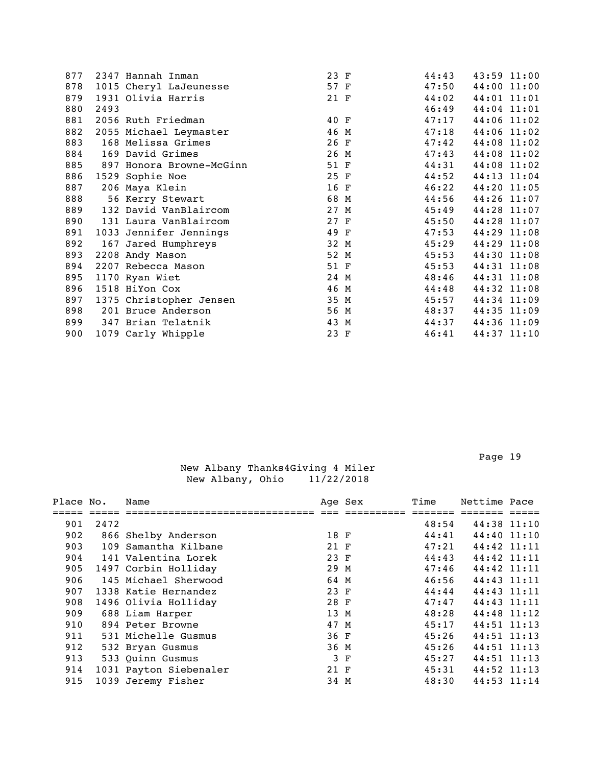| 877 |      | 2347 Hannah Inman        | 23 F | 44:43 | 43:59 11:00 |
|-----|------|--------------------------|------|-------|-------------|
| 878 |      | 1015 Cheryl LaJeunesse   | 57 F | 47:50 | 44:00 11:00 |
| 879 |      | 1931 Olivia Harris       | 21 F | 44:02 | 44:01 11:01 |
| 880 | 2493 |                          |      | 46:49 | 44:04 11:01 |
| 881 |      | 2056 Ruth Friedman       | 40 F | 47:17 | 44:06 11:02 |
| 882 |      | 2055 Michael Leymaster   | 46 M | 47:18 | 44:06 11:02 |
| 883 |      | 168 Melissa Grimes       | 26 F | 47:42 | 44:08 11:02 |
| 884 |      | 169 David Grimes         | 26 M | 47:43 | 44:08 11:02 |
| 885 |      | 897 Honora Browne-McGinn | 51 F | 44:31 | 44:08 11:02 |
| 886 |      | 1529 Sophie Noe          | 25 F | 44:52 | 44:13 11:04 |
| 887 |      | 206 Maya Klein           | 16 F | 46:22 | 44:20 11:05 |
| 888 |      | 56 Kerry Stewart         | 68 M | 44:56 | 44:26 11:07 |
| 889 |      | 132 David VanBlaircom    | 27 M | 45:49 | 44:28 11:07 |
| 890 |      | 131 Laura VanBlaircom    | 27 F | 45:50 | 44:28 11:07 |
| 891 |      | 1033 Jennifer Jennings   | 49 F | 47:53 | 44:29 11:08 |
| 892 |      | 167 Jared Humphreys      | 32 M | 45:29 | 44:29 11:08 |
| 893 |      | 2208 Andy Mason          | 52 M | 45:53 | 44:30 11:08 |
| 894 |      | 2207 Rebecca Mason       | 51 F | 45:53 | 44:31 11:08 |
| 895 |      | 1170 Ryan Wiet           | 24 M | 48:46 | 44:31 11:08 |
| 896 |      | 1518 HiYon Cox           | 46 M | 44:48 | 44:32 11:08 |
| 897 |      | 1375 Christopher Jensen  | 35 M | 45:57 | 44:34 11:09 |
| 898 |      | 201 Bruce Anderson       | 56 M | 48:37 | 44:35 11:09 |
| 899 |      | 347 Brian Telatnik       | 43 M | 44:37 | 44:36 11:09 |
| 900 |      | 1079 Carly Whipple       | 23 F | 46:41 | 44:37 11:10 |
|     |      |                          |      |       |             |

| Place No. |      | Name                   |      | Age Sex | Time  | Nettime Pace |  |
|-----------|------|------------------------|------|---------|-------|--------------|--|
|           |      |                        |      |         |       |              |  |
| 901       | 2472 |                        |      |         | 48:54 | 44:38 11:10  |  |
| 902       |      | 866 Shelby Anderson    | 18 F |         | 44:41 | 44:40 11:10  |  |
| 903       |      | 109 Samantha Kilbane   | 21 F |         | 47:21 | 44:42 11:11  |  |
| 904       |      | 141 Valentina Lorek    | 23 F |         | 44:43 | 44:42 11:11  |  |
| 905       |      | 1497 Corbin Holliday   | 29 M |         | 47:46 | 44:42 11:11  |  |
| 906       |      | 145 Michael Sherwood   | 64 M |         | 46:56 | 44:43 11:11  |  |
| 907       |      | 1338 Katie Hernandez   | 23 F |         | 44:44 | 44:43 11:11  |  |
| 908       |      | 1496 Olivia Holliday   | 28 F |         | 47:47 | 44:43 11:11  |  |
| 909       |      | 688 Liam Harper        | 13 M |         | 48:28 | 44:48 11:12  |  |
| 910       |      | 894 Peter Browne       | 47 M |         | 45:17 | 44:51 11:13  |  |
| 911       |      | 531 Michelle Gusmus    | 36 F |         | 45:26 | 44:51 11:13  |  |
| 912       |      | 532 Bryan Gusmus       | 36 M |         | 45:26 | 44:51 11:13  |  |
| 913       |      | 533 Quinn Gusmus       |      | 3 F     | 45:27 | 44:51 11:13  |  |
| 914       |      | 1031 Payton Siebenaler | 21 F |         | 45:31 | 44:52 11:13  |  |
| 915       |      | 1039 Jeremy Fisher     | 34 M |         | 48:30 | 44:53 11:14  |  |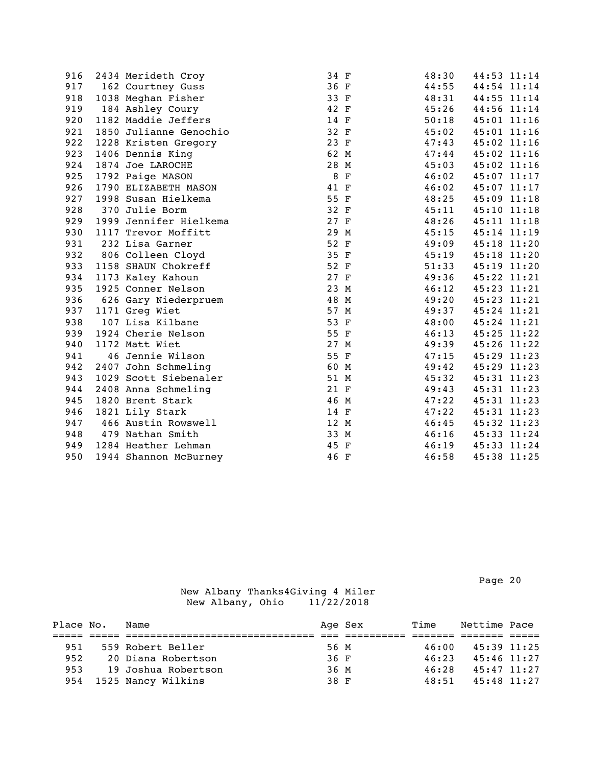| 916 | 2434 Merideth Croy     | 34 F |     | 48:30 |             | 44:53 11:14 |
|-----|------------------------|------|-----|-------|-------------|-------------|
| 917 | 162 Courtney Guss      | 36 F |     | 44:55 |             | 44:54 11:14 |
| 918 | 1038 Meghan Fisher     | 33 F |     | 48:31 |             | 44:55 11:14 |
| 919 | 184 Ashley Coury       | 42 F |     | 45:26 |             | 44:56 11:14 |
| 920 | 1182 Maddie Jeffers    | 14 F |     | 50:18 |             | 45:01 11:16 |
| 921 | 1850 Julianne Genochio | 32 F |     | 45:02 |             | 45:01 11:16 |
| 922 | 1228 Kristen Gregory   | 23 F |     | 47:43 |             | 45:02 11:16 |
| 923 | 1406 Dennis King       | 62 M |     | 47:44 | 45:02 11:16 |             |
| 924 | 1874 Joe LAROCHE       | 28 M |     | 45:03 |             | 45:02 11:16 |
| 925 | 1792 Paige MASON       |      | 8 F | 46:02 |             | 45:07 11:17 |
| 926 | 1790 ELIZABETH MASON   | 41 F |     | 46:02 | 45:07 11:17 |             |
| 927 | 1998 Susan Hielkema    | 55 F |     | 48:25 |             | 45:09 11:18 |
| 928 | 370 Julie Borm         | 32 F |     | 45:11 |             | 45:10 11:18 |
| 929 | 1999 Jennifer Hielkema | 27 F |     | 48:26 |             | 45:11 11:18 |
| 930 | 1117 Trevor Moffitt    | 29 M |     | 45:15 | 45:14 11:19 |             |
| 931 | 232 Lisa Garner        | 52 F |     | 49:09 |             | 45:18 11:20 |
| 932 | 806 Colleen Cloyd      | 35 F |     | 45:19 | 45:18 11:20 |             |
| 933 | 1158 SHAUN Chokreff    | 52 F |     | 51:33 | 45:19 11:20 |             |
| 934 | 1173 Kaley Kahoun      | 27 F |     | 49:36 | 45:22 11:21 |             |
| 935 | 1925 Conner Nelson     | 23 M |     | 46:12 |             | 45:23 11:21 |
| 936 | 626 Gary Niederpruem   | 48 M |     | 49:20 |             | 45:23 11:21 |
| 937 | 1171 Greg Wiet         | 57 M |     | 49:37 | 45:24 11:21 |             |
| 938 | 107 Lisa Kilbane       | 53 F |     | 48:00 | 45:24 11:21 |             |
| 939 | 1924 Cherie Nelson     | 55 F |     | 46:13 | 45:25 11:22 |             |
| 940 | 1172 Matt Wiet         | 27 M |     | 49:39 |             | 45:26 11:22 |
| 941 | 46 Jennie Wilson       | 55 F |     | 47:15 |             | 45:29 11:23 |
| 942 | 2407 John Schmeling    | 60 M |     | 49:42 |             | 45:29 11:23 |
| 943 | 1029 Scott Siebenaler  | 51 M |     | 45:32 |             | 45:31 11:23 |
| 944 | 2408 Anna Schmeling    | 21 F |     | 49:43 |             | 45:31 11:23 |
| 945 | 1820 Brent Stark       | 46 M |     | 47:22 |             | 45:31 11:23 |
| 946 | 1821 Lily Stark        | 14 F |     | 47:22 |             | 45:31 11:23 |
| 947 | 466 Austin Rowswell    | 12 M |     | 46:45 |             | 45:32 11:23 |
| 948 | 479 Nathan Smith       | 33 M |     | 46:16 |             | 45:33 11:24 |
| 949 | 1284 Heather Lehman    | 45 F |     | 46:19 |             | 45:33 11:24 |
| 950 | 1944 Shannon McBurney  | 46 F |     | 46:58 | 45:38 11:25 |             |

Page 20 and the contract of the contract of the contract of the contract of the contract of the contract of the contract of the contract of the contract of the contract of the contract of the contract of the contract of th

| Place No. | Name                |      | Age Sex | Time  | Nettime Pace |  |
|-----------|---------------------|------|---------|-------|--------------|--|
|           |                     |      |         |       |              |  |
| 951       | 559 Robert Beller   | 56 M |         | 46:00 | 45:39 11:25  |  |
| 952       | 20 Diana Robertson  | 36 F |         | 46:23 | 45:46 11:27  |  |
| 953       | 19 Joshua Robertson | 36 M |         | 46:28 | 45:47 11:27  |  |
| 954       | 1525 Nancy Wilkins  | 38 F |         | 48:51 | 45:48 11:27  |  |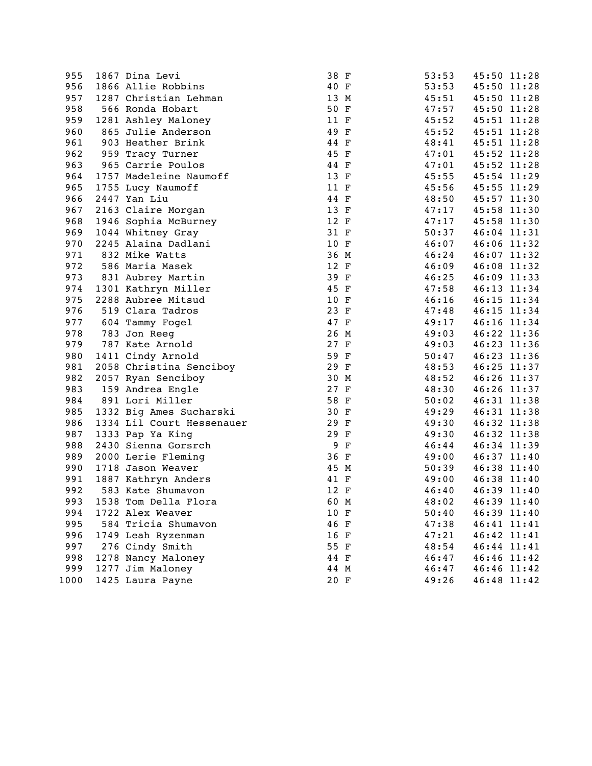| 955  | 1867 Dina Levi            | 38 F |     | 53:53 |             | 45:50 11:28 |
|------|---------------------------|------|-----|-------|-------------|-------------|
| 956  | 1866 Allie Robbins        | 40 F |     | 53:53 |             | 45:50 11:28 |
| 957  | 1287 Christian Lehman     | 13 M |     | 45:51 |             | 45:50 11:28 |
| 958  | 566 Ronda Hobart          | 50 F |     | 47:57 |             | 45:50 11:28 |
| 959  | 1281 Ashley Maloney       | 11 F |     | 45:52 |             | 45:51 11:28 |
| 960  | 865 Julie Anderson        | 49 F |     | 45:52 |             | 45:51 11:28 |
| 961  | 903 Heather Brink         | 44 F |     | 48:41 |             | 45:51 11:28 |
| 962  | 959 Tracy Turner          | 45 F |     | 47:01 |             | 45:52 11:28 |
| 963  | 965 Carrie Poulos         | 44 F |     | 47:01 |             | 45:52 11:28 |
| 964  | 1757 Madeleine Naumoff    | 13 F |     | 45:55 |             | 45:54 11:29 |
| 965  | 1755 Lucy Naumoff         | 11 F |     | 45:56 |             | 45:55 11:29 |
| 966  | 2447 Yan Liu              | 44 F |     | 48:50 |             | 45:57 11:30 |
| 967  | 2163 Claire Morgan        | 13 F |     | 47:17 | 45:58 11:30 |             |
| 968  | 1946 Sophia McBurney      | 12 F |     | 47:17 | 45:58 11:30 |             |
| 969  | 1044 Whitney Gray         | 31 F |     | 50:37 |             | 46:04 11:31 |
| 970  | 2245 Alaina Dadlani       | 10 F |     | 46:07 |             | 46:06 11:32 |
| 971  | 832 Mike Watts            | 36 M |     | 46:24 |             | 46:07 11:32 |
| 972  | 586 Maria Masek           | 12 F |     | 46:09 |             | 46:08 11:32 |
| 973  | 831 Aubrey Martin         | 39 F |     | 46:25 |             | 46:09 11:33 |
| 974  | 1301 Kathryn Miller       | 45 F |     | 47:58 |             | 46:13 11:34 |
| 975  | 2288 Aubree Mitsud        | 10 F |     | 46:16 |             | 46:15 11:34 |
| 976  | 519 Clara Tadros          | 23 F |     | 47:48 |             | 46:15 11:34 |
| 977  | 604 Tammy Fogel           | 47 F |     | 49:17 |             | 46:16 11:34 |
| 978  | 783 Jon Reeg              | 26 M |     | 49:03 |             | 46:22 11:36 |
| 979  | 787 Kate Arnold           | 27 F |     | 49:03 |             | 46:23 11:36 |
| 980  | 1411 Cindy Arnold         | 59 F |     | 50:47 |             | 46:23 11:36 |
| 981  | 2058 Christina Senciboy   | 29 F |     | 48:53 |             | 46:25 11:37 |
| 982  | 2057 Ryan Senciboy        | 30 M |     | 48:52 | 46:26 11:37 |             |
| 983  | 159 Andrea Engle          | 27 F |     | 48:30 |             | 46:26 11:37 |
| 984  | 891 Lori Miller           | 58 F |     | 50:02 |             | 46:31 11:38 |
| 985  | 1332 Big Ames Sucharski   | 30 F |     | 49:29 |             | 46:31 11:38 |
| 986  | 1334 Lil Court Hessenauer | 29 F |     | 49:30 |             | 46:32 11:38 |
| 987  | 1333 Pap Ya King          | 29 F |     | 49:30 |             | 46:32 11:38 |
| 988  | 2430 Sienna Gorsrch       |      | 9 F | 46:44 |             | 46:34 11:39 |
| 989  | 2000 Lerie Fleming        | 36 F |     | 49:00 |             | 46:37 11:40 |
| 990  | 1718 Jason Weaver         | 45 M |     | 50:39 |             | 46:38 11:40 |
| 991  | 1887 Kathryn Anders       | 41 F |     | 49:00 |             | 46:38 11:40 |
| 992  | 583 Kate Shumavon         | 12 F |     | 46:40 |             | 46:39 11:40 |
| 993  | 1538 Tom Della Flora      | 60 M |     | 48:02 |             | 46:39 11:40 |
| 994  | 1722 Alex Weaver          | 10 F |     | 50:40 |             | 46:39 11:40 |
| 995  | 584 Tricia Shumavon       | 46 F |     | 47:38 | 46:41 11:41 |             |
| 996  | 1749 Leah Ryzenman        | 16 F |     | 47:21 |             | 46:42 11:41 |
| 997  | 276 Cindy Smith           | 55 F |     | 48:54 |             | 46:44 11:41 |
| 998  | 1278 Nancy Maloney        | 44 F |     | 46:47 |             | 46:46 11:42 |
| 999  | 1277 Jim Maloney          | 44 M |     | 46:47 |             | 46:46 11:42 |
| 1000 | 1425 Laura Payne          | 20 F |     | 49:26 |             | 46:48 11:42 |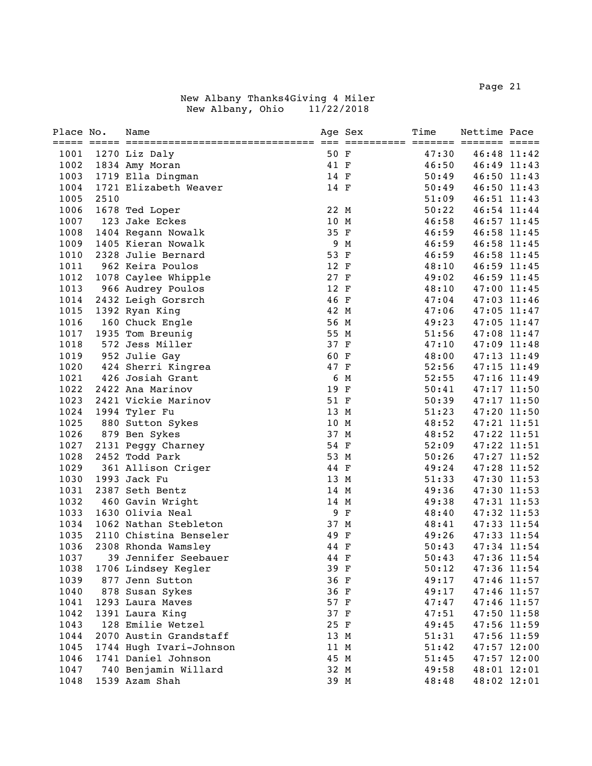| Place No. |      | Name                    |      | Age Sex | Time  | Nettime Pace |             |
|-----------|------|-------------------------|------|---------|-------|--------------|-------------|
| 1001      |      | 1270 Liz Daly           | 50 F |         | 47:30 |              | 46:48 11:42 |
| 1002      |      | 1834 Amy Moran          | 41 F |         | 46:50 |              | 46:49 11:43 |
| 1003      |      | 1719 Ella Dingman       | 14 F |         | 50:49 |              | 46:50 11:43 |
| 1004      |      | 1721 Elizabeth Weaver   | 14 F |         | 50:49 |              | 46:50 11:43 |
| 1005      | 2510 |                         |      |         | 51:09 |              | 46:51 11:43 |
| 1006      |      | 1678 Ted Loper          | 22 M |         | 50:22 |              | 46:54 11:44 |
| 1007      |      | 123 Jake Eckes          | 10 M |         | 46:58 |              | 46:57 11:45 |
| 1008      |      | 1404 Regann Nowalk      | 35 F |         | 46:59 |              | 46:58 11:45 |
| 1009      |      | 1405 Kieran Nowalk      |      | 9 M     | 46:59 |              | 46:58 11:45 |
| 1010      |      | 2328 Julie Bernard      | 53 F |         | 46:59 |              | 46:58 11:45 |
| 1011      |      | 962 Keira Poulos        | 12 F |         | 48:10 |              | 46:59 11:45 |
| 1012      |      | 1078 Caylee Whipple     | 27 F |         | 49:02 |              | 46:59 11:45 |
| 1013      |      | 966 Audrey Poulos       | 12 F |         | 48:10 |              | 47:00 11:45 |
| 1014      |      | 2432 Leigh Gorsrch      | 46 F |         | 47:04 |              | 47:03 11:46 |
| 1015      |      | 1392 Ryan King          | 42 M |         | 47:06 |              | 47:05 11:47 |
| 1016      |      | 160 Chuck Engle         | 56 M |         | 49:23 |              | 47:05 11:47 |
| 1017      |      | 1935 Tom Breunig        | 55 M |         | 51:56 |              | 47:08 11:47 |
| 1018      |      | 572 Jess Miller         | 37 F |         | 47:10 |              | 47:09 11:48 |
| 1019      |      | 952 Julie Gay           | 60 F |         | 48:00 |              | 47:13 11:49 |
| 1020      |      | 424 Sherri Kingrea      | 47 F |         | 52:56 |              | 47:15 11:49 |
| 1021      |      | 426 Josiah Grant        |      | 6 M     | 52:55 |              | 47:16 11:49 |
| 1022      |      | 2422 Ana Marinov        | 19 F |         | 50:41 |              | 47:17 11:50 |
| 1023      |      | 2421 Vickie Marinov     | 51 F |         | 50:39 |              | 47:17 11:50 |
| 1024      |      | 1994 Tyler Fu           | 13 M |         | 51:23 |              | 47:20 11:50 |
| 1025      |      | 880 Sutton Sykes        | 10 M |         | 48:52 |              | 47:21 11:51 |
| 1026      |      | 879 Ben Sykes           | 37 M |         | 48:52 |              | 47:22 11:51 |
| 1027      |      | 2131 Peggy Charney      | 54 F |         | 52:09 |              | 47:22 11:51 |
| 1028      |      | 2452 Todd Park          | 53 M |         | 50:26 |              | 47:27 11:52 |
| 1029      |      | 361 Allison Criger      | 44 F |         | 49:24 | 47:28 11:52  |             |
| 1030      |      | 1993 Jack Fu            | 13 M |         | 51:33 |              | 47:30 11:53 |
| 1031      |      | 2387 Seth Bentz         | 14 M |         | 49:36 |              | 47:30 11:53 |
| 1032      |      | 460 Gavin Wright        | 14 M |         | 49:38 |              | 47:31 11:53 |
| 1033      |      | 1630 Olivia Neal        |      | 9 F     | 48:40 |              | 47:32 11:53 |
| 1034      |      | 1062 Nathan Stebleton   | 37 M |         | 48:41 |              | 47:33 11:54 |
| 1035      |      | 2110 Chistina Benseler  | 49 F |         | 49:26 |              | 47:33 11:54 |
| 1036      |      | 2308 Rhonda Wamsley     | 44 F |         | 50:43 |              | 47:34 11:54 |
| 1037      |      | 39 Jennifer Seebauer    | 44 F |         | 50:43 |              | 47:36 11:54 |
| 1038      |      | 1706 Lindsey Kegler     | 39 F |         | 50:12 |              | 47:36 11:54 |
| 1039      |      | 877 Jenn Sutton         | 36 F |         | 49:17 |              | 47:46 11:57 |
| 1040      |      | 878 Susan Sykes         | 36 F |         | 49:17 | 47:46 11:57  |             |
| 1041      |      | 1293 Laura Maves        | 57 F |         | 47:47 | 47:46 11:57  |             |
| 1042      |      | 1391 Laura King         | 37 F |         | 47:51 | 47:50 11:58  |             |
| 1043      |      | 128 Emilie Wetzel       | 25 F |         | 49:45 |              | 47:56 11:59 |
| 1044      |      | 2070 Austin Grandstaff  | 13 M |         | 51:31 | 47:56 11:59  |             |
| 1045      |      | 1744 Hugh Ivari-Johnson | 11 M |         | 51:42 |              | 47:57 12:00 |
| 1046      |      | 1741 Daniel Johnson     | 45 M |         | 51:45 |              | 47:57 12:00 |
| 1047      |      | 740 Benjamin Willard    | 32 M |         | 49:58 |              | 48:01 12:01 |
| 1048      |      | 1539 Azam Shah          | 39 M |         | 48:48 |              | 48:02 12:01 |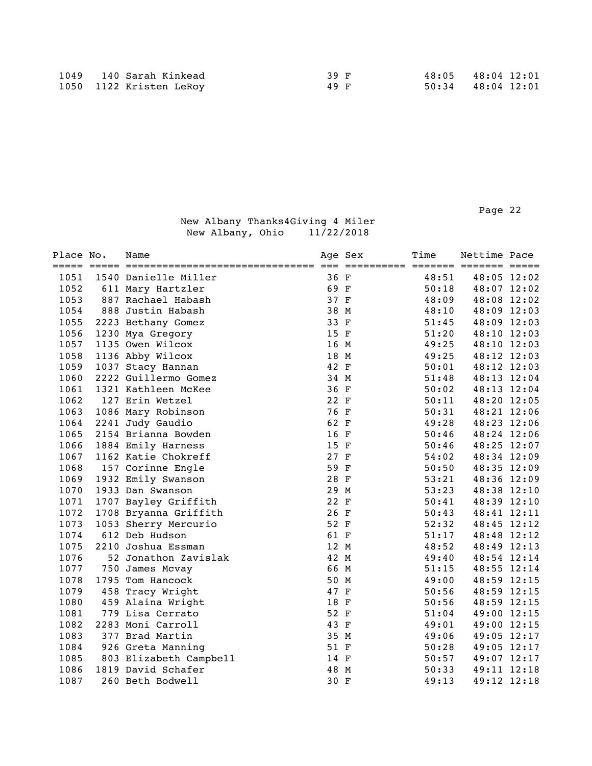Page 22 and the contract of the contract of the contract of the contract of the contract of the contract of the contract of the contract of the contract of the contract of the contract of the contract of the contract of th

| Place No. | Name                   | Age Sex | Time  | Nettime Pace |  |
|-----------|------------------------|---------|-------|--------------|--|
| 1051      | 1540 Danielle Miller   | 36 F    | 48:51 | 48:05 12:02  |  |
| 1052      | 611 Mary Hartzler      | 69 F    | 50:18 | 48:07 12:02  |  |
| 1053      | 887 Rachael Habash     | 37 F    | 48:09 | 48:08 12:02  |  |
| 1054      | 888 Justin Habash      | 38 M    | 48:10 | 48:09 12:03  |  |
| 1055      | 2223 Bethany Gomez     | 33 F    | 51:45 | 48:09 12:03  |  |
| 1056      | 1230 Mya Gregory       | 15 F    | 51:20 | 48:10 12:03  |  |
| 1057      | 1135 Owen Wilcox       | 16 M    | 49:25 | 48:10 12:03  |  |
| 1058      | 1136 Abby Wilcox       | 18 M    | 49:25 | 48:12 12:03  |  |
| 1059      | 1037 Stacy Hannan      | 42 F    | 50:01 | 48:12 12:03  |  |
| 1060      | 2222 Guillermo Gomez   | 34 M    | 51:48 | 48:13 12:04  |  |
| 1061      | 1321 Kathleen McKee    | 36 F    | 50:02 | 48:13 12:04  |  |
| 1062      | 127 Erin Wetzel        | 22 F    | 50:11 | 48:20 12:05  |  |
| 1063      | 1086 Mary Robinson     | 76 F    | 50:31 | 48:21 12:06  |  |
| 1064      | 2241 Judy Gaudio       | 62 F    | 49:28 | 48:23 12:06  |  |
| 1065      | 2154 Brianna Bowden    | 16 F    | 50:46 | 48:24 12:06  |  |
| 1066      | 1884 Emily Harness     | 15 F    | 50:46 | 48:25 12:07  |  |
| 1067      | 1162 Katie Chokreff    | 27 F    | 54:02 | 48:34 12:09  |  |
| 1068      | 157 Corinne Engle      | 59 F    | 50:50 | 48:35 12:09  |  |
| 1069      | 1932 Emily Swanson     | 28 F    | 53:21 | 48:36 12:09  |  |
| 1070      | 1933 Dan Swanson       | 29 M    | 53:23 | 48:38 12:10  |  |
| 1071      | 1707 Bayley Griffith   | 22 F    | 50:41 | 48:39 12:10  |  |
| 1072      | 1708 Bryanna Griffith  | 26 F    | 50:43 | 48:41 12:11  |  |
| 1073      | 1053 Sherry Mercurio   | 52 F    | 52:32 | 48:45 12:12  |  |
| 1074      | 612 Deb Hudson         | 61 F    | 51:17 | 48:48 12:12  |  |
| 1075      | 2210 Joshua Essman     | 12 M    | 48:52 | 48:49 12:13  |  |
| 1076      | 52 Jonathon Zavislak   | 42 M    | 49:40 | 48:54 12:14  |  |
| 1077      | 750 James Mcvay        | 66 M    | 51:15 | 48:55 12:14  |  |
| 1078      | 1795 Tom Hancock       | 50 M    | 49:00 | 48:59 12:15  |  |
| 1079      | 458 Tracy Wright       | 47 F    | 50:56 | 48:59 12:15  |  |
| 1080      | 459 Alaina Wright      | 18 F    | 50:56 | 48:59 12:15  |  |
| 1081      | 779 Lisa Cerrato       | 52 F    | 51:04 | 49:00 12:15  |  |
| 1082      | 2283 Moni Carroll      | 43 F    | 49:01 | 49:00 12:15  |  |
| 1083      | 377 Brad Martin        | 35 M    | 49:06 | 49:05 12:17  |  |
| 1084      | 926 Greta Manning      | 51 F    | 50:28 | 49:05 12:17  |  |
| 1085      | 803 Elizabeth Campbell | 14 F    | 50:57 | 49:07 12:17  |  |
| 1086      | 1819 David Schafer     | 48 M    | 50:33 | 49:11 12:18  |  |
| 1087      | 260 Beth Bodwell       | 30 F    | 49:13 | 49:12 12:18  |  |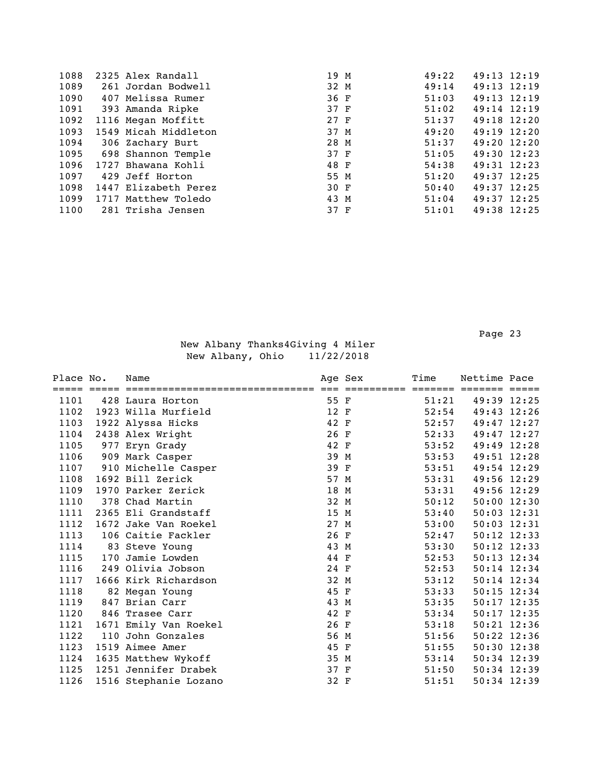| 1088 | 2325 Alex Randall       | 19 M | 49:22 | 49:13 12:19     |  |
|------|-------------------------|------|-------|-----------------|--|
| 1089 | 261 Jordan Bodwell      | 32 M | 49:14 | $49:13$ $12:19$ |  |
| 1090 | 407 Melissa Rumer       | 36 F | 51:03 | $49:13$ $12:19$ |  |
| 1091 | 393 Amanda Ripke        | 37 F | 51:02 | $49:14$ 12:19   |  |
| 1092 | 1116 Megan Moffitt      | 27 F | 51:37 | 49:18 12:20     |  |
| 1093 | 1549 Micah Middleton    | 37 M | 49:20 | $49:19$ $12:20$ |  |
| 1094 | 306 Zachary Burt        | 28 M | 51:37 | 49:20 12:20     |  |
|      | 1095 698 Shannon Temple | 37 F | 51:05 | 49:30 12:23     |  |
| 1096 | 1727 Bhawana Kohli      | 48 F | 54:38 | 49:31 12:23     |  |
| 1097 | 429 Jeff Horton         | 55 M | 51:20 | $49:37$ 12:25   |  |
| 1098 | 1447 Elizabeth Perez    | 30 F | 50:40 | $49:37$ 12:25   |  |
| 1099 | 1717 Matthew Toledo     | 43 M | 51:04 | $49:37$ 12:25   |  |
| 1100 | 281 Trisha Jensen       | 37 F | 51:01 | 49:38 12:25     |  |

Page 23 and the contract of the contract of the contract of the contract of the contract of the contract of the contract of the contract of the contract of the contract of the contract of the contract of the contract of th

| Place No. |     | Name                  |      | Age Sex  | Time                    | Nettime Pace    |  |
|-----------|-----|-----------------------|------|----------|-------------------------|-----------------|--|
|           |     |                       |      | ======== | $=$ $=$ $=$ $=$ $=$ $=$ |                 |  |
| 1101      |     | 428 Laura Horton      | 55 F |          | 51:21                   | 49:39 12:25     |  |
| 1102      |     | 1923 Willa Murfield   | 12 F |          | 52:54                   | 49:43 12:26     |  |
| 1103      |     | 1922 Alyssa Hicks     | 42 F |          | 52:57                   | 49:47 12:27     |  |
| 1104      |     | 2438 Alex Wright      | 26 F |          | 52:33                   | 49:47 12:27     |  |
| 1105      |     | 977 Eryn Grady        | 42 F |          | 53:52                   | 49:49 12:28     |  |
| 1106      |     | 909 Mark Casper       | 39 M |          | 53:53                   | 49:51 12:28     |  |
| 1107      |     | 910 Michelle Casper   | 39 F |          | 53:51                   | 49:54 12:29     |  |
| 1108      |     | 1692 Bill Zerick      | 57 M |          | 53:31                   | 49:56 12:29     |  |
| 1109      |     | 1970 Parker Zerick    | 18 M |          | 53:31                   | 49:56 12:29     |  |
| 1110      |     | 378 Chad Martin       | 32 M |          | 50:12                   | $50:00$ 12:30   |  |
| 1111      |     | 2365 Eli Grandstaff   | 15 M |          | 53:40                   | $50:03$ $12:31$ |  |
| 1112      |     | 1672 Jake Van Roekel  | 27 M |          | 53:00                   | 50:03 12:31     |  |
| 1113      |     | 106 Caitie Fackler    | 26 F |          | 52:47                   | $50:12$ 12:33   |  |
| 1114      |     | 83 Steve Young        | 43 M |          | 53:30                   | 50:12 12:33     |  |
| 1115      | 170 | Jamie Lowden          | 44 F |          | 52:53                   | 50:13 12:34     |  |
| 1116      |     | 249 Olivia Jobson     | 24 F |          | 52:53                   | $50:14$ 12:34   |  |
| 1117      |     | 1666 Kirk Richardson  | 32 M |          | 53:12                   | 50:14 12:34     |  |
| 1118      |     | 82 Megan Young        | 45 F |          | 53:33                   | 50:15 12:34     |  |
| 1119      |     | 847 Brian Carr        | 43 M |          | 53:35                   | $50:17$ 12:35   |  |
| 1120      |     | 846 Trasee Carr       | 42 F |          | 53:34                   | $50:17$ 12:35   |  |
| 1121      |     | 1671 Emily Van Roekel | 26 F |          | 53:18                   | $50:21$ $12:36$ |  |
| 1122      |     | 110 John Gonzales     | 56 M |          | 51:56                   | $50:22$ 12:36   |  |
| 1123      |     | 1519 Aimee Amer       | 45 F |          | 51:55                   | 50:30 12:38     |  |
| 1124      |     | 1635 Matthew Wykoff   | 35 M |          | 53:14                   | 50:34 12:39     |  |
| 1125      |     | 1251 Jennifer Drabek  | 37 F |          | 51:50                   | $50:34$ 12:39   |  |
| 1126      |     | 1516 Stephanie Lozano | 32 F |          | 51:51                   | 50:34 12:39     |  |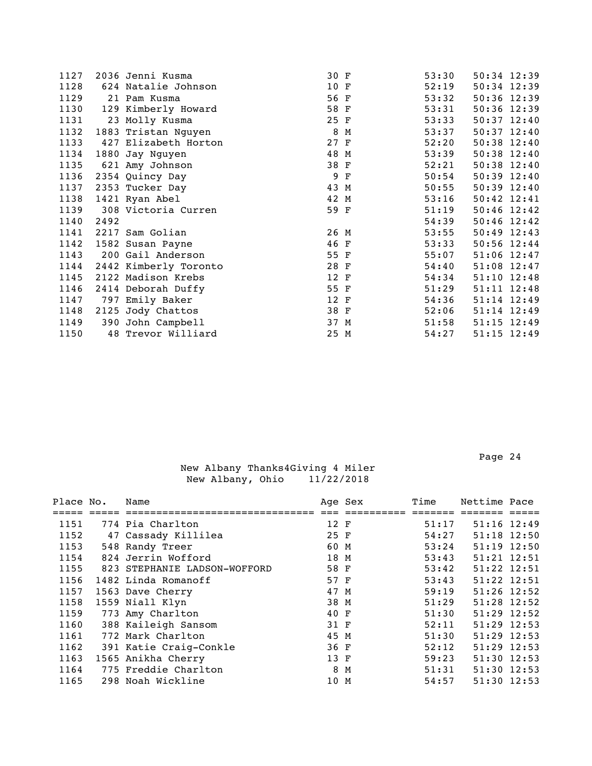| 1127 |      | 2036 Jenni Kusma      | 30 F |     | 53:30 | 50:34 12:39     |  |
|------|------|-----------------------|------|-----|-------|-----------------|--|
| 1128 |      | 624 Natalie Johnson   | 10 F |     | 52:19 | 50:34 12:39     |  |
| 1129 |      | 21 Pam Kusma          | 56 F |     | 53:32 | $50:36$ 12:39   |  |
| 1130 |      | 129 Kimberly Howard   | 58 F |     | 53:31 | 50:36 12:39     |  |
| 1131 |      | 23 Molly Kusma        | 25 F |     | 53:33 | $50:37$ 12:40   |  |
| 1132 |      | 1883 Tristan Nguyen   | 8    | М   | 53:37 | $50:37$ $12:40$ |  |
| 1133 |      | 427 Elizabeth Horton  | 27 F |     | 52:20 | 50:38 12:40     |  |
| 1134 |      | 1880 Jay Nguyen       | 48 M |     | 53:39 | 50:38 12:40     |  |
| 1135 |      | 621 Amy Johnson       | 38 F |     | 52:21 | 50:38 12:40     |  |
| 1136 |      | 2354 Quincy Day       |      | 9 F | 50:54 | $50:39$ $12:40$ |  |
| 1137 |      | 2353 Tucker Day       | 43 M |     | 50:55 | 50:39 12:40     |  |
| 1138 |      | 1421 Ryan Abel        | 42 M |     | 53:16 | $50:42$ $12:41$ |  |
| 1139 |      | 308 Victoria Curren   | 59 F |     | 51:19 | $50:46$ 12:42   |  |
| 1140 | 2492 |                       |      |     | 54:39 | $50:46$ 12:42   |  |
| 1141 |      | 2217 Sam Golian       | 26 M |     | 53:55 | $50:49$ 12:43   |  |
| 1142 |      | 1582 Susan Payne      | 46 F |     | 53:33 | 50:56 12:44     |  |
| 1143 |      | 200 Gail Anderson     | 55 F |     | 55:07 | $51:06$ 12:47   |  |
| 1144 |      | 2442 Kimberly Toronto | 28 F |     | 54:40 | 51:08 12:47     |  |
| 1145 |      | 2122 Madison Krebs    | 12 F |     | 54:34 | 51:10 12:48     |  |
| 1146 |      | 2414 Deborah Duffy    | 55 F |     | 51:29 | 51:11 12:48     |  |
| 1147 |      | 797 Emily Baker       | 12 F |     | 54:36 | 51:14 12:49     |  |
| 1148 |      | 2125 Jody Chattos     | 38 F |     | 52:06 | 51:14 12:49     |  |
| 1149 |      | 390 John Campbell     | 37 M |     | 51:58 | $51:15$ $12:49$ |  |
| 1150 |      | 48 Trevor Williard    | 25 M |     | 54:27 | $51:15$ $12:49$ |  |
|      |      |                       |      |     |       |                 |  |

| Place No. | Name                         |      | Age Sex | Time  | Nettime Pace    |  |
|-----------|------------------------------|------|---------|-------|-----------------|--|
|           |                              |      |         |       |                 |  |
| 1151      | 774 Pia Charlton             | 12 F |         | 51:17 | $51:16$ $12:49$ |  |
| 1152      | 47 Cassady Killilea          | 25 F |         | 54:27 | 51:18 12:50     |  |
| 1153      | 548 Randy Treer              | 60 M |         | 53:24 | 51:19 12:50     |  |
| 1154      | 824 Jerrin Wofford           | 18 M |         | 53:43 | $51:21$ $12:51$ |  |
| 1155      | 823 STEPHANIE LADSON-WOFFORD | 58 F |         | 53:42 | 51:22 12:51     |  |
| 1156      | 1482 Linda Romanoff          | 57 F |         | 53:43 | $51:22$ $12:51$ |  |
| 1157      | 1563 Dave Cherry             | 47 M |         | 59:19 | $51:26$ 12:52   |  |
| 1158      | 1559 Niall Klyn              | 38 M |         | 51:29 | 51:28 12:52     |  |
| 1159      | 773 Amy Charlton             | 40 F |         | 51:30 | 51:29 12:52     |  |
| 1160      | 388 Kaileigh Sansom          | 31 F |         | 52:11 | $51:29$ 12:53   |  |
| 1161      | 772 Mark Charlton            | 45 M |         | 51:30 | $51:29$ 12:53   |  |
| 1162      | 391 Katie Craig-Conkle       | 36 F |         | 52:12 | $51:29$ 12:53   |  |
| 1163      | 1565 Anikha Cherry           | 13 F |         | 59:23 | $51:30$ 12:53   |  |
| 1164      | 775 Freddie Charlton         | 8 M  |         | 51:31 | $51:30$ $12:53$ |  |
| 1165      | 298 Noah Wickline            | 10 M |         | 54:57 | $51:30$ $12:53$ |  |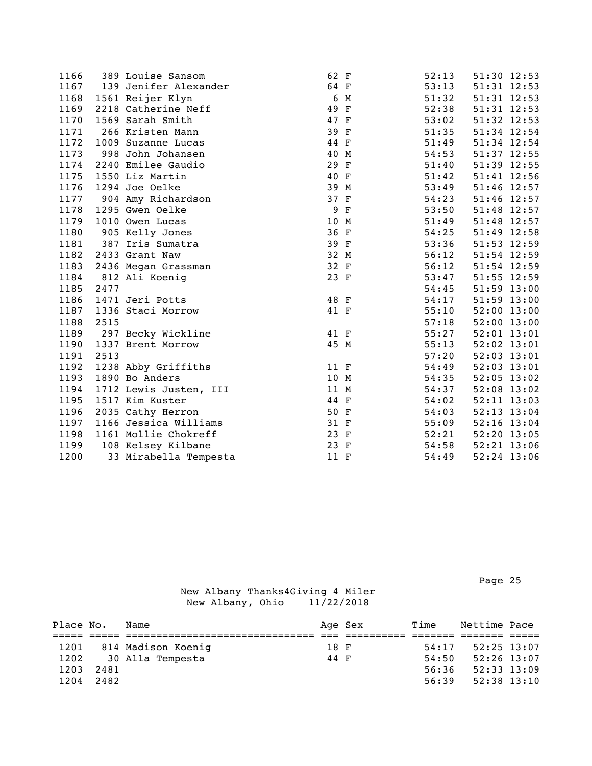| 1166 |      | 389 Louise Sansom      | 62 F             |             | 52:13 | 51:30 12:53     |  |
|------|------|------------------------|------------------|-------------|-------|-----------------|--|
| 1167 |      | 139 Jenifer Alexander  | 64 F             |             | 53:13 | 51:31 12:53     |  |
| 1168 |      | 1561 Reijer Klyn       | $\boldsymbol{6}$ | M           | 51:32 | 51:31 12:53     |  |
| 1169 |      | 2218 Catherine Neff    | 49 F             |             | 52:38 | 51:31 12:53     |  |
| 1170 |      | 1569 Sarah Smith       | 47 F             |             | 53:02 | 51:32 12:53     |  |
| 1171 |      | 266 Kristen Mann       | 39 F             |             | 51:35 | 51:34 12:54     |  |
| 1172 |      | 1009 Suzanne Lucas     | 44 F             |             | 51:49 | 51:34 12:54     |  |
| 1173 |      | 998 John Johansen      | 40 M             |             | 54:53 | 51:37 12:55     |  |
| 1174 |      | 2240 Emilee Gaudio     | 29 F             |             | 51:40 | 51:39 12:55     |  |
| 1175 |      | 1550 Liz Martin        | 40 F             |             | 51:42 | 51:41 12:56     |  |
| 1176 |      | 1294 Joe Oelke         | 39 M             |             | 53:49 | 51:46 12:57     |  |
| 1177 |      | 904 Amy Richardson     | 37 F             |             | 54:23 | 51:46 12:57     |  |
| 1178 |      | 1295 Gwen Oelke        | 9                | $\mathbf F$ | 53:50 | 51:48 12:57     |  |
| 1179 |      | 1010 Owen Lucas        | 10 M             |             | 51:49 | 51:48 12:57     |  |
| 1180 |      | 905 Kelly Jones        | 36 F             |             | 54:25 | 51:49 12:58     |  |
| 1181 |      | 387 Iris Sumatra       | 39 F             |             | 53:36 | 51:53 12:59     |  |
| 1182 |      | 2433 Grant Naw         | 32 M             |             | 56:12 | 51:54 12:59     |  |
| 1183 |      | 2436 Megan Grassman    | 32 F             |             | 56:12 | 51:54 12:59     |  |
| 1184 |      | 812 Ali Koenig         | 23 F             |             | 53:47 | 51:55 12:59     |  |
| 1185 | 2477 |                        |                  |             | 54:45 | 51:59 13:00     |  |
| 1186 |      | 1471 Jeri Potts        | 48 F             |             | 54:17 | 51:59 13:00     |  |
| 1187 |      | 1336 Staci Morrow      | 41 F             |             | 55:10 | 52:00 13:00     |  |
| 1188 | 2515 |                        |                  |             | 57:18 | 52:00 13:00     |  |
| 1189 |      | 297 Becky Wickline     | 41 F             |             | 55:27 | 52:01 13:01     |  |
| 1190 |      | 1337 Brent Morrow      | 45 M             |             | 55:13 | $52:02$ $13:01$ |  |
| 1191 | 2513 |                        |                  |             | 57:20 | $52:03$ $13:01$ |  |
| 1192 |      | 1238 Abby Griffiths    | 11 F             |             | 54:49 | $52:03$ $13:01$ |  |
| 1193 |      | 1890 Bo Anders         | 10 M             |             | 54:35 | $52:05$ 13:02   |  |
| 1194 |      | 1712 Lewis Justen, III | 11 M             |             | 54:37 | 52:08 13:02     |  |
| 1195 |      | 1517 Kim Kuster        | 44 F             |             | 54:02 | 52:11 13:03     |  |
| 1196 |      | 2035 Cathy Herron      | 50 F             |             | 54:03 | 52:13 13:04     |  |
| 1197 |      | 1166 Jessica Williams  | 31 F             |             | 55:09 | $52:16$ $13:04$ |  |
| 1198 |      | 1161 Mollie Chokreff   | 23 F             |             | 52:21 | 52:20 13:05     |  |
| 1199 |      | 108 Kelsey Kilbane     | 23 F             |             | 54:58 | 52:21 13:06     |  |
| 1200 |      | 33 Mirabella Tempesta  | 11 F             |             | 54:49 | 52:24 13:06     |  |

Page 25 and the contract of the contract of the contract of the contract of the contract of the contract of the contract of the contract of the contract of the contract of the contract of the contract of the contract of th

| Place No. |      | Name               |      | Age Sex | Time  | Nettime Pace    |  |
|-----------|------|--------------------|------|---------|-------|-----------------|--|
|           |      |                    |      |         |       |                 |  |
| 1201      |      | 814 Madison Koenig | 18 F |         | 54:17 | $52:25$ 13:07   |  |
| 1202      |      | 30 Alla Tempesta   | 44 F |         | 54:50 | $52:26$ 13:07   |  |
| 1203      | 2481 |                    |      |         | 56:36 | $52:33$ $13:09$ |  |
| 1204      | 2482 |                    |      |         | 56:39 | $52:38$ $13:10$ |  |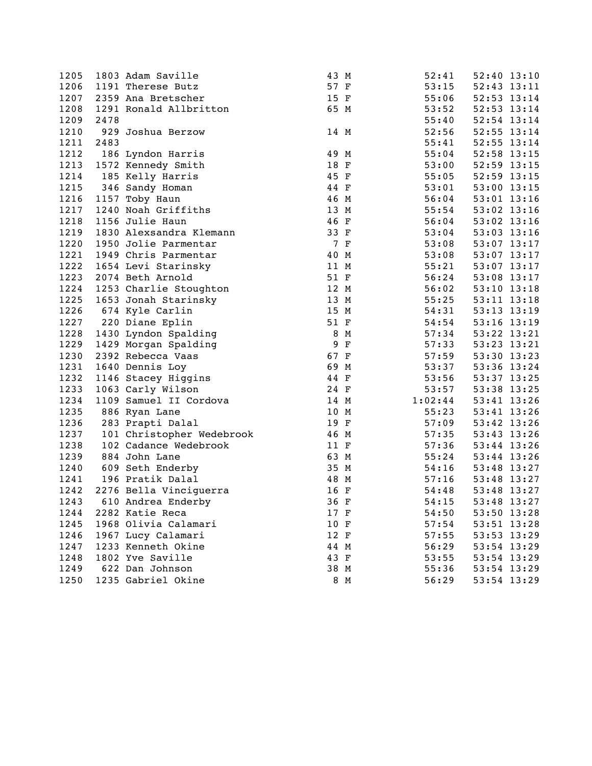| 1205 |      | 1803 Adam Saville         | 43 M |              | 52:41   | 52:40 13:10     |             |
|------|------|---------------------------|------|--------------|---------|-----------------|-------------|
| 1206 |      | 1191 Therese Butz         | 57 F |              | 53:15   | 52:43 13:11     |             |
| 1207 |      | 2359 Ana Bretscher        | 15 F |              | 55:06   | 52:53 13:14     |             |
| 1208 |      | 1291 Ronald Allbritton    | 65 M |              | 53:52   | 52:53 13:14     |             |
| 1209 | 2478 |                           |      |              | 55:40   | 52:54 13:14     |             |
| 1210 |      | 929 Joshua Berzow         | 14 M |              | 52:56   | 52:55 13:14     |             |
| 1211 | 2483 |                           |      |              | 55:41   | 52:55 13:14     |             |
| 1212 |      | 186 Lyndon Harris         | 49 M |              | 55:04   | 52:58 13:15     |             |
| 1213 |      | 1572 Kennedy Smith        | 18 F |              | 53:00   | 52:59 13:15     |             |
| 1214 |      | 185 Kelly Harris          | 45 F |              | 55:05   | 52:59 13:15     |             |
| 1215 |      | 346 Sandy Homan           | 44 F |              | 53:01   | 53:00 13:15     |             |
| 1216 |      | 1157 Toby Haun            | 46 M |              | 56:04   | $53:01$ $13:16$ |             |
| 1217 |      | 1240 Noah Griffiths       | 13 M |              | 55:54   | $53:02$ 13:16   |             |
| 1218 |      | 1156 Julie Haun           | 46 F |              | 56:04   | 53:02 13:16     |             |
| 1219 |      | 1830 Alexsandra Klemann   | 33 F |              | 53:04   | $53:03$ $13:16$ |             |
| 1220 |      | 1950 Jolie Parmentar      |      | 7 F          | 53:08   | 53:07 13:17     |             |
| 1221 |      | 1949 Chris Parmentar      | 40 M |              | 53:08   | 53:07 13:17     |             |
| 1222 |      | 1654 Levi Starinsky       | 11 M |              | 55:21   | $53:07$ 13:17   |             |
| 1223 |      | 2074 Beth Arnold          | 51 F |              | 56:24   | 53:08 13:17     |             |
| 1224 |      | 1253 Charlie Stoughton    | 12 M |              | 56:02   | $53:10$ $13:18$ |             |
| 1225 |      | 1653 Jonah Starinsky      | 13 M |              | 55:25   | 53:11 13:18     |             |
| 1226 |      | 674 Kyle Carlin           | 15 M |              | 54:31   | $53:13$ $13:19$ |             |
| 1227 |      | 220 Diane Eplin           | 51 F |              | 54:54   | $53:16$ $13:19$ |             |
| 1228 |      | 1430 Lyndon Spalding      |      | 8 M          | 57:34   | 53:22 13:21     |             |
| 1229 |      | 1429 Morgan Spalding      | 9    | $\mathbf{F}$ | 57:33   | 53:23 13:21     |             |
| 1230 |      | 2392 Rebecca Vaas         | 67 F |              | 57:59   | 53:30 13:23     |             |
| 1231 |      | 1640 Dennis Loy           | 69 M |              | 53:37   | 53:36 13:24     |             |
| 1232 |      | 1146 Stacey Higgins       | 44 F |              | 53:56   | 53:37 13:25     |             |
| 1233 |      | 1063 Carly Wilson         | 24 F |              | 53:57   | 53:38 13:25     |             |
| 1234 |      | 1109 Samuel II Cordova    | 14 M |              | 1:02:44 | 53:41 13:26     |             |
| 1235 |      | 886 Ryan Lane             | 10 M |              | 55:23   | 53:41 13:26     |             |
| 1236 |      | 283 Prapti Dalal          | 19 F |              | 57:09   | 53:42 13:26     |             |
| 1237 |      | 101 Christopher Wedebrook | 46 M |              | 57:35   | 53:43 13:26     |             |
| 1238 |      | 102 Cadance Wedebrook     | 11 F |              | 57:36   | 53:44 13:26     |             |
| 1239 |      | 884 John Lane             | 63 M |              | 55:24   | 53:44 13:26     |             |
| 1240 |      | 609 Seth Enderby          | 35 M |              | 54:16   | 53:48 13:27     |             |
| 1241 |      | 196 Pratik Dalal          | 48 M |              | 57:16   | 53:48 13:27     |             |
| 1242 |      | 2276 Bella Vinciguerra    | 16 F |              | 54:48   | 53:48 13:27     |             |
| 1243 |      | 610 Andrea Enderby        | 36 F |              | 54:15   |                 | 53:48 13:27 |
| 1244 |      | 2282 Katie Reca           | 17 F |              | 54:50   | 53:50 13:28     |             |
| 1245 |      | 1968 Olivia Calamari      | 10 F |              | 57:54   | 53:51 13:28     |             |
| 1246 |      | 1967 Lucy Calamari        | 12 F |              | 57:55   | 53:53 13:29     |             |
| 1247 |      | 1233 Kenneth Okine        | 44 M |              | 56:29   | 53:54 13:29     |             |
| 1248 |      | 1802 Yve Saville          | 43 F |              | 53:55   | 53:54 13:29     |             |
| 1249 |      | 622 Dan Johnson           | 38 M |              | 55:36   | 53:54 13:29     |             |
| 1250 |      | 1235 Gabriel Okine        |      | 8 M          | 56:29   | 53:54 13:29     |             |
|      |      |                           |      |              |         |                 |             |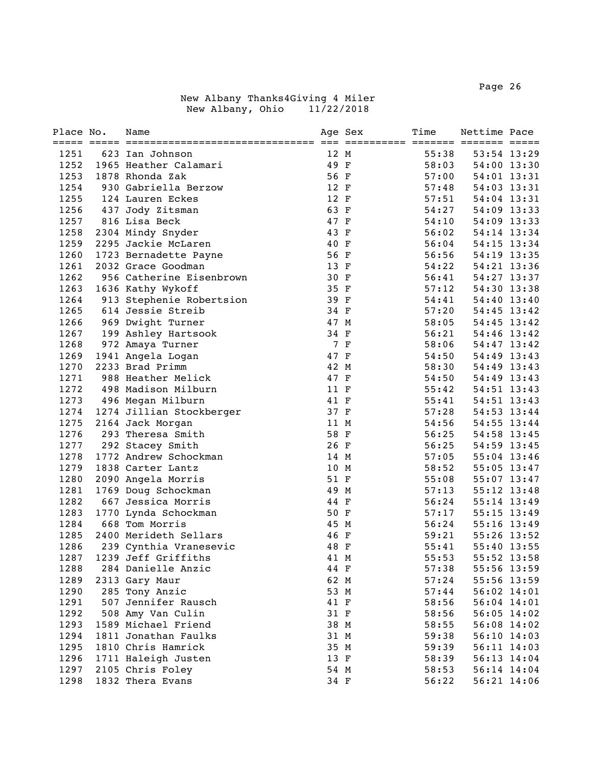| Place No. | Name                     |      | Age Sex | Time  | Nettime Pace    |               |
|-----------|--------------------------|------|---------|-------|-----------------|---------------|
|           |                          |      |         |       |                 |               |
| 1251      | 623 Ian Johnson          | 12 M |         | 55:38 |                 | 53:54 13:29   |
| 1252      | 1965 Heather Calamari    | 49 F |         | 58:03 | 54:00 13:30     |               |
| 1253      | 1878 Rhonda Zak          | 56 F |         | 57:00 |                 | 54:01 13:31   |
| 1254      | 930 Gabriella Berzow     | 12 F |         | 57:48 |                 | 54:03 13:31   |
| 1255      | 124 Lauren Eckes         | 12 F |         | 57:51 |                 | 54:04 13:31   |
| 1256      | 437 Jody Zitsman         | 63 F |         | 54:27 |                 | 54:09 13:33   |
| 1257      | 816 Lisa Beck            | 47 F |         | 54:10 | 54:09 13:33     |               |
| 1258      | 2304 Mindy Snyder        | 43 F |         | 56:02 | 54:14 13:34     |               |
| 1259      | 2295 Jackie McLaren      | 40 F |         | 56:04 | 54:15 13:34     |               |
| 1260      | 1723 Bernadette Payne    | 56 F |         | 56:56 | 54:19 13:35     |               |
| 1261      | 2032 Grace Goodman       | 13 F |         | 54:22 | 54:21 13:36     |               |
| 1262      | 956 Catherine Eisenbrown | 30 F |         | 56:41 | 54:27 13:37     |               |
| 1263      | 1636 Kathy Wykoff        | 35 F |         | 57:12 | 54:30 13:38     |               |
| 1264      | 913 Stephenie Robertsion | 39 F |         | 54:41 |                 | 54:40 13:40   |
| 1265      | 614 Jessie Streib        | 34 F |         | 57:20 | $54:45$ $13:42$ |               |
| 1266      | 969 Dwight Turner        | 47 M |         | 58:05 | 54:45 13:42     |               |
| 1267      | 199 Ashley Hartsook      | 34 F |         | 56:21 | 54:46 13:42     |               |
| 1268      | 972 Amaya Turner         |      | 7 F     | 58:06 | 54:47 13:42     |               |
| 1269      | 1941 Angela Logan        | 47 F |         | 54:50 |                 | 54:49 13:43   |
| 1270      | 2233 Brad Primm          | 42 M |         | 58:30 |                 | 54:49 13:43   |
| 1271      | 988 Heather Melick       | 47 F |         | 54:50 | 54:49 13:43     |               |
| 1272      | 498 Madison Milburn      | 11 F |         | 55:42 | 54:51 13:43     |               |
| 1273      | 496 Megan Milburn        | 41 F |         | 55:41 | 54:51 13:43     |               |
| 1274      | 1274 Jillian Stockberger | 37 F |         | 57:28 | 54:53 13:44     |               |
| 1275      | 2164 Jack Morgan         | 11 M |         | 54:56 | 54:55 13:44     |               |
| 1276      | 293 Theresa Smith        | 58 F |         | 56:25 | 54:58 13:45     |               |
| 1277      | 292 Stacey Smith         | 26 F |         | 56:25 | 54:59 13:45     |               |
| 1278      | 1772 Andrew Schockman    | 14 M |         | 57:05 | 55:04 13:46     |               |
| 1279      | 1838 Carter Lantz        | 10 M |         | 58:52 |                 | 55:05 13:47   |
| 1280      | 2090 Angela Morris       | 51 F |         | 55:08 |                 | $55:07$ 13:47 |
| 1281      | 1769 Doug Schockman      | 49 M |         | 57:13 |                 | 55:12 13:48   |
| 1282      | 667 Jessica Morris       | 44 F |         | 56:24 |                 | 55:14 13:49   |
| 1283      | 1770 Lynda Schockman     | 50 F |         | 57:17 |                 | 55:15 13:49   |
| 1284      | 668 Tom Morris           | 45 M |         | 56:24 |                 | 55:16 13:49   |
| 1285      | 2400 Merideth Sellars    | 46 F |         | 59:21 | 55:26 13:52     |               |
| 1286      | 239 Cynthia Vranesevic   | 48 F |         | 55:41 | 55:40 13:55     |               |
| 1287      | 1239 Jeff Griffiths      | 41 M |         | 55:53 |                 | 55:52 13:58   |
| 1288      | 284 Danielle Anzic       | 44 F |         | 57:38 | 55:56 13:59     |               |
| 1289      | 2313 Gary Maur           | 62 M |         | 57:24 |                 | 55:56 13:59   |
| 1290      | 285 Tony Anzic           | 53 M |         | 57:44 | 56:02 14:01     |               |
| 1291      | 507 Jennifer Rausch      | 41 F |         | 58:56 | 56:04 14:01     |               |
| 1292      | 508 Amy Van Culin        | 31 F |         | 58:56 | $56:05$ 14:02   |               |
| 1293      | 1589 Michael Friend      | 38 M |         | 58:55 | 56:08 14:02     |               |
| 1294      | 1811 Jonathan Faulks     | 31 M |         | 59:38 |                 | 56:10 14:03   |
| 1295      | 1810 Chris Hamrick       | 35 M |         | 59:39 | 56:11 14:03     |               |
| 1296      | 1711 Haleigh Justen      | 13 F |         | 58:39 |                 | 56:13 14:04   |
| 1297      | 2105 Chris Foley         | 54 M |         | 58:53 |                 | 56:14 14:04   |
| 1298      | 1832 Thera Evans         | 34 F |         | 56:22 |                 | 56:21 14:06   |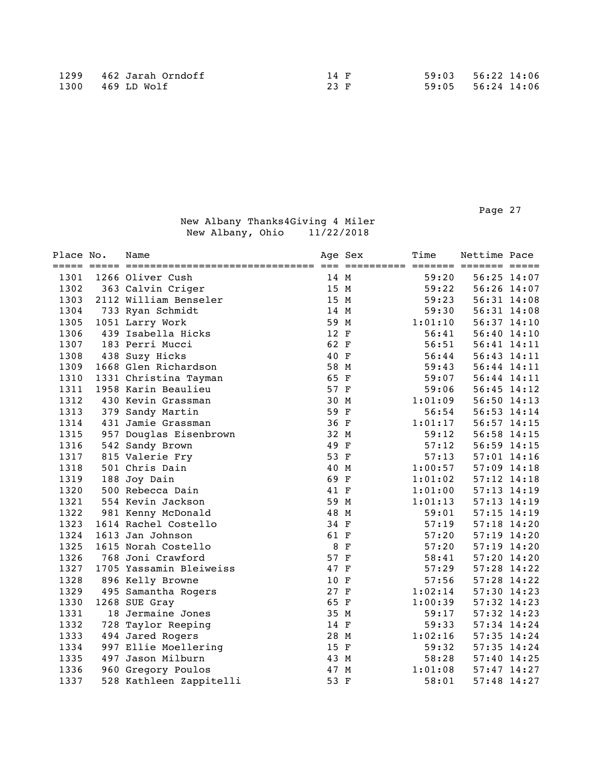| Place No. | Name                    | Age Sex | Time    | Nettime Pace    |  |
|-----------|-------------------------|---------|---------|-----------------|--|
| 1301      | 1266 Oliver Cush        | 14 M    | 59:20   | 56:25 14:07     |  |
| 1302      | 363 Calvin Criger       | 15 M    | 59:22   | 56:26 14:07     |  |
| 1303      | 2112 William Benseler   | 15 M    | 59:23   | 56:31 14:08     |  |
| 1304      | 733 Ryan Schmidt        | 14 M    | 59:30   | 56:31 14:08     |  |
| 1305      | 1051 Larry Work         | 59 M    | 1:01:10 | 56:37 14:10     |  |
| 1306      | 439 Isabella Hicks      | 12 F    | 56:41   | 56:40 14:10     |  |
| 1307      | 183 Perri Mucci         | 62 F    | 56:51   | 56:41 14:11     |  |
| 1308      | 438 Suzy Hicks          | 40 F    | 56:44   | 56:43 14:11     |  |
| 1309      | 1668 Glen Richardson    | 58 M    | 59:43   | 56:44 14:11     |  |
| 1310      | 1331 Christina Tayman   | 65 F    | 59:07   | 56:44 14:11     |  |
| 1311      | 1958 Karin Beaulieu     | 57 F    | 59:06   | $56:45$ $14:12$ |  |
| 1312      | 430 Kevin Grassman      | 30 M    | 1:01:09 | 56:50 14:13     |  |
| 1313      | 379 Sandy Martin        | 59 F    | 56:54   | 56:53 14:14     |  |
| 1314      | 431 Jamie Grassman      | 36 F    | 1:01:17 | 56:57 14:15     |  |
| 1315      | 957 Douglas Eisenbrown  | 32 M    | 59:12   | 56:58 14:15     |  |
| 1316      | 542 Sandy Brown         | 49 F    | 57:12   | 56:59 14:15     |  |
| 1317      | 815 Valerie Fry         | 53 F    | 57:13   | 57:01 14:16     |  |
| 1318      | 501 Chris Dain          | 40 M    | 1:00:57 | 57:09 14:18     |  |
| 1319      | 188 Joy Dain            | 69 F    | 1:01:02 | $57:12$ $14:18$ |  |
| 1320      | 500 Rebecca Dain        | 41 F    | 1:01:00 | $57:13$ $14:19$ |  |
| 1321      | 554 Kevin Jackson       | 59 M    | 1:01:13 | $57:13$ $14:19$ |  |
| 1322      | 981 Kenny McDonald      | 48 M    | 59:01   | $57:15$ $14:19$ |  |
| 1323      | 1614 Rachel Costello    | 34 F    | 57:19   | $57:18$ 14:20   |  |
| 1324      | 1613 Jan Johnson        | 61 F    | 57:20   | $57:19$ $14:20$ |  |
| 1325      | 1615 Norah Costello     | 8 F     | 57:20   | $57:19$ $14:20$ |  |
| 1326      | 768 Joni Crawford       | 57 F    | 58:41   | 57:20 14:20     |  |
| 1327      | 1705 Yassamin Bleiweiss | 47 F    | 57:29   | 57:28 14:22     |  |
| 1328      | 896 Kelly Browne        | 10 F    | 57:56   | $57:28$ 14:22   |  |
| 1329      | 495 Samantha Rogers     | 27 F    | 1:02:14 | 57:30 14:23     |  |
| 1330      | 1268 SUE Gray           | 65 F    | 1:00:39 | $57:32$ 14:23   |  |
| 1331      | 18 Jermaine Jones       | 35 M    | 59:17   | 57:32 14:23     |  |
| 1332      | 728 Taylor Reeping      | 14 F    | 59:33   | $57:34$ 14:24   |  |
| 1333      | 494 Jared Rogers        | 28 M    | 1:02:16 | 57:35 14:24     |  |
| 1334      | 997 Ellie Moellering    | 15 F    | 59:32   | 57:35 14:24     |  |
| 1335      | 497 Jason Milburn       | 43 M    | 58:28   | 57:40 14:25     |  |
| 1336      | 960 Gregory Poulos      | 47 M    | 1:01:08 | $57:47$ 14:27   |  |
| 1337      | 528 Kathleen Zappitelli | 53 F    | 58:01   | $57:48$ 14:27   |  |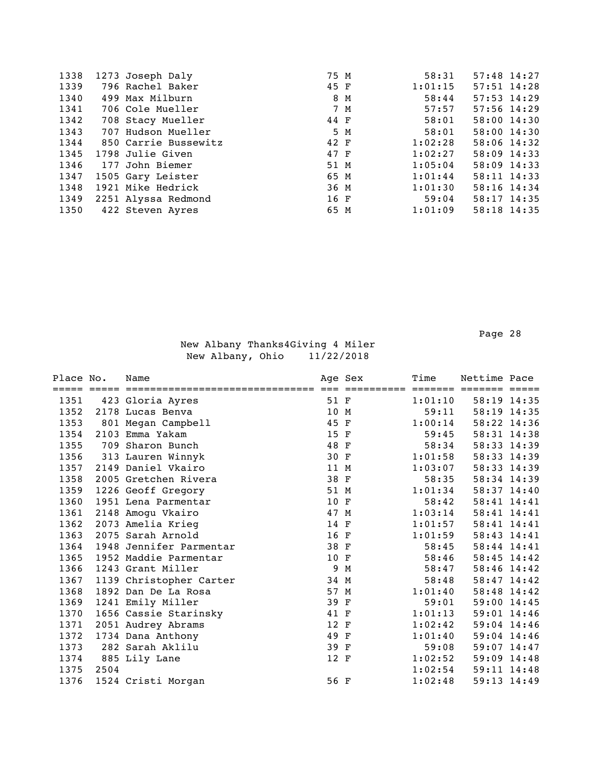| 1338 | 1273 Joseph Daly     | 75 M | 58:31   | $57:48$ 14:27   |  |
|------|----------------------|------|---------|-----------------|--|
| 1339 | 796 Rachel Baker     | 45 F | 1:01:15 | 57:51 14:28     |  |
| 1340 | 499 Max Milburn      | 8 M  | 58:44   | $57:53$ $14:29$ |  |
| 1341 | 706 Cole Mueller     | 7 M  | 57:57   | $57:56$ 14:29   |  |
| 1342 | 708 Stacy Mueller    | 44 F | 58:01   | 58:00 14:30     |  |
| 1343 | 707 Hudson Mueller   | 5 M  | 58:01   | 58:00 14:30     |  |
| 1344 | 850 Carrie Bussewitz | 42 F | 1:02:28 | 58:06 14:32     |  |
| 1345 | 1798 Julie Given     | 47 F | 1:02:27 | 58:09 14:33     |  |
| 1346 | 177 John Biemer      | 51 M | 1:05:04 | 58:09 14:33     |  |
| 1347 | 1505 Gary Leister    | 65 M | 1:01:44 | 58:11 14:33     |  |
| 1348 | 1921 Mike Hedrick    | 36 M | 1:01:30 | 58:16 14:34     |  |
| 1349 | 2251 Alyssa Redmond  | 16 F | 59:04   | $58:17$ 14:35   |  |
| 1350 | 422 Steven Ayres     | 65 M | 1:01:09 | 58:18 14:35     |  |

Page 28 and the state of the state of the state of the state of the state of the state of the state of the state of the state of the state of the state of the state of the state of the state of the state of the state of th

| Place No. | Name |                                                                                                                                                                                                                                                                                                                                                                                                                                                                                                                                                            | Time                                                                                                                                                                                                         | Nettime Pace                                           |                                                                         |
|-----------|------|------------------------------------------------------------------------------------------------------------------------------------------------------------------------------------------------------------------------------------------------------------------------------------------------------------------------------------------------------------------------------------------------------------------------------------------------------------------------------------------------------------------------------------------------------------|--------------------------------------------------------------------------------------------------------------------------------------------------------------------------------------------------------------|--------------------------------------------------------|-------------------------------------------------------------------------|
|           |      |                                                                                                                                                                                                                                                                                                                                                                                                                                                                                                                                                            |                                                                                                                                                                                                              |                                                        |                                                                         |
|           |      |                                                                                                                                                                                                                                                                                                                                                                                                                                                                                                                                                            |                                                                                                                                                                                                              |                                                        |                                                                         |
|           |      |                                                                                                                                                                                                                                                                                                                                                                                                                                                                                                                                                            |                                                                                                                                                                                                              |                                                        |                                                                         |
|           |      |                                                                                                                                                                                                                                                                                                                                                                                                                                                                                                                                                            |                                                                                                                                                                                                              |                                                        |                                                                         |
|           |      |                                                                                                                                                                                                                                                                                                                                                                                                                                                                                                                                                            |                                                                                                                                                                                                              |                                                        |                                                                         |
|           |      |                                                                                                                                                                                                                                                                                                                                                                                                                                                                                                                                                            |                                                                                                                                                                                                              |                                                        |                                                                         |
|           |      |                                                                                                                                                                                                                                                                                                                                                                                                                                                                                                                                                            | 1:01:58                                                                                                                                                                                                      | 58:33 14:39                                            |                                                                         |
|           |      |                                                                                                                                                                                                                                                                                                                                                                                                                                                                                                                                                            | 1:03:07                                                                                                                                                                                                      | 58:33 14:39                                            |                                                                         |
|           |      |                                                                                                                                                                                                                                                                                                                                                                                                                                                                                                                                                            | 58:35                                                                                                                                                                                                        | 58:34 14:39                                            |                                                                         |
|           |      |                                                                                                                                                                                                                                                                                                                                                                                                                                                                                                                                                            | 1:01:34                                                                                                                                                                                                      | 58:37 14:40                                            |                                                                         |
|           |      |                                                                                                                                                                                                                                                                                                                                                                                                                                                                                                                                                            | 58:42                                                                                                                                                                                                        | 58:41 14:41                                            |                                                                         |
|           |      |                                                                                                                                                                                                                                                                                                                                                                                                                                                                                                                                                            | 1:03:14                                                                                                                                                                                                      | 58:41 14:41                                            |                                                                         |
|           |      |                                                                                                                                                                                                                                                                                                                                                                                                                                                                                                                                                            | 1:01:57                                                                                                                                                                                                      | 58:41 14:41                                            |                                                                         |
|           |      |                                                                                                                                                                                                                                                                                                                                                                                                                                                                                                                                                            | 1:01:59                                                                                                                                                                                                      | 58:43 14:41                                            |                                                                         |
| 1948      |      |                                                                                                                                                                                                                                                                                                                                                                                                                                                                                                                                                            | 58:45                                                                                                                                                                                                        | 58:44 14:41                                            |                                                                         |
|           |      |                                                                                                                                                                                                                                                                                                                                                                                                                                                                                                                                                            | 58:46                                                                                                                                                                                                        | 58:45 14:42                                            |                                                                         |
|           |      | 9                                                                                                                                                                                                                                                                                                                                                                                                                                                                                                                                                          | 58:47                                                                                                                                                                                                        | 58:46 14:42                                            |                                                                         |
|           |      |                                                                                                                                                                                                                                                                                                                                                                                                                                                                                                                                                            | 58:48                                                                                                                                                                                                        | 58:47 14:42                                            |                                                                         |
|           |      |                                                                                                                                                                                                                                                                                                                                                                                                                                                                                                                                                            | 1:01:40                                                                                                                                                                                                      | 58:48 14:42                                            |                                                                         |
|           |      |                                                                                                                                                                                                                                                                                                                                                                                                                                                                                                                                                            | 59:01                                                                                                                                                                                                        | $59:00$ 14:45                                          |                                                                         |
|           |      |                                                                                                                                                                                                                                                                                                                                                                                                                                                                                                                                                            | 1:01:13                                                                                                                                                                                                      | 59:01 14:46                                            |                                                                         |
|           |      |                                                                                                                                                                                                                                                                                                                                                                                                                                                                                                                                                            | 1:02:42                                                                                                                                                                                                      | $59:04$ 14:46                                          |                                                                         |
|           |      |                                                                                                                                                                                                                                                                                                                                                                                                                                                                                                                                                            | 1:01:40                                                                                                                                                                                                      | $59:04$ 14:46                                          |                                                                         |
|           |      |                                                                                                                                                                                                                                                                                                                                                                                                                                                                                                                                                            | 59:08                                                                                                                                                                                                        | 59:07 14:47                                            |                                                                         |
|           |      |                                                                                                                                                                                                                                                                                                                                                                                                                                                                                                                                                            | 1:02:52                                                                                                                                                                                                      | $59:09$ 14:48                                          |                                                                         |
| 2504      |      |                                                                                                                                                                                                                                                                                                                                                                                                                                                                                                                                                            | 1:02:54                                                                                                                                                                                                      | $59:11$ $14:48$                                        |                                                                         |
|           |      |                                                                                                                                                                                                                                                                                                                                                                                                                                                                                                                                                            | 1:02:48                                                                                                                                                                                                      | 59:13 14:49                                            |                                                                         |
|           |      | 423 Gloria Ayres<br>2178 Lucas Benva<br>801 Megan Campbell<br>2103 Emma Yakam<br>709 Sharon Bunch<br>313 Lauren Winnyk<br>2149 Daniel Vkairo<br>2005 Gretchen Rivera<br>1226 Geoff Gregory<br>1951 Lena Parmentar<br>2148 Amogu Vkairo<br>2073 Amelia Krieg<br>2075 Sarah Arnold<br>Jennifer Parmentar<br>1952 Maddie Parmentar<br>1243 Grant Miller<br>1139 Christopher Carter<br>1892 Dan De La Rosa<br>1241 Emily Miller<br>1656 Cassie Starinsky<br>2051 Audrey Abrams<br>1734 Dana Anthony<br>282 Sarah Aklilu<br>885 Lily Lane<br>1524 Cristi Morgan | Age Sex<br>51 F<br>10 M<br>45 F<br>15 F<br>48 F<br>30 F<br>11 M<br>38 F<br>51 M<br>10 F<br>47 M<br>14 F<br>16 F<br>38 F<br>10 F<br>M<br>34 M<br>57 M<br>39 F<br>41 F<br>12 F<br>49 F<br>39 F<br>12 F<br>56 F | =====<br>1:01:10<br>59:11<br>1:00:14<br>59:45<br>58:34 | 58:19 14:35<br>58:19 14:35<br>58:22 14:36<br>58:31 14:38<br>58:33 14:39 |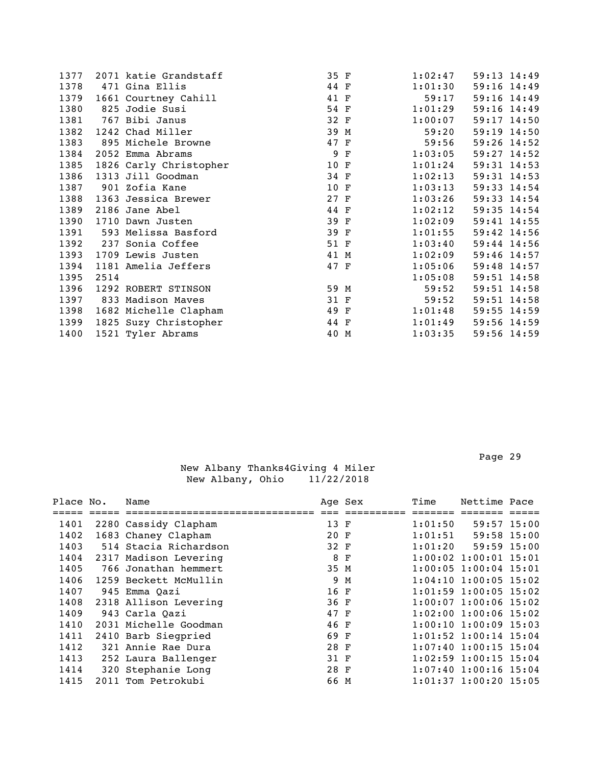| 1377 |      | 2071 katie Grandstaff  | 35 F |             | 1:02:47 | 59:13 14:49     |
|------|------|------------------------|------|-------------|---------|-----------------|
| 1378 |      | 471 Gina Ellis         | 44 F |             | 1:01:30 | 59:16 14:49     |
| 1379 |      | 1661 Courtney Cahill   | 41 F |             | 59:17   | 59:16 14:49     |
| 1380 |      | 825 Jodie Susi         | 54 F |             | 1:01:29 | 59:16 14:49     |
| 1381 |      | 767 Bibi Janus         | 32 F |             | 1:00:07 | 59:17 14:50     |
| 1382 |      | 1242 Chad Miller       | 39 M |             | 59:20   | 59:19 14:50     |
| 1383 |      | 895 Michele Browne     | 47 F |             | 59:56   | 59:26 14:52     |
| 1384 |      | 2052 Emma Abrams       | 9    | $\mathbf F$ | 1:03:05 | $59:27$ 14:52   |
| 1385 |      | 1826 Carly Christopher | 10 F |             | 1:01:24 | $59:31$ $14:53$ |
| 1386 |      | 1313 Jill Goodman      | 34 F |             | 1:02:13 | $59:31$ $14:53$ |
| 1387 |      | 901 Zofia Kane         | 10 F |             | 1:03:13 | 59:33 14:54     |
| 1388 |      | 1363 Jessica Brewer    | 27 F |             | 1:03:26 | 59:33 14:54     |
| 1389 |      | 2186 Jane Abel         | 44 F |             | 1:02:12 | 59:35 14:54     |
| 1390 |      | 1710 Dawn Justen       | 39 F |             | 1:02:09 | 59:41 14:55     |
| 1391 |      | 593 Melissa Basford    | 39 F |             | 1:01:55 | 59:42 14:56     |
| 1392 |      | 237 Sonia Coffee       | 51 F |             | 1:03:40 | 59:44 14:56     |
| 1393 |      | 1709 Lewis Justen      | 41 M |             | 1:02:09 | 59:46 14:57     |
| 1394 |      | 1181 Amelia Jeffers    | 47 F |             | 1:05:06 | 59:48 14:57     |
| 1395 | 2514 |                        |      |             | 1:05:08 | 59:51 14:58     |
| 1396 |      | 1292 ROBERT STINSON    | 59 M |             | 59:52   | 59:51 14:58     |
| 1397 |      | 833 Madison Maves      | 31 F |             | 59:52   | 59:51 14:58     |
| 1398 |      | 1682 Michelle Clapham  | 49 F |             | 1:01:48 | 59:55 14:59     |
| 1399 |      | 1825 Suzy Christopher  | 44 F |             | 1:01:49 | 59:56 14:59     |
| 1400 |      | 1521 Tyler Abrams      | 40 M |             | 1:03:35 | 59:56 14:59     |
|      |      |                        |      |             |         |                 |

| Place No. | Name                  |      | Age Sex | Time    | Nettime Pace                |  |
|-----------|-----------------------|------|---------|---------|-----------------------------|--|
|           |                       |      |         |         |                             |  |
| 1401      | 2280 Cassidy Clapham  | 13 F |         | 1:01:50 | 59:57 15:00                 |  |
| 1402      | 1683 Chaney Clapham   | 20 F |         | 1:01:51 | 59:58 15:00                 |  |
| 1403      | 514 Stacia Richardson | 32 F |         | 1:01:20 | $59:59$ 15:00               |  |
| 1404      | 2317 Madison Levering | 8 F  |         |         | $1:00:02$ 1:00:01 15:01     |  |
| 1405      | 766 Jonathan hemmert  | 35 M |         |         | $1:00:05$ 1:00:04 15:01     |  |
| 1406      | 1259 Beckett McMullin |      | 9 M     |         | $1:04:10$ 1:00:05 15:02     |  |
| 1407      | 945 Emma Oazi         | 16 F |         |         | $1:01:59$ 1:00:05 15:02     |  |
| 1408      | 2318 Allison Levering | 36 F |         |         | $1:00:07$ 1:00:06 15:02     |  |
| 1409      | 943 Carla Oazi        | 47 F |         |         | $1:02:00$ 1:00:06 15:02     |  |
| 1410      | 2031 Michelle Goodman | 46 F |         |         | $1:00:10$ $1:00:09$ $15:03$ |  |
| 1411      | 2410 Barb Siegpried   | 69 F |         |         | $1:01:52$ $1:00:14$ $15:04$ |  |
| 1412      | 321 Annie Rae Dura    | 28 F |         |         | $1:07:40$ 1:00:15 15:04     |  |
| 1413      | 252 Laura Ballenger   | 31 F |         |         | $1:02:59$ 1:00:15 15:04     |  |
| 1414      | 320 Stephanie Long    | 28 F |         |         | $1:07:40$ 1:00:16 15:04     |  |
| 1415      | 2011 Tom Petrokubi    | 66 M |         |         | $1:01:37$ $1:00:20$ $15:05$ |  |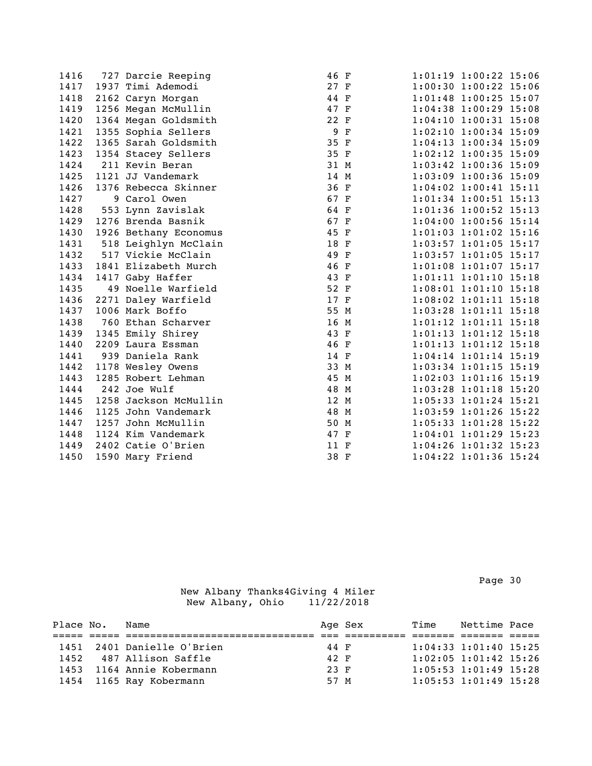| 1416 | 727 Darcie Reeping    | 46 F |             | 1:01:19 1:00:22 15:06       |  |
|------|-----------------------|------|-------------|-----------------------------|--|
| 1417 | 1937 Timi Ademodi     | 27 F |             | $1:00:30$ $1:00:22$ $15:06$ |  |
| 1418 | 2162 Caryn Morgan     | 44 F |             | 1:01:48 1:00:25 15:07       |  |
| 1419 | 1256 Megan McMullin   | 47 F |             | $1:04:38$ 1:00:29 15:08     |  |
| 1420 | 1364 Megan Goldsmith  | 22 F |             | 1:04:10 1:00:31 15:08       |  |
| 1421 | 1355 Sophia Sellers   | 9    | $\mathbf F$ | $1:02:10$ $1:00:34$ $15:09$ |  |
| 1422 | 1365 Sarah Goldsmith  | 35 F |             | 1:04:13 1:00:34 15:09       |  |
| 1423 | 1354 Stacey Sellers   | 35 F |             | 1:02:12 1:00:35 15:09       |  |
| 1424 | 211 Kevin Beran       | 31 M |             | 1:03:42 1:00:36 15:09       |  |
| 1425 | 1121 JJ Vandemark     | 14 M |             | 1:03:09 1:00:36 15:09       |  |
| 1426 | 1376 Rebecca Skinner  | 36 F |             | $1:04:02$ $1:00:41$ $15:11$ |  |
| 1427 | 9 Carol Owen          | 67 F |             | 1:01:34 1:00:51 15:13       |  |
| 1428 | 553 Lynn Zavislak     | 64 F |             | 1:01:36 1:00:52 15:13       |  |
| 1429 | 1276 Brenda Basnik    | 67 F |             | 1:04:00 1:00:56 15:14       |  |
| 1430 | 1926 Bethany Economus | 45 F |             | $1:01:03$ $1:01:02$ $15:16$ |  |
| 1431 | 518 Leighlyn McClain  | 18 F |             | 1:03:57 1:01:05 15:17       |  |
| 1432 | 517 Vickie McClain    | 49 F |             | 1:03:57 1:01:05 15:17       |  |
| 1433 | 1841 Elizabeth Murch  | 46 F |             | 1:01:08 1:01:07 15:17       |  |
| 1434 | 1417 Gaby Haffer      | 43 F |             | 1:01:11 1:01:10 15:18       |  |
| 1435 | 49 Noelle Warfield    | 52 F |             | 1:08:01 1:01:10 15:18       |  |
| 1436 | 2271 Daley Warfield   | 17 F |             | 1:08:02 1:01:11 15:18       |  |
| 1437 | 1006 Mark Boffo       | 55 M |             | 1:03:28 1:01:11 15:18       |  |
| 1438 | 760 Ethan Scharver    | 16 M |             | 1:01:12 1:01:11 15:18       |  |
| 1439 | 1345 Emily Shirey     | 43 F |             | $1:01:13$ $1:01:12$ $15:18$ |  |
| 1440 | 2209 Laura Essman     | 46 F |             | 1:01:13 1:01:12 15:18       |  |
| 1441 | 939 Daniela Rank      | 14 F |             | $1:04:14$ $1:01:14$ $15:19$ |  |
| 1442 | 1178 Wesley Owens     | 33 M |             | 1:03:34 1:01:15 15:19       |  |
| 1443 | 1285 Robert Lehman    | 45 M |             | $1:02:03$ $1:01:16$ $15:19$ |  |
| 1444 | 242 Joe Wulf          | 48 M |             | 1:03:28 1:01:18 15:20       |  |
| 1445 | 1258 Jackson McMullin | 12 M |             | 1:05:33 1:01:24 15:21       |  |
| 1446 | 1125 John Vandemark   | 48 M |             | 1:03:59 1:01:26 15:22       |  |
| 1447 | 1257 John McMullin    | 50 M |             | 1:05:33 1:01:28 15:22       |  |
| 1448 | 1124 Kim Vandemark    | 47 F |             | $1:04:01$ $1:01:29$ $15:23$ |  |
| 1449 | 2402 Catie O'Brien    | 11 F |             | 1:04:26 1:01:32 15:23       |  |
| 1450 | 1590 Mary Friend      | 38 F |             | 1:04:22 1:01:36 15:24       |  |
|      |                       |      |             |                             |  |

Page 30 and the state of the state of the state of the state of the state of the state of the state of the state of the state of the state of the state of the state of the state of the state of the state of the state of th

| Place No. | Name                       |      | Age Sex | Time | Nettime Pace                |  |
|-----------|----------------------------|------|---------|------|-----------------------------|--|
|           |                            |      |         |      |                             |  |
|           | 1451 2401 Danielle O'Brien | 44 F |         |      | $1:04:33$ $1:01:40$ $15:25$ |  |
| 1452      | 487 Allison Saffle         | 42 F |         |      | $1:02:05$ $1:01:42$ $15:26$ |  |
| 1453      | 1164 Annie Kobermann       | 23 F |         |      | $1:05:53$ $1:01:49$ $15:28$ |  |
|           | 1454 1165 Ray Kobermann    | 57 M |         |      | $1:05:53$ $1:01:49$ $15:28$ |  |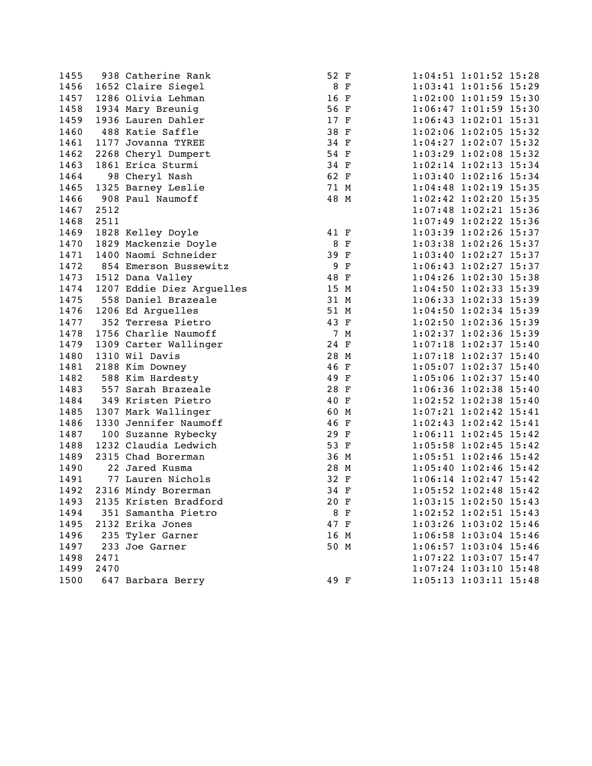1455 938 Catherine Rank 52 F<br>1456 1652 Claire Siegel 8 8 F 1456 1652 Claire Siegel 8 F 1:03:41 1:01:56 15:29 1457 1286 Olivia Lehman 16 F 1:02:00 1:01:59 15:30 1458 1934 Mary Breunig 56 F 1:06:47 1:01:59 15:30 1459 1936 Lauren Dahler 17 F 1:06:43 1:02:01 15:31 1460 488 Katie Saffle 38 F 1:02:06 1:02:05 15:32 1461 1177 Jovanna TYREE 34 F 1:04:27 1:02:07 15:32 1462 2268 Cheryl Dumpert 54 F 1:03:29 1:02:08 15:32 1463 1861 Erica Sturmi 34 F 1:02:14 1:02:13 15:34 1464 98 Cheryl Nash 62 F 1:03:40 1:02:16 15:34 1465 1325 Barney Leslie 71 M 1:04:48 1:02:19 15:35 1466 908 Paul Naumoff 48 M 1:02:42 1:02:20 15:35 1467 2512 1:07:48 1:02:21 15:36 1468 2511 1469 1828 Kelley Doyle 41 F 1:03:39 1:02:26 15:37 1470 1829 Mackenzie Doyle 8 F 1:03:38 1:02:26 15:37 1471 1400 Naomi Schneider 39 F 1:03:40 1:02:27 15:37 1472 854 Emerson Bussewitz 9 F 1:06:43 1:02:27 15:37 1473 1512 Dana Valley 48 F 1:04:26 1:02:30 15:38 1474 1207 Eddie Diez Arguelles 15 M 1:04:50 1:02:33 15:39 1475 558 Daniel Brazeale 31 M 1:06:33 1:02:33 15:39 1476 1206 Ed Arguelles 51 M 1:04:50 1:02:34 15:39 1477 352 Terresa Pietro 43 F 1:02:50 1:02:36 15:39 1478 1756 Charlie Naumoff 7 M 1:02:37 1:02:36 15:39 1479 1309 Carter Wallinger 24 F 1:07:18 1:02:37 15:40 1480 1310 Wil Davis 28 M 1:07:18 1:02:37 15:40 1481 2188 Kim Downey 46 F 1:05:07 1:02:37 15:40 1482 588 Kim Hardesty 49 F 1:05:06 1:02:37 15:40 1483 557 Sarah Brazeale 28 F 1:06:36 1:02:38 15:40 1484 349 Kristen Pietro 40 F 1:02:52 1:02:38 15:40 1485 1307 Mark Wallinger 60 M 1:07:21 1:02:42 15:41 1486 1330 Jennifer Naumoff 46 F 1:02:43 1:02:42 15:41 1487 100 Suzanne Rybecky 29 F 1:06:11 1:02:45 15:42 1488 1232 Claudia Ledwich 53 F 1:05:58 1:02:45 15:42 1489 2315 Chad Borerman 36 M 1:05:51 1:02:46 15:42 1490 22 Jared Kusma 28 M 1:05:40 1:02:46 15:42 1491 77 Lauren Nichols 32 F 1:06:14 1:02:47 15:42 1492 2316 Mindy Borerman 34 F 1:05:52 1:02:48 15:42 1493 2135 Kristen Bradford 20 F 1:03:15 1:02:50 15:43 1494 351 Samantha Pietro 8 F 1:02:52 1:02:51 15:43 1495 2132 Erika Jones 47 F 1:03:26 1:03:02 15:46 1496 235 Tyler Garner 16 M 1:06:58 1:03:04 15:46 1497 233 Joe Garner 50 M 1498 2471 1499 2470 1500 647 Barbara Berry 49 F

|                   | 1:03:41 1:01:56 15:29       |       |
|-------------------|-----------------------------|-------|
| $1\!:\!02\!:\!00$ | $1:01:59$ 15:30             |       |
| 1:06:47           | $1:01:59$ 15:30             |       |
| 1:06:43           | $1:02:01$ 15:31             |       |
| 1:02:06           | $1:02:05$ 15:32             |       |
| 1:04:27           | 1:02:07                     | 15:32 |
| 1:03:29           | 1:02:08                     | 15:32 |
| 1:02:14           | 1:02:13                     | 15:34 |
| 1:03:40           | 1:02:16                     | 15:34 |
|                   |                             | 15:35 |
| 1:04:48           | 1:02:19                     |       |
| 1:02:42           | 1:02:20                     | 15:35 |
| 1:07:48           | 1:02:21                     | 15:36 |
| 1:07:49           | 1:02:22 15:36               |       |
| 1:03:39           | $1:02:26$ 15:37             |       |
| 1:03:38           | 1:02:26                     | 15:37 |
| 1:03:40           | 1:02:27                     | 15:37 |
| 1:06:43           | $1:02:27$ 15:37             |       |
| 1:04:26           | $1:02:30$ 15:38             |       |
| 1:04:50           | $1:02:33$ 15:39             |       |
| 1:06:33           | 1:02:33 15:39               |       |
| 1:04:50           | 1:02:34                     | 15:39 |
| 1:02:50           | 1:02:36                     | 15:39 |
| 1:02:37           | 1:02:36                     | 15:39 |
| 1:07:18           | 1:02:37                     | 15:40 |
| 1:07:18           | 1:02:37                     | 15:40 |
| 1:05:07           | 1:02:37                     | 15:40 |
| 1:05:06           | 1:02:37                     | 15:40 |
| 1:06:36           | 1:02:38                     | 15:40 |
| 1:02:52           | $1:02:38$ 15:40             |       |
| 1:07:21           | 1:02:42                     | 15:41 |
|                   |                             | 15:41 |
| 1:02:43           | 1:02:42                     |       |
| 1:06:11           | $1:02:45$ 15:42             |       |
| 1:05:58           | $1:02:45$ 15:42             |       |
| 1:05:51           | $1:02:46$ 15:42             |       |
|                   | $1:05:40$ $1:02:46$ $15:42$ |       |
| 1:06:14           | $1:02:47$ 15:42             |       |
| 1:05:52           | 1:02:48                     | 15:42 |
| 1:03:15           | 1:02:50                     | 15:43 |
| 1:02:52           | 1:02:51                     | 15:43 |
| 1:03:26           | 1:03:02                     | 15:46 |
| 1:06:58           | 1:03:04                     | 15:46 |
| 1:06:57           | 1:03:04                     | 15:46 |
| 1:07:22           | $1:03:07$ 15:47             |       |
| 1:07:24           | 1:03:10                     | 15:48 |
| 1:05:13           | 1:03:11                     | 15:48 |
|                   |                             |       |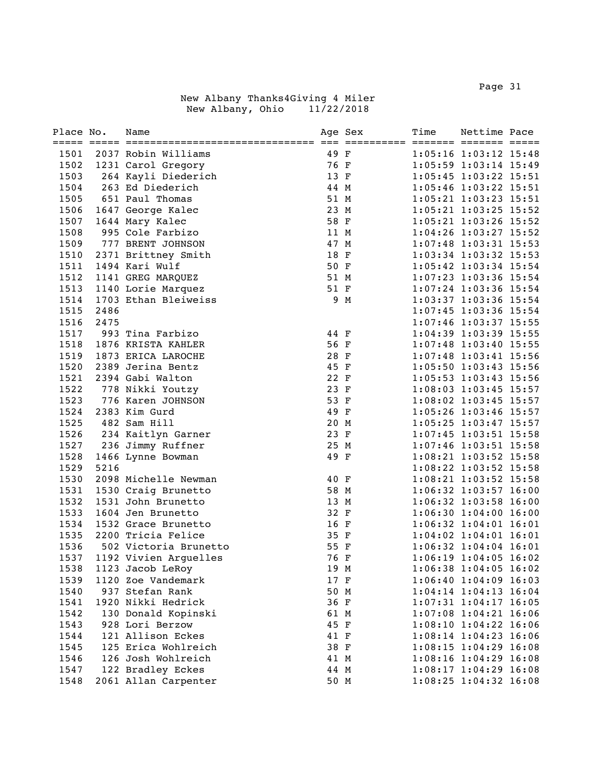Page 31 and the state of the state of the state of the state of the state of the state of the state of the state of the state of the state of the state of the state of the state of the state of the state of the state of th

| Place No. |      | Name                  |      | Age Sex | Time | Nettime Pace                |  |
|-----------|------|-----------------------|------|---------|------|-----------------------------|--|
| 1501      |      | 2037 Robin Williams   | 49 F |         |      | 1:05:16 1:03:12 15:48       |  |
| 1502      |      | 1231 Carol Gregory    | 76 F |         |      | 1:05:59 1:03:14 15:49       |  |
| 1503      |      | 264 Kayli Diederich   | 13 F |         |      | 1:05:45 1:03:22 15:51       |  |
| 1504      |      | 263 Ed Diederich      | 44 M |         |      | 1:05:46 1:03:22 15:51       |  |
| 1505      |      | 651 Paul Thomas       | 51 M |         |      | 1:05:21 1:03:23 15:51       |  |
| 1506      |      | 1647 George Kalec     | 23 M |         |      | 1:05:21 1:03:25 15:52       |  |
| 1507      |      | 1644 Mary Kalec       | 58 F |         |      | 1:05:21 1:03:26 15:52       |  |
| 1508      |      | 995 Cole Farbizo      | 11 M |         |      | 1:04:26 1:03:27 15:52       |  |
| 1509      |      | 777 BRENT JOHNSON     | 47 M |         |      | 1:07:48 1:03:31 15:53       |  |
| 1510      |      | 2371 Brittney Smith   | 18 F |         |      | 1:03:34 1:03:32 15:53       |  |
| 1511      |      | 1494 Kari Wulf        | 50 F |         |      | 1:05:42 1:03:34 15:54       |  |
| 1512      |      | 1141 GREG MARQUEZ     | 51 M |         |      | $1:07:23$ $1:03:36$ $15:54$ |  |
| 1513      |      | 1140 Lorie Marquez    | 51 F |         |      | 1:07:24 1:03:36 15:54       |  |
| 1514      |      | 1703 Ethan Bleiweiss  |      | 9 M     |      | 1:03:37 1:03:36 15:54       |  |
| 1515      | 2486 |                       |      |         |      | 1:07:45 1:03:36 15:54       |  |
| 1516      | 2475 |                       |      |         |      | 1:07:46 1:03:37 15:55       |  |
| 1517      |      | 993 Tina Farbizo      | 44 F |         |      | 1:04:39 1:03:39 15:55       |  |
| 1518      |      | 1876 KRISTA KAHLER    | 56 F |         |      | 1:07:48 1:03:40 15:55       |  |
| 1519      |      | 1873 ERICA LAROCHE    | 28 F |         |      | $1:07:48$ $1:03:41$ $15:56$ |  |
| 1520      |      | 2389 Jerina Bentz     | 45 F |         |      | 1:05:50 1:03:43 15:56       |  |
| 1521      |      | 2394 Gabi Walton      | 22 F |         |      | $1:05:53$ $1:03:43$ $15:56$ |  |
| 1522      |      | 778 Nikki Youtzy      | 23 F |         |      | 1:08:03 1:03:45 15:57       |  |
| 1523      |      | 776 Karen JOHNSON     | 53 F |         |      | $1:08:02$ 1:03:45 15:57     |  |
| 1524      |      | 2383 Kim Gurd         | 49 F |         |      | 1:05:26 1:03:46 15:57       |  |
| 1525      |      | 482 Sam Hill          | 20 M |         |      | 1:05:25 1:03:47 15:57       |  |
| 1526      |      | 234 Kaitlyn Garner    | 23 F |         |      | 1:07:45 1:03:51 15:58       |  |
| 1527      |      | 236 Jimmy Ruffner     | 25 M |         |      | 1:07:46 1:03:51 15:58       |  |
| 1528      |      | 1466 Lynne Bowman     | 49 F |         |      | 1:08:21 1:03:52 15:58       |  |
| 1529      | 5216 |                       |      |         |      | 1:08:22 1:03:52 15:58       |  |
| 1530      |      | 2098 Michelle Newman  | 40 F |         |      | 1:08:21 1:03:52 15:58       |  |
| 1531      |      | 1530 Craig Brunetto   | 58 M |         |      | 1:06:32 1:03:57 16:00       |  |
| 1532      |      | 1531 John Brunetto    | 13 M |         |      | $1:06:32$ 1:03:58 16:00     |  |
| 1533      |      | 1604 Jen Brunetto     | 32 F |         |      | 1:06:30 1:04:00 16:00       |  |
| 1534      |      | 1532 Grace Brunetto   | 16 F |         |      | $1:06:32$ $1:04:01$ $16:01$ |  |
| 1535      |      | 2200 Tricia Felice    | 35 F |         |      | $1:04:02$ $1:04:01$ $16:01$ |  |
| 1536      |      | 502 Victoria Brunetto | 55 F |         |      | 1:06:32 1:04:04 16:01       |  |
| 1537      |      | 1192 Vivien Arguelles | 76 F |         |      | 1:06:19 1:04:05 16:02       |  |
| 1538      |      | 1123 Jacob LeRoy      | 19 M |         |      | 1:06:38 1:04:05 16:02       |  |
| 1539      |      | 1120 Zoe Vandemark    | 17 F |         |      | 1:06:40 1:04:09 16:03       |  |
| 1540      |      | 937 Stefan Rank       | 50 M |         |      | $1:04:14$ $1:04:13$ $16:04$ |  |
| 1541      |      | 1920 Nikki Hedrick    | 36 F |         |      | $1:07:31$ $1:04:17$ $16:05$ |  |
| 1542      |      | 130 Donald Kopinski   | 61 M |         |      | 1:07:08 1:04:21 16:06       |  |
| 1543      |      | 928 Lori Berzow       | 45 F |         |      | 1:08:10 1:04:22 16:06       |  |
| 1544      |      | 121 Allison Eckes     | 41 F |         |      | 1:08:14 1:04:23 16:06       |  |
| 1545      |      | 125 Erica Wohlreich   | 38 F |         |      | 1:08:15 1:04:29 16:08       |  |
| 1546      |      | 126 Josh Wohlreich    | 41 M |         |      | 1:08:16 1:04:29 16:08       |  |
| 1547      |      | 122 Bradley Eckes     | 44 M |         |      | 1:08:17 1:04:29 16:08       |  |
| 1548      |      | 2061 Allan Carpenter  | 50 M |         |      | 1:08:25 1:04:32 16:08       |  |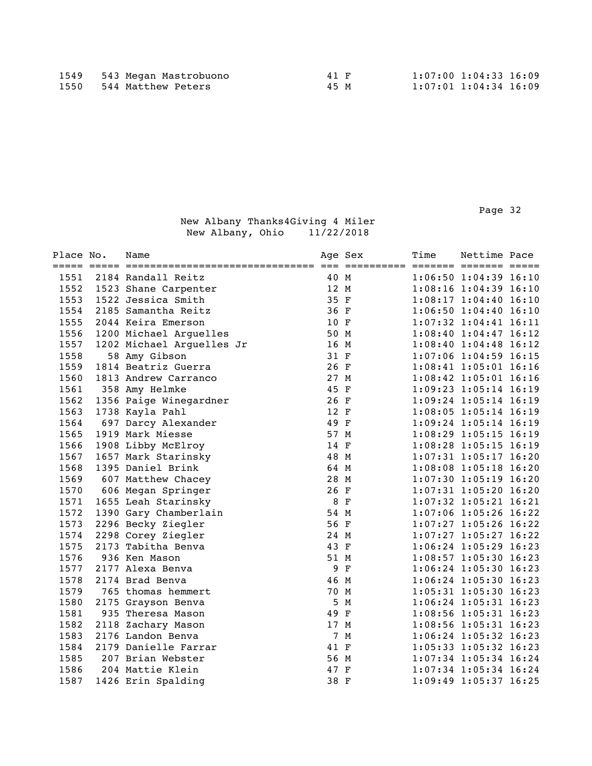Page 32 and the state of the state of the state of the state of the state of the state of the state of the state of the state of the state of the state of the state of the state of the state of the state of the state of th

| Place No. | Name                      |      | Age Sex | Time | Nettime Pace                |  |
|-----------|---------------------------|------|---------|------|-----------------------------|--|
| 1551      | 2184 Randall Reitz        | 40 M |         |      | $1:06:50$ $1:04:39$ $16:10$ |  |
| 1552      | 1523 Shane Carpenter      | 12 M |         |      | 1:08:16 1:04:39 16:10       |  |
| 1553      | 1522 Jessica Smith        | 35 F |         |      | $1:08:17$ $1:04:40$ $16:10$ |  |
| 1554      | 2185 Samantha Reitz       | 36 F |         |      | $1:06:50$ $1:04:40$ $16:10$ |  |
| 1555      | 2044 Keira Emerson        | 10 F |         |      | 1:07:32 1:04:41 16:11       |  |
| 1556      | 1200 Michael Arguelles    | 50 M |         |      | $1:08:40$ $1:04:47$ $16:12$ |  |
| 1557      | 1202 Michael Arguelles Jr | 16 M |         |      | 1:08:40 1:04:48 16:12       |  |
| 1558      | 58 Amy Gibson             | 31 F |         |      | 1:07:06 1:04:59 16:15       |  |
| 1559      | 1814 Beatriz Guerra       | 26 F |         |      | 1:08:41 1:05:01 16:16       |  |
| 1560      | 1813 Andrew Carranco      | 27 M |         |      | 1:08:42 1:05:01 16:16       |  |
| 1561      | 358 Amy Helmke            | 45 F |         |      | 1:09:23 1:05:14 16:19       |  |
| 1562      | 1356 Paige Winegardner    | 26 F |         |      | 1:09:24 1:05:14 16:19       |  |
| 1563      | 1738 Kayla Pahl           | 12 F |         |      | $1:08:05$ 1:05:14 16:19     |  |
| 1564      | 697 Darcy Alexander       | 49 F |         |      | 1:09:24 1:05:14 16:19       |  |
| 1565      | 1919 Mark Miesse          | 57 M |         |      | 1:08:29 1:05:15 16:19       |  |
| 1566      | 1908 Libby McElroy        | 14 F |         |      | 1:08:28 1:05:15 16:19       |  |
| 1567      | 1657 Mark Starinsky       | 48 M |         |      | $1:07:31$ $1:05:17$ $16:20$ |  |
| 1568      | 1395 Daniel Brink         | 64 M |         |      | 1:08:08 1:05:18 16:20       |  |
| 1569      | 607 Matthew Chacey        | 28 M |         |      | $1:07:30$ $1:05:19$ $16:20$ |  |
| 1570      | 606 Megan Springer        | 26 F |         |      | 1:07:31 1:05:20 16:20       |  |
| 1571      | 1655 Leah Starinsky       | 8 F  |         |      | 1:07:32 1:05:21 16:21       |  |
| 1572      | 1390 Gary Chamberlain     | 54 M |         |      | 1:07:06 1:05:26 16:22       |  |
| 1573      | 2296 Becky Ziegler        | 56 F |         |      | $1:07:27$ 1:05:26 16:22     |  |
| 1574      | 2298 Corey Ziegler        | 24 M |         |      | $1:07:27$ 1:05:27 16:22     |  |
| 1575      | 2173 Tabitha Benva        | 43 F |         |      | $1:06:24$ 1:05:29 16:23     |  |
| 1576      | 936 Ken Mason             | 51 M |         |      | 1:08:57 1:05:30 16:23       |  |
| 1577      | 2177 Alexa Benva          |      | 9 F     |      | 1:06:24 1:05:30 16:23       |  |
| 1578      | 2174 Brad Benva           | 46 M |         |      | 1:06:24 1:05:30 16:23       |  |
| 1579      | 765 thomas hemmert        | 70 M |         |      | 1:05:31 1:05:30 16:23       |  |
| 1580      | 2175 Grayson Benva        | 5    | M       |      | 1:06:24 1:05:31 16:23       |  |
| 1581      | 935 Theresa Mason         | 49 F |         |      | 1:08:56 1:05:31 16:23       |  |
| 1582      | 2118 Zachary Mason        | 17 M |         |      | 1:08:56 1:05:31 16:23       |  |
| 1583      | 2176 Landon Benva         |      | 7 M     |      | 1:06:24 1:05:32 16:23       |  |
| 1584      | 2179 Danielle Farrar      | 41 F |         |      | $1:05:33$ $1:05:32$ $16:23$ |  |
| 1585      | 207 Brian Webster         | 56 M |         |      | 1:07:34 1:05:34 16:24       |  |
| 1586      | 204 Mattie Klein          | 47 F |         |      | $1:07:34$ $1:05:34$ $16:24$ |  |
| 1587      | 1426 Erin Spalding        | 38 F |         |      | 1:09:49 1:05:37 16:25       |  |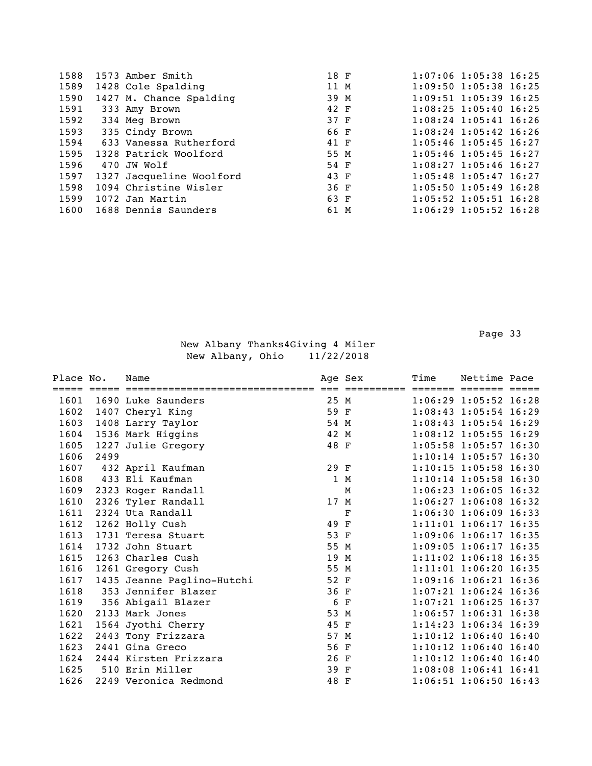|                                              |                                                                                                                                                                                                                                                                                               | $1:07:06$ 1:05:38 16:25                                                                              |
|----------------------------------------------|-----------------------------------------------------------------------------------------------------------------------------------------------------------------------------------------------------------------------------------------------------------------------------------------------|------------------------------------------------------------------------------------------------------|
|                                              |                                                                                                                                                                                                                                                                                               | $1:09:50$ $1:05:38$ $16:25$                                                                          |
|                                              |                                                                                                                                                                                                                                                                                               | $1:09:51$ $1:05:39$ $16:25$                                                                          |
|                                              |                                                                                                                                                                                                                                                                                               | $1:08:25$ $1:05:40$ $16:25$                                                                          |
|                                              |                                                                                                                                                                                                                                                                                               | $1:08:24$ $1:05:41$ $16:26$                                                                          |
|                                              |                                                                                                                                                                                                                                                                                               | $1:08:24$ $1:05:42$ $16:26$                                                                          |
|                                              |                                                                                                                                                                                                                                                                                               | $1:05:46$ $1:05:45$ $16:27$                                                                          |
|                                              |                                                                                                                                                                                                                                                                                               | $1:05:46$ $1:05:45$ $16:27$                                                                          |
|                                              |                                                                                                                                                                                                                                                                                               | $1:08:27$ 1:05:46 16:27                                                                              |
|                                              |                                                                                                                                                                                                                                                                                               | $1:05:48$ $1:05:47$ $16:27$                                                                          |
|                                              |                                                                                                                                                                                                                                                                                               | $1:05:50$ $1:05:49$ $16:28$                                                                          |
|                                              |                                                                                                                                                                                                                                                                                               | $1:05:52$ $1:05:51$ $16:28$                                                                          |
|                                              |                                                                                                                                                                                                                                                                                               | $1:06:29$ 1:05:52 16:28                                                                              |
| 1588<br>1592<br>1593<br>1594<br>1595<br>1596 | 1573 Amber Smith<br>1428 Cole Spalding<br>1427 M. Chance Spalding<br>333 Amy Brown<br>334 Meg Brown<br>335 Cindy Brown<br>633 Vanessa Rutherford<br>1328 Patrick Woolford<br>470 JW Wolf<br>1327 Jacqueline Woolford<br>1094 Christine Wisler<br>1072 Jan Martin<br>1600 1688 Dennis Saunders | 18 F<br>11 M<br>39 M<br>42 F<br>37 F<br>66 F<br>41 F<br>55 M<br>54 F<br>43 F<br>36 F<br>63 F<br>61 M |

Page 33 and the state of the state of the state of the state of the state of the state of the state of the state of the state of the state of the state of the state of the state of the state of the state of the state of th

| Place No. |      | Name                       |      | Age Sex | Time | Nettime Pace                |  |
|-----------|------|----------------------------|------|---------|------|-----------------------------|--|
| 1601      |      | 1690 Luke Saunders         | 25 M |         |      | $1:06:29$ 1:05:52 16:28     |  |
| 1602      |      | 1407 Cheryl King           | 59 F |         |      | $1:08:43$ $1:05:54$ 16:29   |  |
| 1603      |      | 1408 Larry Taylor          | 54 M |         |      | $1:08:43$ $1:05:54$ 16:29   |  |
| 1604      |      | 1536 Mark Higgins          | 42 M |         |      | $1:08:12$ 1:05:55 16:29     |  |
| 1605      |      | 1227 Julie Gregory         | 48 F |         |      | 1:05:58 1:05:57 16:30       |  |
| 1606      | 2499 |                            |      |         |      | $1:10:14$ 1:05:57 16:30     |  |
| 1607      |      | 432 April Kaufman          | 29 F |         |      | 1:10:15 1:05:58 16:30       |  |
| 1608      |      | 433 Eli Kaufman            |      | 1 M     |      | $1:10:14$ 1:05:58 16:30     |  |
| 1609      |      | 2323 Roger Randall         |      | M       |      | $1:06:23$ 1:06:05 16:32     |  |
| 1610      |      | 2326 Tyler Randall         | 17 M |         |      | $1:06:27$ 1:06:08 16:32     |  |
| 1611      |      | 2324 Uta Randall           |      | F       |      | $1:06:30$ $1:06:09$ $16:33$ |  |
| 1612      |      | 1262 Holly Cush            | 49 F |         |      | $1:11:01$ $1:06:17$ $16:35$ |  |
| 1613      |      | 1731 Teresa Stuart         | 53 F |         |      | $1:09:06$ $1:06:17$ $16:35$ |  |
| 1614      |      | 1732 John Stuart           | 55 M |         |      | $1:09:05$ $1:06:17$ $16:35$ |  |
| 1615      |      | 1263 Charles Cush          | 19 M |         |      | 1:11:02 1:06:18 16:35       |  |
| 1616      |      | 1261 Gregory Cush          | 55 M |         |      | $1:11:01$ $1:06:20$ $16:35$ |  |
| 1617      |      | 1435 Jeanne Paglino-Hutchi | 52 F |         |      | $1:09:16$ $1:06:21$ $16:36$ |  |
| 1618      |      | 353 Jennifer Blazer        | 36 F |         |      | $1:07:21$ $1:06:24$ $16:36$ |  |
| 1619      |      | 356 Abigail Blazer         | 6 F  |         |      | $1:07:21$ 1:06:25 16:37     |  |
| 1620      |      | 2133 Mark Jones            | 53 M |         |      | 1:06:57 1:06:31 16:38       |  |
| 1621      |      | 1564 Jyothi Cherry         | 45 F |         |      | $1:14:23$ $1:06:34$ 16:39   |  |
| 1622      |      | 2443 Tony Frizzara         | 57 M |         |      | $1:10:12$ $1:06:40$ $16:40$ |  |
| 1623      |      | 2441 Gina Greco            | 56 F |         |      | 1:10:12 1:06:40 16:40       |  |
| 1624      |      | 2444 Kirsten Frizzara      | 26 F |         |      | $1:10:12$ $1:06:40$ $16:40$ |  |
| 1625      |      | 510 Erin Miller            | 39 F |         |      | $1:08:08$ $1:06:41$ $16:41$ |  |
| 1626      |      | 2249 Veronica Redmond      | 48 F |         |      | $1:06:51$ 1:06:50 16:43     |  |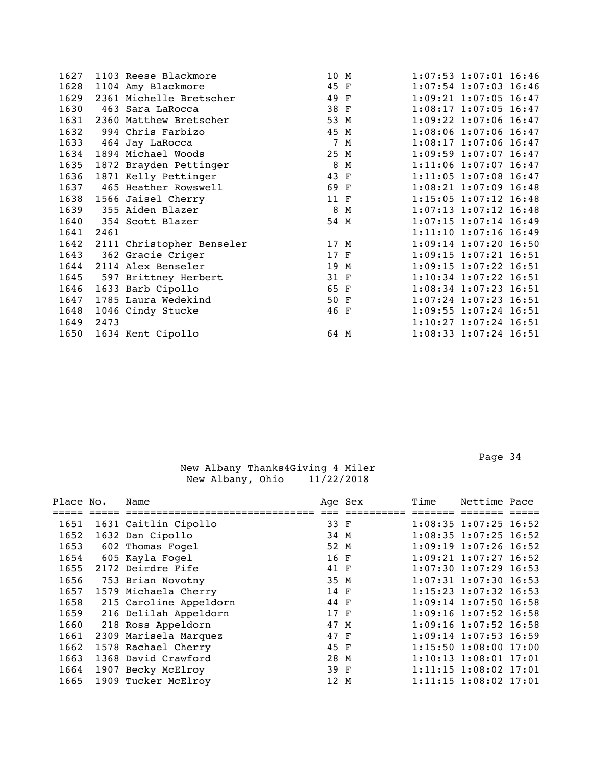| 1627 |      | 1103 Reese Blackmore      | 10 M |     | $1:07:53$ $1:07:01$ $16:46$ |
|------|------|---------------------------|------|-----|-----------------------------|
| 1628 |      | 1104 Amy Blackmore        | 45 F |     | $1:07:54$ 1:07:03 16:46     |
| 1629 |      | 2361 Michelle Bretscher   | 49 F |     | $1:09:21$ $1:07:05$ $16:47$ |
| 1630 |      | 463 Sara LaRocca          | 38 F |     | $1:08:17$ 1:07:05 16:47     |
| 1631 |      | 2360 Matthew Bretscher    | 53 M |     | $1:09:22$ 1:07:06 16:47     |
| 1632 |      | 994 Chris Farbizo         | 45 M |     | $1:08:06$ 1:07:06 16:47     |
| 1633 |      | 464 Jay LaRocca           |      | 7 M | $1:08:17$ 1:07:06 16:47     |
| 1634 |      | 1894 Michael Woods        | 25 M |     | $1:09:59$ $1:07:07$ $16:47$ |
| 1635 |      | 1872 Brayden Pettinger    | 8    | M   | 1:11:06 1:07:07 16:47       |
| 1636 |      | 1871 Kelly Pettinger      | 43 F |     | 1:11:05 1:07:08 16:47       |
| 1637 |      | 465 Heather Rowswell      | 69 F |     | $1:08:21$ 1:07:09 16:48     |
| 1638 |      | 1566 Jaisel Cherry        | 11 F |     | 1:15:05 1:07:12 16:48       |
| 1639 |      | 355 Aiden Blazer          | 8    | M   | $1:07:13$ $1:07:12$ $16:48$ |
| 1640 |      | 354 Scott Blazer          | 54 M |     | $1:07:15$ 1:07:14 16:49     |
| 1641 | 2461 |                           |      |     | $1:11:10$ $1:07:16$ $16:49$ |
| 1642 |      | 2111 Christopher Benseler | 17 M |     | $1:09:14$ 1:07:20 16:50     |
| 1643 |      | 362 Gracie Criger         | 17 F |     | $1:09:15$ $1:07:21$ $16:51$ |
| 1644 |      | 2114 Alex Benseler        | 19 M |     | $1:09:15$ $1:07:22$ $16:51$ |
| 1645 |      | 597 Brittney Herbert      | 31 F |     | $1:10:34$ 1:07:22 16:51     |
| 1646 |      | 1633 Barb Cipollo         | 65 F |     | $1:08:34$ 1:07:23 16:51     |
| 1647 |      | 1785 Laura Wedekind       | 50 F |     | $1:07:24$ 1:07:23 16:51     |
| 1648 |      | 1046 Cindy Stucke         | 46 F |     | 1:09:55 1:07:24 16:51       |
| 1649 | 2473 |                           |      |     | $1:10:27$ 1:07:24 16:51     |
| 1650 |      | 1634 Kent Cipollo         | 64 M |     | $1:08:33$ $1:07:24$ 16:51   |
|      |      |                           |      |     |                             |

| Place No. | Name                   |      | Age Sex | Time | Nettime Pace                |  |
|-----------|------------------------|------|---------|------|-----------------------------|--|
|           |                        |      |         |      |                             |  |
| 1651      | 1631 Caitlin Cipollo   | 33 F |         |      | $1:08:35$ $1:07:25$ $16:52$ |  |
| 1652      | 1632 Dan Cipollo       | 34 M |         |      | $1:08:35$ $1:07:25$ $16:52$ |  |
| 1653      | 602 Thomas Fogel       | 52 M |         |      | $1:09:19$ $1:07:26$ $16:52$ |  |
| 1654      | 605 Kayla Foqel        | 16 F |         |      | $1:09:21$ $1:07:27$ $16:52$ |  |
| 1655      | 2172 Deirdre Fife      | 41 F |         |      | $1:07:30$ 1:07:29 16:53     |  |
| 1656      | 753 Brian Novotny      | 35 M |         |      | $1:07:31$ $1:07:30$ $16:53$ |  |
| 1657      | 1579 Michaela Cherry   | 14 F |         |      | $1:15:23$ 1:07:32 16:53     |  |
| 1658      | 215 Caroline Appeldorn | 44 F |         |      | $1:09:14$ 1:07:50 16:58     |  |
| 1659      | 216 Delilah Appeldorn  | 17 F |         |      | $1:09:16$ 1:07:52 16:58     |  |
| 1660      | 218 Ross Appeldorn     | 47 M |         |      | $1:09:16$ 1:07:52 16:58     |  |
| 1661      | 2309 Marisela Marquez  | 47 F |         |      | $1:09:14$ 1:07:53 16:59     |  |
| 1662      | 1578 Rachael Cherry    | 45 F |         |      | $1:15:50$ $1:08:00$ $17:00$ |  |
| 1663      | 1368 David Crawford    | 28 M |         |      | $1:10:13$ $1:08:01$ $17:01$ |  |
| 1664      | 1907 Becky McElroy     | 39 F |         |      | $1:11:15$ $1:08:02$ $17:01$ |  |
| 1665      | 1909 Tucker McElroy    | 12 M |         |      | $1:11:15$ $1:08:02$ $17:01$ |  |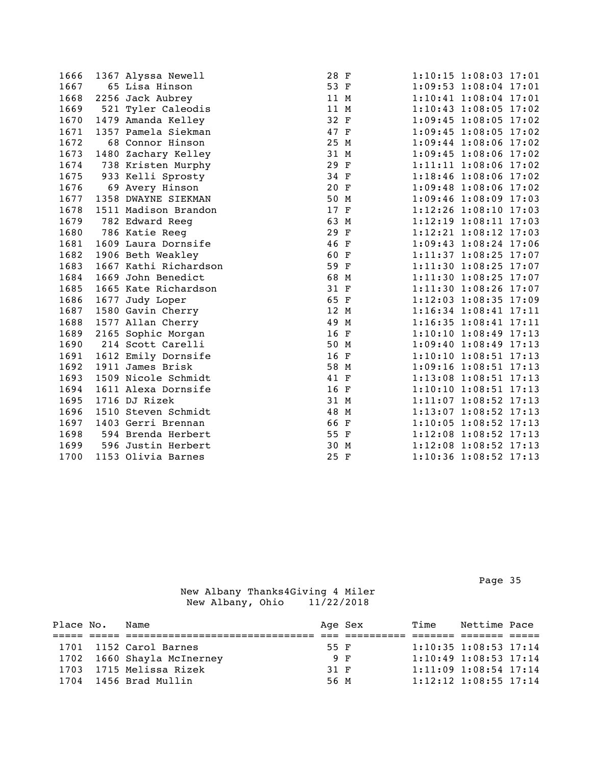| 1666 | 1367 Alyssa Newell    | 28 F |  | 1:10:15 1:08:03 17:01       |  |
|------|-----------------------|------|--|-----------------------------|--|
| 1667 | 65 Lisa Hinson        | 53 F |  | 1:09:53 1:08:04 17:01       |  |
| 1668 | 2256 Jack Aubrey      | 11 M |  | 1:10:41 1:08:04 17:01       |  |
| 1669 | 521 Tyler Caleodis    | 11 M |  | 1:10:43 1:08:05 17:02       |  |
| 1670 | 1479 Amanda Kelley    | 32 F |  | $1:09:45$ $1:08:05$ $17:02$ |  |
| 1671 | 1357 Pamela Siekman   | 47 F |  | $1:09:45$ $1:08:05$ $17:02$ |  |
| 1672 | 68 Connor Hinson      | 25 M |  | $1:09:44$ 1:08:06 17:02     |  |
| 1673 | 1480 Zachary Kelley   | 31 M |  | $1:09:45$ $1:08:06$ $17:02$ |  |
| 1674 | 738 Kristen Murphy    | 29 F |  | 1:11:11 1:08:06 17:02       |  |
| 1675 | 933 Kelli Sprosty     | 34 F |  | $1:18:46$ $1:08:06$ $17:02$ |  |
| 1676 | 69 Avery Hinson       | 20 F |  | 1:09:48 1:08:06 17:02       |  |
| 1677 | 1358 DWAYNE SIEKMAN   | 50 M |  | 1:09:46 1:08:09 17:03       |  |
| 1678 | 1511 Madison Brandon  | 17 F |  | 1:12:26 1:08:10 17:03       |  |
| 1679 | 782 Edward Reeg       | 63 M |  | 1:12:19 1:08:11 17:03       |  |
| 1680 | 786 Katie Reeg        | 29 F |  | 1:12:21 1:08:12 17:03       |  |
| 1681 | 1609 Laura Dornsife   | 46 F |  | 1:09:43 1:08:24 17:06       |  |
| 1682 | 1906 Beth Weakley     | 60 F |  | 1:11:37 1:08:25 17:07       |  |
| 1683 | 1667 Kathi Richardson | 59 F |  | $1:11:30$ $1:08:25$ $17:07$ |  |
| 1684 | 1669 John Benedict    | 68 M |  | 1:11:30 1:08:25 17:07       |  |
| 1685 | 1665 Kate Richardson  | 31 F |  | 1:11:30 1:08:26 17:07       |  |
| 1686 | 1677 Judy Loper       | 65 F |  | 1:12:03 1:08:35 17:09       |  |
| 1687 | 1580 Gavin Cherry     | 12 M |  | 1:16:34 1:08:41 17:11       |  |
| 1688 | 1577 Allan Cherry     | 49 M |  | $1:16:35$ $1:08:41$ $17:11$ |  |
| 1689 | 2165 Sophic Morgan    | 16 F |  | 1:10:10 1:08:49 17:13       |  |
| 1690 | 214 Scott Carelli     | 50 M |  | $1:09:40$ $1:08:49$ $17:13$ |  |
| 1691 | 1612 Emily Dornsife   | 16 F |  | 1:10:10 1:08:51 17:13       |  |
| 1692 | 1911 James Brisk      | 58 M |  | 1:09:16 1:08:51 17:13       |  |
| 1693 | 1509 Nicole Schmidt   | 41 F |  | 1:13:08 1:08:51 17:13       |  |
| 1694 | 1611 Alexa Dornsife   | 16 F |  | 1:10:10 1:08:51 17:13       |  |
| 1695 | 1716 DJ Rizek         | 31 M |  | 1:11:07 1:08:52 17:13       |  |
| 1696 | 1510 Steven Schmidt   | 48 M |  | 1:13:07 1:08:52 17:13       |  |
| 1697 | 1403 Gerri Brennan    | 66 F |  | $1:10:05$ 1:08:52 17:13     |  |
| 1698 | 594 Brenda Herbert    | 55 F |  | 1:12:08 1:08:52 17:13       |  |
| 1699 | 596 Justin Herbert    | 30 M |  | 1:12:08 1:08:52 17:13       |  |
| 1700 | 1153 Olivia Barnes    | 25 F |  | 1:10:36 1:08:52 17:13       |  |

Page 35 and the state of the state of the state of the state of the state of the state of the state of the state of the state of the state of the state of the state of the state of the state of the state of the state of th

| Place No. | Name                       |      | Age Sex | Time | Nettime Pace                |  |
|-----------|----------------------------|------|---------|------|-----------------------------|--|
|           |                            |      |         |      |                             |  |
|           | 1701 1152 Carol Barnes     | 55 F |         |      | $1:10:35$ $1:08:53$ $17:14$ |  |
|           | 1702 1660 Shayla McInerney |      | 9 F     |      | $1:10:49$ $1:08:53$ $17:14$ |  |
|           | 1703 1715 Melissa Rizek    | 31 F |         |      | $1:11:09$ $1:08:54$ $17:14$ |  |
|           | 1704 1456 Brad Mullin      | 56 M |         |      | $1:12:12$ $1:08:55$ $17:14$ |  |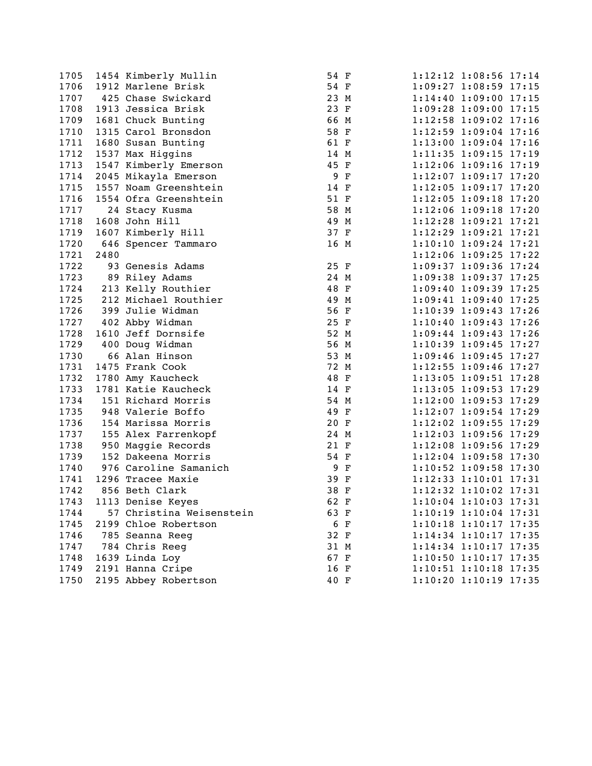| 1105 |      | 1454 Kimberly Mullin     | 54 F |  | 1:12:12 1:08:56 1/:14       |  |
|------|------|--------------------------|------|--|-----------------------------|--|
| 1706 |      | 1912 Marlene Brisk       | 54 F |  | $1:09:27$ $1:08:59$ 17:15   |  |
| 1707 |      | 425 Chase Swickard       | 23 M |  | 1:14:40 1:09:00 17:15       |  |
| 1708 |      | 1913 Jessica Brisk       | 23 F |  | 1:09:28 1:09:00 17:15       |  |
| 1709 |      | 1681 Chuck Bunting       | 66 M |  | 1:12:58 1:09:02 17:16       |  |
| 1710 |      | 1315 Carol Bronsdon      | 58 F |  | 1:12:59 1:09:04 17:16       |  |
| 1711 |      | 1680 Susan Bunting       | 61 F |  | 1:13:00 1:09:04 17:16       |  |
| 1712 |      | 1537 Max Higgins         | 14 M |  | $1:11:35$ $1:09:15$ $17:19$ |  |
| 1713 |      | 1547 Kimberly Emerson    | 45 F |  | $1:12:06$ $1:09:16$ $17:19$ |  |
| 1714 |      | 2045 Mikayla Emerson     | 9 F  |  | $1:12:07$ $1:09:17$ $17:20$ |  |
| 1715 |      | 1557 Noam Greenshtein    | 14 F |  | $1:12:05$ $1:09:17$ $17:20$ |  |
| 1716 |      | 1554 Ofra Greenshtein    | 51 F |  | 1:12:05 1:09:18 17:20       |  |
| 1717 |      | 24 Stacy Kusma           | 58 M |  | 1:12:06 1:09:18 17:20       |  |
| 1718 |      | 1608 John Hill           | 49 M |  | $1:12:28$ $1:09:21$ $17:21$ |  |
| 1719 |      | 1607 Kimberly Hill       | 37 F |  | $1:12:29$ $1:09:21$ $17:21$ |  |
| 1720 |      | 646 Spencer Tammaro      | 16 M |  | 1:10:10 1:09:24 17:21       |  |
| 1721 | 2480 |                          |      |  | 1:12:06 1:09:25 17:22       |  |
| 1722 |      | 93 Genesis Adams         | 25 F |  | 1:09:37 1:09:36 17:24       |  |
| 1723 |      | 89 Riley Adams           | 24 M |  | 1:09:38 1:09:37 17:25       |  |
| 1724 |      | 213 Kelly Routhier       | 48 F |  | 1:09:40 1:09:39 17:25       |  |
| 1725 |      | 212 Michael Routhier     | 49 M |  | 1:09:41 1:09:40 17:25       |  |
| 1726 |      | 399 Julie Widman         | 56 F |  | 1:10:39 1:09:43 17:26       |  |
| 1727 |      | 402 Abby Widman          | 25 F |  | 1:10:40 1:09:43 17:26       |  |
| 1728 |      | 1610 Jeff Dornsife       | 52 M |  | 1:09:44 1:09:43 17:26       |  |
| 1729 |      | 400 Doug Widman          | 56 M |  | 1:10:39 1:09:45 17:27       |  |
| 1730 |      | 66 Alan Hinson           | 53 M |  | 1:09:46 1:09:45 17:27       |  |
| 1731 |      | 1475 Frank Cook          | 72 M |  | 1:12:55 1:09:46 17:27       |  |
| 1732 |      | 1780 Amy Kaucheck        | 48 F |  | 1:13:05 1:09:51 17:28       |  |
| 1733 |      | 1781 Katie Kaucheck      | 14 F |  | $1:13:05$ $1:09:53$ $17:29$ |  |
| 1734 |      | 151 Richard Morris       | 54 M |  | $1:12:00$ 1:09:53 17:29     |  |
| 1735 |      | 948 Valerie Boffo        | 49 F |  | $1:12:07$ $1:09:54$ 17:29   |  |
| 1736 |      | 154 Marissa Morris       | 20 F |  | $1:12:02$ $1:09:55$ $17:29$ |  |
| 1737 |      | 155 Alex Farrenkopf      | 24 M |  | $1:12:03$ $1:09:56$ 17:29   |  |
| 1738 |      | 950 Maggie Records       | 21 F |  | 1:12:08 1:09:56 17:29       |  |
| 1739 |      | 152 Dakeena Morris       | 54 F |  | $1:12:04$ 1:09:58 17:30     |  |
| 1740 |      | 976 Caroline Samanich    | 9 F  |  | $1:10:52$ $1:09:58$ 17:30   |  |
| 1741 |      | 1296 Tracee Maxie        | 39 F |  | 1:12:33 1:10:01 17:31       |  |
| 1742 |      | 856 Beth Clark           | 38 F |  | 1:12:32 1:10:02 17:31       |  |
| 1743 |      | 1113 Denise Keyes        | 62 F |  | $1:10:04$ $1:10:03$ $17:31$ |  |
| 1744 |      | 57 Christina Weisenstein | 63 F |  | 1:10:19 1:10:04 17:31       |  |
| 1745 |      | 2199 Chloe Robertson     | 6 F  |  | 1:10:18 1:10:17 17:35       |  |
| 1746 |      | 785 Seanna Reeg          | 32 F |  | 1:14:34 1:10:17 17:35       |  |
| 1747 |      | 784 Chris Reeg           | 31 M |  | 1:14:34 1:10:17 17:35       |  |
| 1748 |      | 1639 Linda Loy           | 67 F |  | 1:10:50 1:10:17 17:35       |  |
| 1749 |      | 2191 Hanna Cripe         | 16 F |  | 1:10:51 1:10:18 17:35       |  |
| 1750 |      | 2195 Abbey Robertson     | 40 F |  | 1:10:20 1:10:19 17:35       |  |
|      |      |                          |      |  |                             |  |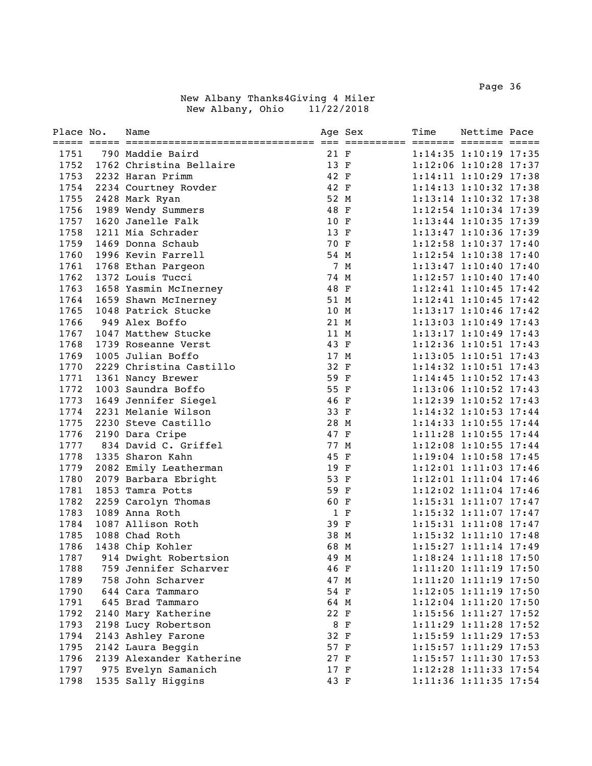Page 36 and the state of the state of the state of the state of the state of the state of the state of the state of the state of the state of the state of the state of the state of the state of the state of the state of th

| Place No. | Name                     |      | Age Sex | Time | Nettime Pace                |  |
|-----------|--------------------------|------|---------|------|-----------------------------|--|
|           |                          |      |         |      |                             |  |
| 1751      | 790 Maddie Baird         | 21 F |         |      | $1:14:35$ $1:10:19$ $17:35$ |  |
| 1752      | 1762 Christina Bellaire  | 13 F |         |      | 1:12:06 1:10:28 17:37       |  |
| 1753      | 2232 Haran Primm         | 42 F |         |      | 1:14:11 1:10:29 17:38       |  |
| 1754      | 2234 Courtney Rovder     | 42 F |         |      | 1:14:13 1:10:32 17:38       |  |
| 1755      | 2428 Mark Ryan           | 52 M |         |      | 1:13:14 1:10:32 17:38       |  |
| 1756      | 1989 Wendy Summers       | 48 F |         |      | 1:12:54 1:10:34 17:39       |  |
| 1757      | 1620 Janelle Falk        | 10 F |         |      | 1:13:44 1:10:35 17:39       |  |
| 1758      | 1211 Mia Schrader        | 13 F |         |      | 1:13:47 1:10:36 17:39       |  |
| 1759      | 1469 Donna Schaub        | 70 F |         |      | 1:12:58 1:10:37 17:40       |  |
| 1760      | 1996 Kevin Farrell       | 54 M |         |      | 1:12:54 1:10:38 17:40       |  |
| 1761      | 1768 Ethan Pargeon       |      | 7 M     |      | $1:13:47$ $1:10:40$ $17:40$ |  |
| 1762      | 1372 Louis Tucci         | 74 M |         |      | $1:12:57$ $1:10:40$ $17:40$ |  |
| 1763      | 1658 Yasmin McInerney    | 48 F |         |      | $1:12:41$ $1:10:45$ $17:42$ |  |
| 1764      | 1659 Shawn McInerney     | 51 M |         |      | $1:12:41$ $1:10:45$ $17:42$ |  |
| 1765      | 1048 Patrick Stucke      | 10 M |         |      | 1:13:17 1:10:46 17:42       |  |
| 1766      | 949 Alex Boffo           | 21 M |         |      | 1:13:03 1:10:49 17:43       |  |
| 1767      | 1047 Matthew Stucke      | 11 M |         |      | $1:13:17$ $1:10:49$ $17:43$ |  |
| 1768      | 1739 Roseanne Verst      | 43 F |         |      | 1:12:36 1:10:51 17:43       |  |
| 1769      | 1005 Julian Boffo        | 17 M |         |      | 1:13:05 1:10:51 17:43       |  |
| 1770      | 2229 Christina Castillo  | 32 F |         |      | 1:14:32 1:10:51 17:43       |  |
| 1771      | 1361 Nancy Brewer        | 59 F |         |      | $1:14:45$ $1:10:52$ $17:43$ |  |
| 1772      | 1003 Saundra Boffo       | 55 F |         |      | $1:13:06$ $1:10:52$ $17:43$ |  |
| 1773      | 1649 Jennifer Siegel     | 46 F |         |      | 1:12:39 1:10:52 17:43       |  |
| 1774      | 2231 Melanie Wilson      | 33 F |         |      | $1:14:32$ $1:10:53$ $17:44$ |  |
| 1775      | 2230 Steve Castillo      | 28 M |         |      | $1:14:33$ $1:10:55$ $17:44$ |  |
| 1776      | 2190 Dara Cripe          | 47 F |         |      | 1:11:28 1:10:55 17:44       |  |
| 1777      | 834 David C. Griffel     | 77 M |         |      | 1:12:08 1:10:55 17:44       |  |
| 1778      | 1335 Sharon Kahn         | 45 F |         |      | $1:19:04$ $1:10:58$ 17:45   |  |
| 1779      | 2082 Emily Leatherman    | 19 F |         |      | 1:12:01 1:11:03 17:46       |  |
| 1780      | 2079 Barbara Ebright     | 53 F |         |      | 1:12:01 1:11:04 17:46       |  |
| 1781      | 1853 Tamra Potts         | 59 F |         |      | 1:12:02 1:11:04 17:46       |  |
| 1782      | 2259 Carolyn Thomas      | 60 F |         |      | 1:15:31 1:11:07 17:47       |  |
| 1783      | 1089 Anna Roth           | 1 F  |         |      | 1:15:32 1:11:07 17:47       |  |
| 1784      | 1087 Allison Roth        | 39 F |         |      | $1:15:31$ $1:11:08$ $17:47$ |  |
| 1785      | 1088 Chad Roth           | 38 M |         |      | $1:15:32$ $1:11:10$ $17:48$ |  |
| 1786      | 1438 Chip Kohler         | 68 M |         |      | 1:15:27 1:11:14 17:49       |  |
| 1787      | 914 Dwight Robertsion    | 49 M |         |      | $1:18:24$ $1:11:18$ $17:50$ |  |
| 1788      | 759 Jennifer Scharver    | 46 F |         |      | 1:11:20 1:11:19 17:50       |  |
| 1789      | 758 John Scharver        | 47 M |         |      | 1:11:20 1:11:19 17:50       |  |
| 1790      | 644 Cara Tammaro         | 54 F |         |      | 1:12:05 1:11:19 17:50       |  |
| 1791      | 645 Brad Tammaro         | 64 M |         |      | 1:12:04 1:11:20 17:50       |  |
| 1792      | 2140 Mary Katherine      | 22 F |         |      | 1:15:56 1:11:27 17:52       |  |
| 1793      | 2198 Lucy Robertson      | 8 F  |         |      | 1:11:29 1:11:28 17:52       |  |
| 1794      | 2143 Ashley Farone       | 32 F |         |      | 1:15:59 1:11:29 17:53       |  |
| 1795      | 2142 Laura Beggin        | 57 F |         |      | 1:15:57 1:11:29 17:53       |  |
| 1796      | 2139 Alexander Katherine | 27 F |         |      | 1:15:57 1:11:30 17:53       |  |
| 1797      | 975 Evelyn Samanich      | 17 F |         |      | 1:12:28 1:11:33 17:54       |  |
| 1798      | 1535 Sally Higgins       | 43 F |         |      | 1:11:36 1:11:35 17:54       |  |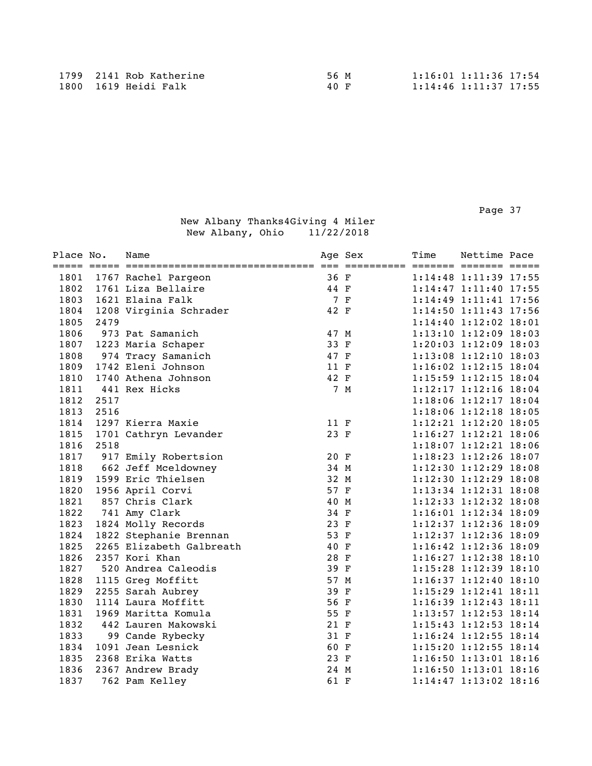Page 37 and the state of the state of the state of the state of the state of the state of the state of the state of the state of the state of the state of the state of the state of the state of the state of the state of th

| Place No. |      | Name                     |      | Age Sex | Time | Nettime Pace                |  |
|-----------|------|--------------------------|------|---------|------|-----------------------------|--|
| 1801      |      | 1767 Rachel Pargeon      | 36 F |         |      | $1:14:48$ $1:11:39$ 17:55   |  |
| 1802      |      | 1761 Liza Bellaire       | 44 F |         |      | 1:14:47 1:11:40 17:55       |  |
| 1803      |      | 1621 Elaina Falk         |      | 7 F     |      | 1:14:49 1:11:41 17:56       |  |
| 1804      |      | 1208 Virginia Schrader   | 42 F |         |      | 1:14:50 1:11:43 17:56       |  |
| 1805      | 2479 |                          |      |         |      | 1:14:40 1:12:02 18:01       |  |
| 1806      |      | 973 Pat Samanich         | 47 M |         |      | 1:13:10 1:12:09 18:03       |  |
| 1807      |      | 1223 Maria Schaper       | 33 F |         |      | $1:20:03$ $1:12:09$ $18:03$ |  |
| 1808      |      | 974 Tracy Samanich       | 47 F |         |      | 1:13:08 1:12:10 18:03       |  |
| 1809      |      | 1742 Eleni Johnson       | 11 F |         |      | $1:16:02$ $1:12:15$ $18:04$ |  |
| 1810      |      | 1740 Athena Johnson      | 42 F |         |      | 1:15:59 1:12:15 18:04       |  |
| 1811      |      | 441 Rex Hicks            |      | 7 M     |      | 1:12:17 1:12:16 18:04       |  |
| 1812      | 2517 |                          |      |         |      | 1:18:06 1:12:17 18:04       |  |
| 1813      | 2516 |                          |      |         |      | 1:18:06 1:12:18 18:05       |  |
| 1814      |      | 1297 Kierra Maxie        | 11 F |         |      | 1:12:21 1:12:20 18:05       |  |
| 1815      |      | 1701 Cathryn Levander    | 23 F |         |      | 1:16:27 1:12:21 18:06       |  |
| 1816      | 2518 |                          |      |         |      | 1:18:07 1:12:21 18:06       |  |
| 1817      |      | 917 Emily Robertsion     | 20 F |         |      | 1:18:23 1:12:26 18:07       |  |
| 1818      |      | 662 Jeff Mceldowney      | 34 M |         |      | 1:12:30 1:12:29 18:08       |  |
| 1819      |      | 1599 Eric Thielsen       | 32 M |         |      | 1:12:30 1:12:29 18:08       |  |
| 1820      |      | 1956 April Corvi         | 57 F |         |      | 1:13:34 1:12:31 18:08       |  |
| 1821      |      | 857 Chris Clark          | 40 M |         |      | 1:12:33 1:12:32 18:08       |  |
| 1822      |      | 741 Amy Clark            | 34 F |         |      | 1:16:01 1:12:34 18:09       |  |
| 1823      |      | 1824 Molly Records       | 23 F |         |      | 1:12:37 1:12:36 18:09       |  |
| 1824      |      | 1822 Stephanie Brennan   | 53 F |         |      | 1:12:37 1:12:36 18:09       |  |
| 1825      |      | 2265 Elizabeth Galbreath | 40 F |         |      | 1:16:42 1:12:36 18:09       |  |
| 1826      |      | 2357 Kori Khan           | 28 F |         |      | 1:16:27 1:12:38 18:10       |  |
| 1827      |      | 520 Andrea Caleodis      | 39 F |         |      | 1:15:28 1:12:39 18:10       |  |
| 1828      |      | 1115 Greg Moffitt        | 57 M |         |      | $1:16:37$ $1:12:40$ $18:10$ |  |
| 1829      |      | 2255 Sarah Aubrey        | 39 F |         |      | 1:15:29 1:12:41 18:11       |  |
| 1830      |      | 1114 Laura Moffitt       | 56 F |         |      | 1:16:39 1:12:43 18:11       |  |
| 1831      |      | 1969 Maritta Komula      | 55 F |         |      | 1:13:57 1:12:53 18:14       |  |
| 1832      |      | 442 Lauren Makowski      | 21 F |         |      | $1:15:43$ $1:12:53$ $18:14$ |  |
| 1833      |      | 99 Cande Rybecky         | 31 F |         |      | 1:16:24 1:12:55 18:14       |  |
| 1834      |      | 1091 Jean Lesnick        | 60 F |         |      | $1:15:20$ $1:12:55$ $18:14$ |  |
| 1835      |      | 2368 Erika Watts         | 23 F |         |      | 1:16:50 1:13:01 18:16       |  |
| 1836      |      | 2367 Andrew Brady        | 24 M |         |      | $1:16:50$ $1:13:01$ $18:16$ |  |
| 1837      |      | 762 Pam Kelley           | 61 F |         |      | 1:14:47 1:13:02 18:16       |  |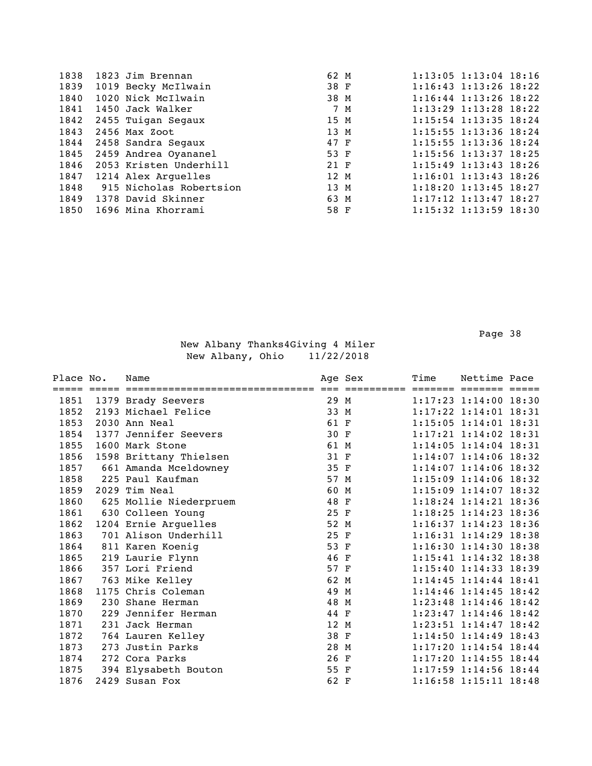| 1838 | 1823 Jim Brennan             | 62 M   |     | $1:13:05$ $1:13:04$ $18:16$ |      |  |
|------|------------------------------|--------|-----|-----------------------------|------|--|
| 1839 | 1019 Becky McIlwain          | 38 F   |     | 1:16:43 1:13:26 18:22       |      |  |
| 1840 | 1020 Nick McIlwain           | 38 M   |     | $1:16:44$ $1:13:26$ $18:22$ |      |  |
| 1841 | 1450 Jack Walker             |        | 7 M | $1:13:29$ $1:13:28$ $18:22$ |      |  |
|      | 1842 2455 Tuigan Segaux      | 15 M   |     | $1:15:54$ $1:13:35$ $18:24$ |      |  |
| 1843 | 2456 Max Zoot                | 13 M   |     | $1:15:55$ $1:13:36$ $18:24$ |      |  |
|      | 1844 2458 Sandra Segaux      | 47 F   |     | $1:15:55$ $1:13:36$ $18:24$ |      |  |
|      | 1845 2459 Andrea Oyananel    | 53 F   |     | $1:15:56$ $1:13:37$ $18:25$ |      |  |
|      | 1846 2053 Kristen Underhill  | $21$ F |     | $1:15:49$ $1:13:43$ $18:26$ |      |  |
|      | 1847 1214 Alex Arquelles     | 12 M   |     | $1:16:01$ $1:13:43$ $18:26$ |      |  |
|      | 1848 915 Nicholas Robertsion | 13 M   |     | $1:18:20$ $1:13:45$ $18:27$ |      |  |
| 1849 | 1378 David Skinner           |        |     | $1:17:12$ $1:13:47$ $18:27$ | 63 M |  |
| 1850 | 1696 Mina Khorrami           |        |     | $1:15:32$ $1:13:59$ $18:30$ | 58 F |  |

Page 38 and the state of the state of the state of the state of the state of the state of the state of the state of the state of the state of the state of the state of the state of the state of the state of the state of th

| Place No. |      | Name                   |      | Age Sex | Time | Nettime Pace                |  |
|-----------|------|------------------------|------|---------|------|-----------------------------|--|
| 1851      |      | 1379 Brady Seevers     | 29 M |         |      | $1:17:23$ $1:14:00$ $18:30$ |  |
| 1852      |      | 2193 Michael Felice    | 33 M |         |      | $1:17:22$ $1:14:01$ $18:31$ |  |
| 1853      |      | 2030 Ann Neal          | 61 F |         |      | $1:15:05$ $1:14:01$ $18:31$ |  |
| 1854      | 1377 | Jennifer Seevers       | 30 F |         |      | $1:17:21$ $1:14:02$ $18:31$ |  |
| 1855      |      | 1600 Mark Stone        | 61 M |         |      | $1:14:05$ $1:14:04$ $18:31$ |  |
| 1856      |      | 1598 Brittany Thielsen | 31 F |         |      | $1:14:07$ $1:14:06$ $18:32$ |  |
| 1857      |      | 661 Amanda Mceldowney  | 35 F |         |      | $1:14:07$ $1:14:06$ $18:32$ |  |
| 1858      |      | 225 Paul Kaufman       | 57 M |         |      | $1:15:09$ $1:14:06$ $18:32$ |  |
| 1859      | 2029 | Tim Neal               | 60 M |         |      | $1:15:09$ $1:14:07$ $18:32$ |  |
| 1860      |      | 625 Mollie Niederpruem | 48 F |         |      | $1:18:24$ $1:14:21$ $18:36$ |  |
| 1861      |      | 630 Colleen Young      | 25 F |         |      | $1:18:25$ $1:14:23$ $18:36$ |  |
| 1862      |      | 1204 Ernie Arguelles   | 52 M |         |      | $1:16:37$ $1:14:23$ $18:36$ |  |
| 1863      |      | 701 Alison Underhill   | 25 F |         |      | $1:16:31$ $1:14:29$ $18:38$ |  |
| 1864      |      | 811 Karen Koenig       | 53 F |         |      | $1:16:30$ $1:14:30$ $18:38$ |  |
| 1865      |      | 219 Laurie Flynn       | 46 F |         |      | $1:15:41$ $1:14:32$ $18:38$ |  |
| 1866      |      | 357 Lori Friend        | 57 F |         |      | 1:15:40 1:14:33 18:39       |  |
| 1867      |      | 763 Mike Kelley        | 62 M |         |      | $1:14:45$ $1:14:44$ $18:41$ |  |
| 1868      |      | 1175 Chris Coleman     | 49 M |         |      | $1:14:46$ $1:14:45$ $18:42$ |  |
| 1869      | 230  | Shane Herman           | 48 M |         |      | $1:23:48$ $1:14:46$ $18:42$ |  |
| 1870      | 229  | Jennifer Herman        | 44 F |         |      | $1:23:47$ $1:14:46$ $18:42$ |  |
| 1871      | 231  | Jack Herman            | 12 M |         |      | $1:23:51$ $1:14:47$ $18:42$ |  |
| 1872      |      | 764 Lauren Kelley      | 38 F |         |      | $1:14:50$ $1:14:49$ $18:43$ |  |
| 1873      | 273  | Justin Parks           | 28 M |         |      | 1:17:20 1:14:54 18:44       |  |
| 1874      | 272  | Cora Parks             | 26 F |         |      | $1:17:20$ $1:14:55$ $18:44$ |  |
| 1875      |      | 394 Elysabeth Bouton   | 55 F |         |      | $1:17:59$ $1:14:56$ $18:44$ |  |
| 1876      |      | 2429 Susan Fox         | 62 F |         |      | 1:16:58 1:15:11 18:48       |  |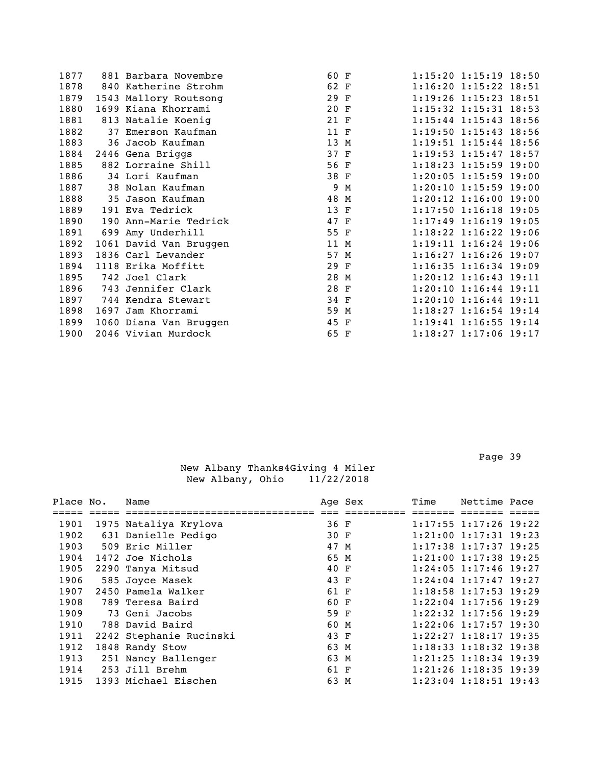| 1877 |      | 881 Barbara Novembre   | 60 F |   | 1:15:20 1:15:19 18:50       |
|------|------|------------------------|------|---|-----------------------------|
| 1878 |      | 840 Katherine Strohm   | 62 F |   | $1:16:20$ $1:15:22$ $18:51$ |
| 1879 |      | 1543 Mallory Routsong  | 29 F |   | 1:19:26 1:15:23 18:51       |
| 1880 |      | 1699 Kiana Khorrami    | 20 F |   | $1:15:32$ $1:15:31$ $18:53$ |
| 1881 |      | 813 Natalie Koenig     | 21 F |   | $1:15:44$ $1:15:43$ $18:56$ |
| 1882 |      | 37 Emerson Kaufman     | 11 F |   | $1:19:50$ $1:15:43$ $18:56$ |
| 1883 |      | 36 Jacob Kaufman       | 13 M |   | $1:19:51$ $1:15:44$ $18:56$ |
| 1884 |      | 2446 Gena Briggs       | 37 F |   | 1:19:53 1:15:47 18:57       |
| 1885 |      | 882 Lorraine Shill     | 56 F |   | $1:18:23$ 1:15:59 19:00     |
| 1886 |      | 34 Lori Kaufman        | 38 F |   | $1:20:05$ 1:15:59 19:00     |
| 1887 |      | 38 Nolan Kaufman       | 9    | M | $1:20:10$ $1:15:59$ $19:00$ |
| 1888 |      | 35 Jason Kaufman       | 48 M |   | $1:20:12$ $1:16:00$ $19:00$ |
| 1889 |      | 191 Eva Tedrick        | 13 F |   | 1:17:50 1:16:18 19:05       |
| 1890 |      | 190 Ann-Marie Tedrick  | 47 F |   | $1:17:49$ 1:16:19 19:05     |
| 1891 |      | 699 Amy Underhill      | 55 F |   | $1:18:22$ $1:16:22$ $19:06$ |
| 1892 |      | 1061 David Van Bruggen | 11 M |   | $1:19:11$ $1:16:24$ $19:06$ |
| 1893 |      | 1836 Carl Levander     | 57 M |   | $1:16:27$ $1:16:26$ $19:07$ |
| 1894 |      | 1118 Erika Moffitt     | 29 F |   | $1:16:35$ $1:16:34$ 19:09   |
| 1895 |      | 742 Joel Clark         | 28 M |   | $1:20:12$ $1:16:43$ $19:11$ |
| 1896 | 743  | Jennifer Clark         | 28 F |   | $1:20:10$ $1:16:44$ $19:11$ |
| 1897 |      | 744 Kendra Stewart     | 34 F |   | $1:20:10$ $1:16:44$ $19:11$ |
| 1898 | 1697 | Jam Khorrami           | 59 M |   | $1:18:27$ $1:16:54$ $19:14$ |
| 1899 |      | 1060 Diana Van Bruggen | 45 F |   | $1:19:41$ $1:16:55$ $19:14$ |
| 1900 |      | 2046 Vivian Murdock    | 65 F |   | 1:18:27 1:17:06 19:17       |
|      |      |                        |      |   |                             |

| Place No. | Name                    |      | Age Sex | Time | Nettime Pace                |  |
|-----------|-------------------------|------|---------|------|-----------------------------|--|
|           |                         |      |         |      |                             |  |
| 1901      | 1975 Nataliya Krylova   | 36 F |         |      | $1:17:55$ $1:17:26$ 19:22   |  |
| 1902      | 631 Danielle Pedigo     | 30 F |         |      | $1:21:00$ $1:17:31$ $19:23$ |  |
| 1903      | 509 Eric Miller         | 47 M |         |      | $1:17:38$ $1:17:37$ $19:25$ |  |
| 1904      | 1472 Joe Nichols        | 65 M |         |      | $1:21:00$ $1:17:38$ $19:25$ |  |
| 1905      | 2290 Tanya Mitsud       | 40 F |         |      | $1:24:05$ 1:17:46 19:27     |  |
| 1906      | 585 Joyce Masek         | 43 F |         |      | $1:24:04$ $1:17:47$ $19:27$ |  |
| 1907      | 2450 Pamela Walker      | 61 F |         |      | $1:18:58$ 1:17:53 19:29     |  |
| 1908      | 789 Teresa Baird        | 60 F |         |      | $1:22:04$ 1:17:56 19:29     |  |
| 1909      | 73 Geni Jacobs          | 59 F |         |      | $1:22:32$ 1:17:56 19:29     |  |
| 1910      | 788 David Baird         | 60 M |         |      | $1:22:06$ 1:17:57 19:30     |  |
| 1911      | 2242 Stephanie Rucinski | 43 F |         |      | $1:22:27$ $1:18:17$ $19:35$ |  |
| 1912      | 1848 Randy Stow         | 63 M |         |      | $1:18:33$ $1:18:32$ $19:38$ |  |
| 1913      | 251 Nancy Ballenger     | 63 M |         |      | 1:21:25 1:18:34 19:39       |  |
| 1914      | 253 Jill Brehm          | 61 F |         |      | $1:21:26$ 1:18:35 19:39     |  |
| 1915      | 1393 Michael Eischen    | 63 M |         |      | $1:23:04$ 1:18:51 19:43     |  |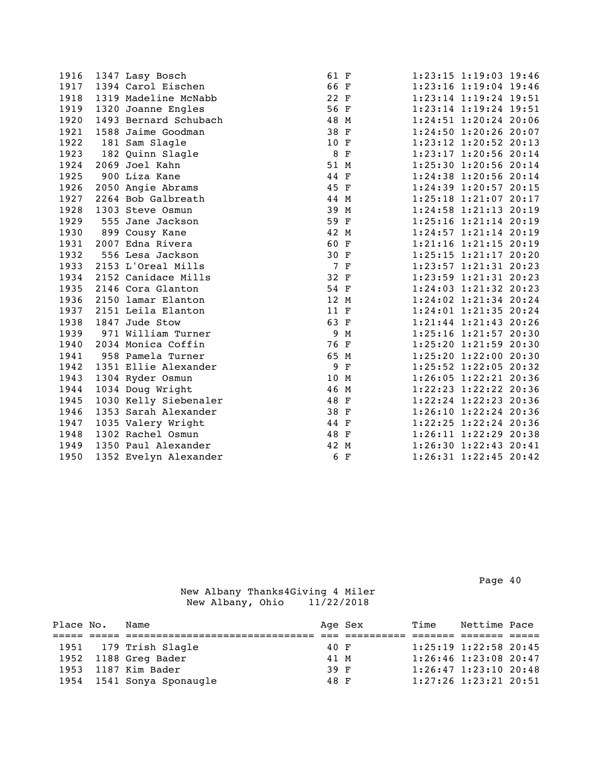| 1916 | 1347 Lasy Bosch       | 61 F |             | 1:23:15 1:19:03 19:46       |
|------|-----------------------|------|-------------|-----------------------------|
| 1917 | 1394 Carol Eischen    | 66 F |             | 1:23:16 1:19:04 19:46       |
| 1918 | 1319 Madeline McNabb  | 22 F |             | 1:23:14 1:19:24 19:51       |
| 1919 | 1320 Joanne Engles    | 56 F |             | 1:23:14 1:19:24 19:51       |
| 1920 | 1493 Bernard Schubach | 48 M |             | 1:24:51 1:20:24 20:06       |
| 1921 | 1588 Jaime Goodman    | 38 F |             | 1:24:50 1:20:26 20:07       |
| 1922 | 181 Sam Slagle        | 10 F |             | $1:23:12$ $1:20:52$ $20:13$ |
| 1923 | 182 Quinn Slagle      | 8 F  |             | 1:23:17 1:20:56 20:14       |
| 1924 | 2069 Joel Kahn        | 51 M |             | 1:25:30 1:20:56 20:14       |
| 1925 | 900 Liza Kane         | 44 F |             | 1:24:38 1:20:56 20:14       |
| 1926 | 2050 Angie Abrams     | 45 F |             | 1:24:39 1:20:57 20:15       |
| 1927 | 2264 Bob Galbreath    | 44 M |             | 1:25:18 1:21:07 20:17       |
| 1928 | 1303 Steve Osmun      | 39 M |             | 1:24:58 1:21:13 20:19       |
| 1929 | 555 Jane Jackson      | 59 F |             | $1:25:16$ $1:21:14$ $20:19$ |
| 1930 | 899 Cousy Kane        | 42 M |             | 1:24:57 1:21:14 20:19       |
| 1931 | 2007 Edna Rivera      | 60 F |             | $1:21:16$ $1:21:15$ $20:19$ |
| 1932 | 556 Lesa Jackson      | 30 F |             | 1:25:15 1:21:17 20:20       |
| 1933 | 2153 L'Oreal Mills    | 7 F  |             | 1:23:57 1:21:31 20:23       |
| 1934 | 2152 Canidace Mills   | 32 F |             | 1:23:59 1:21:31 20:23       |
| 1935 | 2146 Cora Glanton     | 54 F |             | 1:24:03 1:21:32 20:23       |
| 1936 | 2150 lamar Elanton    | 12 M |             | 1:24:02 1:21:34 20:24       |
| 1937 | 2151 Leila Elanton    | 11 F |             | 1:24:01 1:21:35 20:24       |
| 1938 | 1847 Jude Stow        | 63 F |             | 1:21:44 1:21:43 20:26       |
| 1939 | 971 William Turner    | 9    | M           | 1:25:16 1:21:57 20:30       |
| 1940 | 2034 Monica Coffin    | 76 F |             | 1:25:20 1:21:59 20:30       |
| 1941 | 958 Pamela Turner     | 65 M |             | 1:25:20 1:22:00 20:30       |
| 1942 | 1351 Ellie Alexander  | 9    | $\mathbf F$ | 1:25:52 1:22:05 20:32       |
| 1943 | 1304 Ryder Osmun      | 10 M |             | 1:26:05 1:22:21 20:36       |
| 1944 | 1034 Doug Wright      | 46 M |             | 1:22:23 1:22:22 20:36       |
| 1945 | 1030 Kelly Siebenaler | 48 F |             | $1:22:24$ $1:22:23$ 20:36   |
| 1946 | 1353 Sarah Alexander  | 38 F |             | 1:26:10 1:22:24 20:36       |
| 1947 | 1035 Valery Wright    | 44 F |             | $1:22:25$ $1:22:24$ 20:36   |
| 1948 | 1302 Rachel Osmun     | 48 F |             | 1:26:11 1:22:29 20:38       |
| 1949 | 1350 Paul Alexander   | 42 M |             | 1:26:30 1:22:43 20:41       |
| 1950 | 1352 Evelyn Alexander | 6    | $\mathbf F$ | 1:26:31 1:22:45 20:42       |

Page 40

| Place No. | Name                      |      | Age Sex | Time | Nettime Pace                |  |
|-----------|---------------------------|------|---------|------|-----------------------------|--|
|           |                           |      |         |      |                             |  |
|           | 1951 179 Trish Slagle     | 40 F |         |      | 1:25:19 1:22:58 20:45       |  |
|           | 1952 1188 Greg Bader      | 41 M |         |      | $1:26:46$ $1:23:08$ 20:47   |  |
|           | 1953 1187 Kim Bader       | 39 F |         |      | $1:26:47$ $1:23:10$ $20:48$ |  |
|           | 1954 1541 Sonya Sponaugle | 48 F |         |      | $1:27:26$ $1:23:21$ $20:51$ |  |